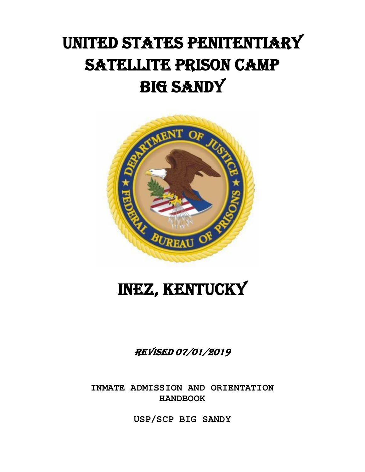# UNITED STATES PENITENTIARY SATELLITE PRISON CAMP BIG SANDY



# INEZ, KENTUCKY

# REVISED 07/01/2019

**INMATE ADMISSION AND ORIENTATION HANDBOOK**

**USP/SCP BIG SANDY**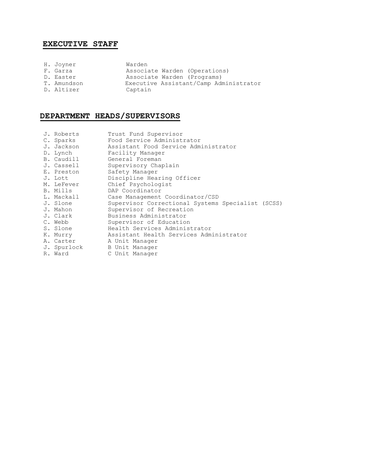# **EXECUTIVE STAFF**

| H. Joyner   | Warden                                 |
|-------------|----------------------------------------|
| F. Garza    | Associate Warden (Operations)          |
| D. Easter   | Associate Warden (Programs)            |
| T. Amundson | Executive Assistant/Camp Administrator |
| D. Altizer  | Captain                                |

## **DEPARTMENT HEADS/SUPERVISORS**

| J. Roberts<br>C. Sparks<br>J. Jackson<br>D. Lynch<br>B. Caudill | Trust Fund Supervisor<br>Food Service Administrator<br>Assistant Food Service Administrator<br>Facility Manager<br>General Foreman |  |  |  |  |
|-----------------------------------------------------------------|------------------------------------------------------------------------------------------------------------------------------------|--|--|--|--|
| J. Cassell                                                      | Supervisory Chaplain                                                                                                               |  |  |  |  |
| E. Preston<br>J. Lott                                           | Safety Manager<br>Discipline Hearing Officer                                                                                       |  |  |  |  |
| M. LeFever                                                      | Chief Psychologist                                                                                                                 |  |  |  |  |
| B. Mills                                                        | DAP Coordinator                                                                                                                    |  |  |  |  |
| L. Mackall                                                      | Case Management Coordinator/CSD                                                                                                    |  |  |  |  |
| J. Slone                                                        | Supervisor Correctional Systems Specialist (SCSS)                                                                                  |  |  |  |  |
| J. Mahon                                                        | Supervisor of Recreation                                                                                                           |  |  |  |  |
| J. Clark                                                        | Business Administrator                                                                                                             |  |  |  |  |
| C. Webb                                                         | Supervisor of Education                                                                                                            |  |  |  |  |
| S. Slone                                                        | Health Services Administrator                                                                                                      |  |  |  |  |
| K. Murry<br>A. Carter<br>J. Spurlock<br>R. Ward                 | Assistant Health Services Administrator<br>A Unit Manager<br>B Unit Manager<br>C Unit Manager                                      |  |  |  |  |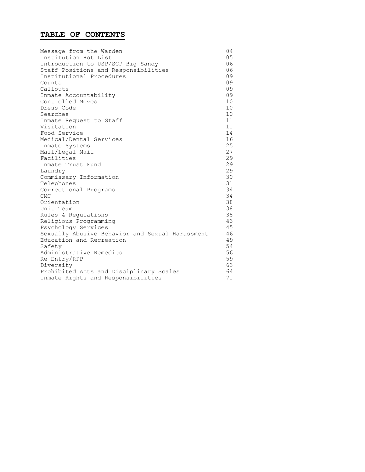## **TABLE OF CONTENTS**

| Message from the Warden                         | 04 |
|-------------------------------------------------|----|
| Institution Hot List                            | 05 |
| Introduction to USP/SCP Big Sandy               | 06 |
| Staff Positions and Responsibilities            | 06 |
| Institutional Procedures                        | 09 |
| Counts                                          | 09 |
| Callouts                                        | 09 |
| Inmate Accountability                           | 09 |
| Controlled Moves                                | 10 |
| Dress Code                                      | 10 |
| Searches                                        | 10 |
| Inmate Request to Staff                         | 11 |
| Visitation                                      | 11 |
| Food Service                                    | 14 |
| Medical/Dental Services                         | 16 |
| Inmate Systems                                  | 25 |
| Mail/Legal Mail                                 | 27 |
| Facilities                                      | 29 |
| Inmate Trust Fund                               | 29 |
| Laundry                                         | 29 |
| Commissary Information                          | 30 |
| Telephones                                      | 31 |
| Correctional Programs                           | 34 |
| <b>CMC</b>                                      | 34 |
| Orientation                                     | 38 |
| Unit Team                                       | 38 |
| Rules & Regulations                             | 38 |
| Religious Programming                           | 43 |
| Psychology Services                             | 45 |
| Sexually Abusive Behavior and Sexual Harassment | 46 |
| Education and Recreation                        | 49 |
| Safety                                          | 54 |
| Administrative Remedies                         | 56 |
| Re-Entry/RPP                                    | 59 |
| Diversity                                       | 63 |
| Prohibited Acts and Disciplinary Scales         | 64 |
| Inmate Rights and Responsibilities              | 71 |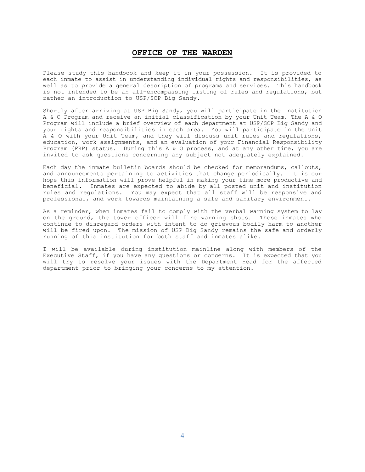## **OFFICE OF THE WARDEN**

Please study this handbook and keep it in your possession. It is provided to each inmate to assist in understanding individual rights and responsibilities, as well as to provide a general description of programs and services. This handbook is not intended to be an all-encompassing listing of rules and regulations, but rather an introduction to USP/SCP Big Sandy.

Shortly after arriving at USP Big Sandy, you will participate in the Institution A & O Program and receive an initial classification by your Unit Team. The A & O Program will include a brief overview of each department at USP/SCP Big Sandy and your rights and responsibilities in each area. You will participate in the Unit A & O with your Unit Team, and they will discuss unit rules and regulations, education, work assignments, and an evaluation of your Financial Responsibility Program (FRP) status. During this A & O process, and at any other time, you are invited to ask questions concerning any subject not adequately explained.

Each day the inmate bulletin boards should be checked for memorandums, callouts, and announcements pertaining to activities that change periodically. It is our hope this information will prove helpful in making your time more productive and beneficial. Inmates are expected to abide by all posted unit and institution rules and regulations. You may expect that all staff will be responsive and professional, and work towards maintaining a safe and sanitary environment.

As a reminder, when inmates fail to comply with the verbal warning system to lay on the ground, the tower officer will fire warning shots. Those inmates who continue to disregard orders with intent to do grievous bodily harm to another will be fired upon. The mission of USP Big Sandy remains the safe and orderly running of this institution for both staff and inmates alike.

I will be available during institution mainline along with members of the Executive Staff, if you have any questions or concerns. It is expected that you will try to resolve your issues with the Department Head for the affected department prior to bringing your concerns to my attention.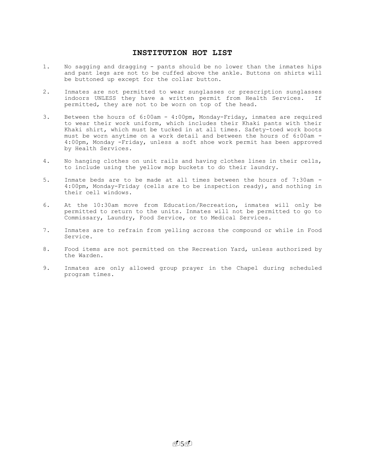## **INSTITUTION HOT LIST**

- 1. No sagging and dragging pants should be no lower than the inmates hips and pant legs are not to be cuffed above the ankle. Buttons on shirts will be buttoned up except for the collar button.
- 2. Inmates are not permitted to wear sunglasses or prescription sunglasses indoors UNLESS they have a written permit from Health Services. If permitted, they are not to be worn on top of the head.
- 3. Between the hours of 6:00am 4:00pm, Monday-Friday, inmates are required to wear their work uniform, which includes their Khaki pants with their Khaki shirt, which must be tucked in at all times. Safety-toed work boots must be worn anytime on a work detail and between the hours of 6:00am - 4:00pm, Monday -Friday, unless a soft shoe work permit has been approved by Health Services.
- 4. No hanging clothes on unit rails and having clothes lines in their cells, to include using the yellow mop buckets to do their laundry.
- 5. Inmate beds are to be made at all times between the hours of 7:30am 4:00pm, Monday-Friday (cells are to be inspection ready), and nothing in their cell windows.
- 6. At the 10:30am move from Education/Recreation, inmates will only be permitted to return to the units. Inmates will not be permitted to go to Commissary, Laundry, Food Service, or to Medical Services.
- 7. Inmates are to refrain from yelling across the compound or while in Food Service.
- 8. Food items are not permitted on the Recreation Yard, unless authorized by the Warden.
- 9. Inmates are only allowed group prayer in the Chapel during scheduled program times.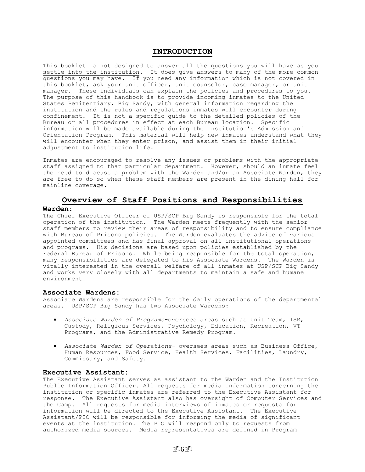## **INTRODUCTION**

This booklet is not designed to answer all the questions you will have as you settle into the institution. It does give answers to many of the more common questions you may have. If you need any information which is not covered in this booklet, ask your unit officer, unit counselor, case manager, or unit manager. These individuals can explain the policies and procedures to you. The purpose of this handbook is to provide incoming inmates to the United States Penitentiary, Big Sandy, with general information regarding the institution and the rules and regulations inmates will encounter during confinement. It is not a specific guide to the detailed policies of the Bureau or all procedures in effect at each Bureau location. Specific information will be made available during the Institution's Admission and Orientation Program. This material will help new inmates understand what they will encounter when they enter prison, and assist them in their initial adjustment to institution life.

Inmates are encouraged to resolve any issues or problems with the appropriate staff assigned to that particular department. However, should an inmate feel the need to discuss a problem with the Warden and/or an Associate Warden, they are free to do so when these staff members are present in the dining hall for mainline coverage.

## **Overview of Staff Positions and Responsibilities**

#### **Warden:**

The Chief Executive Officer of USP/SCP Big Sandy is responsible for the total operation of the institution. The Warden meets frequently with the senior staff members to review their areas of responsibility and to ensure compliance with Bureau of Prisons policies. The Warden evaluates the advice of various appointed committees and has final approval on all institutional operations and programs. His decisions are based upon policies established by the Federal Bureau of Prisons. While being responsible for the total operation, many responsibilities are delegated to his Associate Wardens. The Warden is vitally interested in the overall welfare of all inmates at USP/SCP Big Sandy and works very closely with all departments to maintain a safe and humane environment.

#### **Associate Wardens:**

Associate Wardens are responsible for the daily operations of the departmental areas. USP/SCP Big Sandy has two Associate Wardens:

- *Associate Warden of Programs*-oversees areas such as Unit Team, ISM, Custody, Religious Services, Psychology, Education, Recreation, VT Programs, and the Administrative Remedy Program.
- *Associate Warden of Operations* oversees areas such as Business Office, Human Resources, Food Service, Health Services, Facilities, Laundry, Commissary, and Safety.

#### **Executive Assistant:**

The Executive Assistant serves as assistant to the Warden and the Institution Public Information Officer. All requests for media information concerning the institution or specific inmates are referred to the Executive Assistant for response. The Executive Assistant also has oversight of Computer Services and the Camp. All requests for media interviews of inmates or requests for information will be directed to the Executive Assistant. The Executive Assistant/PIO will be responsible for informing the media of significant events at the institution. The PIO will respond only to requests from authorized media sources. Media representatives are defined in Program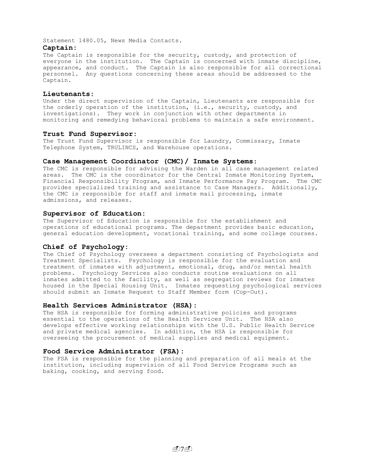Statement 1480.05, News Media Contacts.

#### **Captain:**

The Captain is responsible for the security, custody, and protection of everyone in the institution. The Captain is concerned with inmate discipline, appearance, and conduct. The Captain is also responsible for all correctional personnel. Any questions concerning these areas should be addressed to the Captain.

#### **Lieutenants:**

Under the direct supervision of the Captain, Lieutenants are responsible for the orderly operation of the institution, (i.e., security, custody, and investigations). They work in conjunction with other departments in monitoring and remedying behavioral problems to maintain a safe environment.

## **Trust Fund Supervisor:**

The Trust Fund Supervisor is responsible for Laundry, Commissary, Inmate Telephone System, TRULINCS, and Warehouse operations**.**

#### **Case Management Coordinator (CMC)/ Inmate Systems**:

The CMC is responsible for advising the Warden in all case management related areas. The CMC is the coordinator for the Central Inmate Monitoring System, Financial Responsibility Program, and Inmate Performance Pay Program. The CMC provides specialized training and assistance to Case Managers. Additionally, the CMC is responsible for staff and inmate mail processing, inmate admissions, and releases.

#### **Supervisor of Education:**

The Supervisor of Education is responsible for the establishment and operations of educational programs. The department provides basic education, general education development, vocational training, and some college courses.

#### **Chief of Psychology:**

The Chief of Psychology oversees a department consisting of Psychologists and Treatment Specialists. Psychology is responsible for the evaluation and treatment of inmates with adjustment, emotional, drug, and/or mental health problems. Psychology Services also conducts routine evaluations on all inmates admitted to the facility, as well as segregation reviews for inmates housed in the Special Housing Unit. Inmates requesting psychological services should submit an Inmate Request to Staff Member form (Cop-Out).

## **Health Services Administrator (HSA):**

The HSA is responsible for forming administrative policies and programs essential to the operations of the Health Services Unit. The HSA also develops effective working relationships with the U.S. Public Health Service and private medical agencies. In addition, the HSA is responsible for overseeing the procurement of medical supplies and medical equipment.

## **Food Service Administrator (FSA):**

The FSA is responsible for the planning and preparation of all meals at the institution, including supervision of all Food Service Programs such as baking, cooking, and serving food.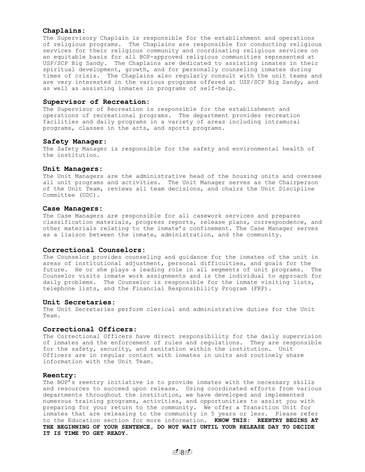#### **Chaplains:**

The Supervisory Chaplain is responsible for the establishment and operations of religious programs. The Chaplains are responsible for conducting religious services for their religious community and coordinating religious services on an equitable basis for all BOP-approved religious communities represented at USP/SCP Big Sandy. The Chaplains are dedicated to assisting inmates in their spiritual development, growth, and for personally counseling inmates during times of crisis. The Chaplains also regularly consult with the unit teams and are very interested in the various programs offered at USP/SCP Big Sandy, and as well as assisting inmates in programs of self-help.

#### **Supervisor of Recreation:**

The Supervisor of Recreation is responsible for the establishment and operations of recreational programs. The department provides recreation facilities and daily programs in a variety of areas including intramural programs, classes in the arts, and sports programs.

#### **Safety Manager**:

The Safety Manager is responsible for the safety and environmental health of the institution.

#### **Unit Managers:**

The Unit Managers are the administrative head of the housing units and oversee all unit programs and activities. The Unit Manager serves as the Chairperson of the Unit Team, reviews all team decisions, and chairs the Unit Discipline Committee (UDC).

#### **Case Managers:**

The Case Managers are responsible for all casework services and prepares classification materials, progress reports, release plans, correspondence, and other materials relating to the inmate's confinement. The Case Manager serves as a liaison between the inmate, administration, and the community.

#### **Correctional Counselors:**

The Counselor provides counseling and guidance for the inmates of the unit in areas of institutional adjustment, personal difficulties, and goals for the future. He or she plays a leading role in all segments of unit programs. The Counselor visits inmate work assignments and is the individual to approach for daily problems. The Counselor is responsible for the inmate visiting lists, telephone lists, and the Financial Responsibility Program (FRP).

#### **Unit Secretaries:**

The Unit Secretaries perform clerical and administrative duties for the Unit Team.

#### **Correctional Officers**:

The Correctional Officers have direct responsibility for the daily supervision of inmates and the enforcement of rules and regulations. They are responsible for the safety, security, and sanitation within the institution. Unit Officers are in regular contact with inmates in units and routinely share information with the Unit Team.

#### **Reentry:**

The BOP's reentry initiative is to provide inmates with the necessary skills and resources to succeed upon release. Using coordinated efforts from various departments throughout the institution, we have developed and implemented numerous training programs, activities, and opportunities to assist you with preparing for your return to the community. We offer a Transition Unit for inmates that are releasing to the community in 5 years or less. Please refer to the Education section for more information. **KNOW THIS: REENTRY BEGINS AT THE BEGINNING OF YOUR SENTENCE, DO NOT WAIT UNTIL YOUR RELEASE DAY TO DECIDE IT IS TIME TO GET READY.**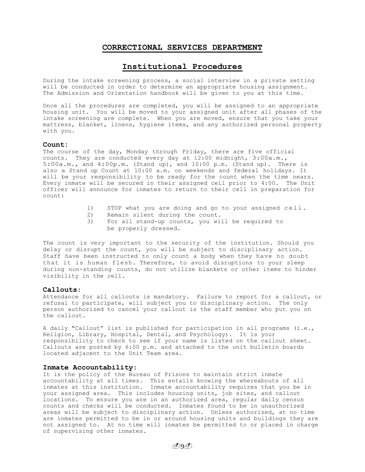## **CORRECTIONAL SERVICES DEPARTMENT**

## **Institutional Procedures**

During the intake screening process, a social interview in a private setting will be conducted in order to determine an appropriate housing assignment. The Admission and Orientation handbook will be given to you at this time.

Once all the procedures are completed, you will be assigned to an appropriate housing unit. You will be moved to your assigned unit after all phases of the intake screening are complete. When you are moved, ensure that you take your mattress, blanket, linens, hygiene items, and any authorized personal property with you.

#### **Count:**

The course of the day, Monday through Friday, there are five official counts. They are conducted every day at 12:00 midnight, 3:00a.m., 5:00a.m., and 4:00p.m. (Stand up), and 10:00 p.m. (Stand up). There is also a Stand up Count at 10:00 a.m. on weekends and federal holidays. It will be your responsibility to be ready for the count when the time nears. Every inmate will be secured in their assigned cell prior to 4:00. The Unit officer will announce for inmates to return to their cell in preparation for count:

- 1) STOP what you are doing and go to your assigned cell .
- 2) Remain silent during the count.
- 3) For all stand-up counts, you will be required to be properly dressed.

The count is very important to the security of the institution. Should you delay or disrupt the count, you will be subject to disciplinary action. Staff have been instructed to only count a body when they have no doubt that it is human flesh. Therefore, to avoid disruptions to your sleep during non-standing counts, do not utilize blankets or other items to hinder visibility in the cell.

## **Callouts**:

Attendance for all callouts is mandatory. Failure to report for a callout, or refusal to participate, will subject you to disciplinary action. The only person authorized to cancel your callout is the staff member who put you on the callout.

A daily "Callout" list is published for participation in all programs (i.e., Religion, Library, Hospital, Dental, and Psychology). It is your responsibility to check to see if your name is listed on the callout sheet. Callouts are posted by 6:00 p.m. and attached to the unit bulletin boards located adjacent to the Unit Team area.

#### **Inmate Accountability**:

It is the policy of the Bureau of Prisons to maintain strict inmate accountability at all times. This entails knowing the whereabouts of all inmates at this institution. Inmate accountability requires that you be in your assigned area. This includes housing units, job sites, and callout locations. To ensure you are in an authorized area, regular daily census counts and checks will be conducted. Inmates found to be in unauthorized areas will be subject to disciplinary action. Unless authorized, at no time are inmates permitted to be in or around housing units and buildings they are not assigned to. At no time will inmates be permitted to or placed in charge of supervising other inmates.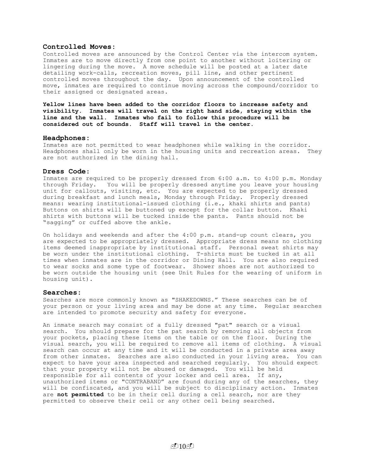## **Controlled Moves:**

Controlled moves are announced by the Control Center via the intercom system. Inmates are to move directly from one point to another without loitering or lingering during the move. A move schedule will be posted at a later date detailing work-calls, recreation moves, pill line, and other pertinent controlled moves throughout the day. Upon announcement of the controlled move, inmates are required to continue moving across the compound/corridor to their assigned or designated areas.

**Yellow lines have been added to the corridor floors to increase safety and visibility. Inmates will travel on the right hand side, staying within the line and the wall. Inmates who fail to follow this procedure will be considered out of bounds. Staff will travel in the center.**

#### **Headphones:**

Inmates are not permitted to wear headphones while walking in the corridor. Headphones shall only be worn in the housing units and recreation areas. They are not authorized in the dining hall.

#### **Dress Code**:

Inmates are required to be properly dressed from 6:00 a.m. to 4:00 p.m. Monday through Friday. You will be properly dressed anytime you leave your housing unit for callouts, visiting, etc. You are expected to be properly dressed during breakfast and lunch meals, Monday through Friday. Properly dressed means: wearing institutional-issued clothing (i.e., khaki shirts and pants) Buttons on shirts will be buttoned up except for the collar button. Khaki shirts with buttons will be tucked inside the pants. Pants should not be "sagging" or cuffed above the ankle.

On holidays and weekends and after the 4:00 p.m. stand-up count clears, you are expected to be appropriately dressed. Appropriate dress means no clothing items deemed inappropriate by institutional staff. Personal sweat shirts may be worn under the institutional clothing. T-shirts must be tucked in at all times when inmates are in the corridor or Dining Hall. You are also required to wear socks and some type of footwear. Shower shoes are not authorized to be worn outside the housing unit (see Unit Rules for the wearing of uniform in housing unit).

#### **Searches:**

Searches are more commonly known as "SHAKEDOWNS." These searches can be of your person or your living area and may be done at any time. Regular searches are intended to promote security and safety for everyone.

An inmate search may consist of a fully dressed "pat" search or a visual search. You should prepare for the pat search by removing all objects from your pockets, placing these items on the table or on the floor. During the visual search, you will be required to remove all items of clothing. A visual search can occur at any time and it will be conducted in a private area away from other inmates. Searches are also conducted in your living area. You can expect to have your area inspected and searched regularly. You should expect that your property will not be abused or damaged. You will be held responsible for all contents of your locker and cell area. If any, unauthorized items or "CONTRABAND" are found during any of the searches, they will be confiscated, and you will be subject to disciplinary action. Inmates are **not permitted** to be in their cell during a cell search, nor are they permitted to observe their cell or any other cell being searched.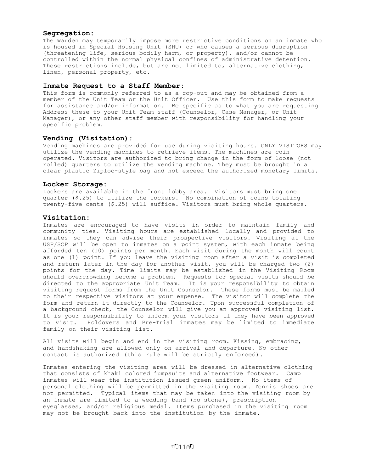## **Segregation:**

The Warden may temporarily impose more restrictive conditions on an inmate who is housed in Special Housing Unit (SHU) or who causes a serious disruption (threatening life, serious bodily harm, or property), and/or cannot be controlled within the normal physical confines of administrative detention. These restrictions include, but are not limited to, alternative clothing, linen, personal property, etc.

#### **Inmate Request to a Staff Member:**

This form is commonly referred to as a cop-out and may be obtained from a member of the Unit Team or the Unit Officer. Use this form to make requests for assistance and/or information. Be specific as to what you are requesting. Address these to your Unit Team staff (Counselor, Case Manager, or Unit Manager), or any other staff member with responsibility for handling your specific problem.

#### **Vending (Visitation)**:

Vending machines are provided for use during visiting hours. ONLY VISITORS may utilize the vending machines to retrieve items. The machines are coin operated. Visitors are authorized to bring change in the form of loose (not rolled) quarters to utilize the vending machine. They must be brought in a clear plastic Ziploc-style bag and not exceed the authorized monetary limits.

#### **Locker Storage:**

Lockers are available in the front lobby area. Visitors must bring one quarter (\$.25) to utilize the lockers. No combination of coins totaling twenty-five cents (\$.25) will suffice. Visitors must bring whole quarters.

#### **Visitation:**

Inmates are encouraged to have visits in order to maintain family and community ties. Visiting hours are established locally and provided to inmates so they can advise their prospective visitors. Visiting at the USP/SCP will be open to inmates on a point system, with each inmate being afforded ten (10) points per month. Each visit during the month will count as one (1) point. If you leave the visiting room after a visit is completed and return later in the day for another visit, you will be charged two (2) points for the day. Time limits may be established in the Visiting Room should overcrowding become a problem. Requests for special visits should be directed to the appropriate Unit Team. It is your responsibility to obtain visiting request forms from the Unit Counselor. These forms must be mailed to their respective visitors at your expense. The visitor will complete the form and return it directly to the Counselor. Upon successful completion of a background check, the Counselor will give you an approved visiting list. It is your responsibility to inform your visitors if they have been approved to visit. Holdovers and Pre-Trial inmates may be limited to immediate family on their visiting list.

All visits will begin and end in the visiting room. Kissing, embracing, and handshaking are allowed only on arrival and departure. No other contact is authorized (this rule will be strictly enforced).

Inmates entering the visiting area will be dressed in alternative clothing that consists of khaki colored jumpsuits and alternative footwear. Camp inmates will wear the institution issued green uniform. No items of personal clothing will be permitted in the visiting room. Tennis shoes are not permitted. Typical items that may be taken into the visiting room by an inmate are limited to a wedding band (no stone), prescription eyeglasses, and/or religious medal. Items purchased in the visiting room may not be brought back into the institution by the inmate.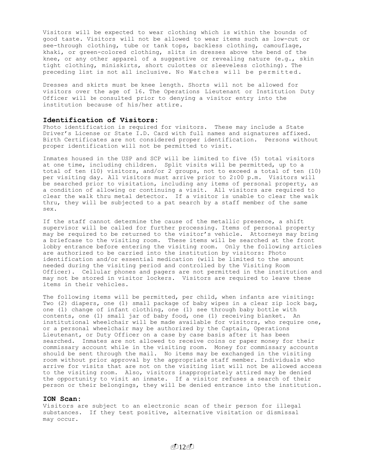Visitors will be expected to wear clothing which is within the bounds of good taste. Visitors will not be allowed to wear items such as low-cut or see-through clothing, tube or tank tops, backless clothing, camouflage, khaki, or green-colored clothing, slits in dresses above the bend of the knee, or any other apparel of a suggestive or revealing nature  $(e.q.,$  skin tight clothing, miniskirts, short culottes or sleeveless clothing). The preceding list is not all inclusive. No Watches will be permitted.

Dresses and skirts must be knee length. Shorts will not be allowed for visitors over the age of 16. The Operations Lieutenant or Institution Duty Officer will be consulted prior to denying a visitor entry into the institution because of his/her attire.

## **Identification of Visitors:**

Photo identification is required for visitors. These may include a State Driver's License or State I.D. Card with full names and signatures affixed. Birth Certificates are not considered proper identification. Persons without proper identification will not be permitted to visit.

Inmates housed in the USP and SCP will be limited to five (5) total visitors at one time, including children. Split visits will be permitted, up to a total of ten (10) visitors, and/or 2 groups, not to exceed a total of ten (10) per visiting day. All visitors must arrive prior to 2:00 p.m. Visitors will be searched prior to visitation, including any items of personal property, as a condition of allowing or continuing a visit. All visitors are required to clear the walk thru metal detector. If a visitor is unable to clear the walk thru, they will be subjected to a pat search by a staff member of the same sex.

If the staff cannot determine the cause of the metallic presence, a shift supervisor will be called for further processing. Items of personal property may be required to be returned to the visitor's vehicle. Attorneys may bring a briefcase to the visiting room. These items will be searched at the front lobby entrance before entering the visiting room. Only the following articles are authorized to be carried into the institution by visitors: Photo identification and/or essential medication (will be limited to the amount needed during the visiting period and controlled by the Visiting Room Officer). Cellular phones and pagers are not permitted in the institution and may not be stored in visitor lockers. Visitors are required to leave these items in their vehicles.

The following items will be permitted, per child, when infants are visiting: Two (2) diapers, one (1) small package of baby wipes in a clear zip lock bag, one (1) change of infant clothing, one (1) see through baby bottle with contents, one (1) small jar of baby food, one (1) receiving blanket. An institutional wheelchair will be made available for visitors, who require one, or a personal wheelchair may be authorized by the Captain, Operations Lieutenant, or Duty Officer on a case by case basis after it has been searched. Inmates are not allowed to receive coins or paper money for their commissary account while in the visiting room. Money for commissary accounts should be sent through the mail. No items may be exchanged in the visiting room without prior approval by the appropriate staff member. Individuals who arrive for visits that are not on the visiting list will not be allowed access to the visiting room. Also, visitors inappropriately attired may be denied the opportunity to visit an inmate. If a visitor refuses a search of their person or their belongings, they will be denied entrance into the institution.

#### **ION Scan:**

Visitors are subject to an electronic scan of their person for illegal substances. If they test positive, alternative visitation or dismissal may occur.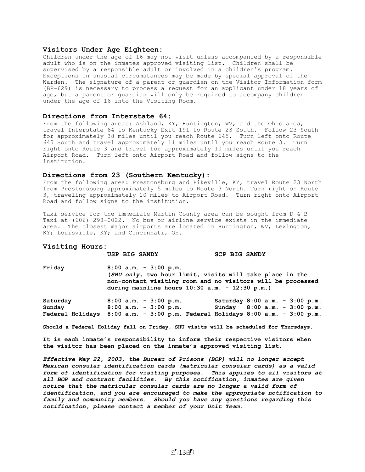#### **Visitors Under Age Eighteen:**

Children under the age of 16 may not visit unless accompanied by a responsible adult who is on the inmates approved visiting list. Children shall be supervised by a responsible adult or involved in a children's program. Exceptions in unusual circumstances may be made by special approval of the Warden. The signature of a parent or guardian on the Visitor Information form (BP-629) is necessary to process a request for an applicant under 18 years of age, but a parent or guardian will only be required to accompany children under the age of 16 into the Visiting Room.

#### **Directions from Interstate 64:**

From the following areas: Ashland, KY, Huntington, WV, and the Ohio area, travel Interstate 64 to Kentucky Exit 191 to Route 23 South. Follow 23 South for approximately 38 miles until you reach Route 645. Turn left onto Route 645 South and travel approximately 11 miles until you reach Route 3. Turn right onto Route 3 and travel for approximately 10 miles until you reach Airport Road. Turn left onto Airport Road and follow signs to the institution.

#### **Directions from 23 (Southern Kentucky):**

From the following area: Prestonsburg and Pikeville, KY, travel Route 23 North from Prestonsburg approximately 5 miles to Route 3 North. Turn right on Route 3, traveling approximately 10 miles to Airport Road. Turn right onto Airport Road and follow signs to the institution.

Taxi service for the immediate Martin County area can be sought from D & B Taxi at (606) 298-0022. No bus or airline service exists in the immediate area. The closest major airports are located in Huntington, WV; Lexington, KY; Louisville, KY; and Cincinnati, OH.

#### **Visiting Hours:**

**USP BIG SANDY SCP BIG SANDY**

**Friday 8:00 a.m. - 3:00 p.m. (***SHU only***, two hour limit, visits will take place in the non-contact visiting room and no visitors will be processed during mainline hours 10:30 a.m. - 12:30 p.m.)** 

| Saturday                                                                              |  | $8:00$ a.m. - 3:00 p.m.   | Saturday $8:00$ a.m. - $3:00$ p.m. |  |  |  |
|---------------------------------------------------------------------------------------|--|---------------------------|------------------------------------|--|--|--|
| Sunday                                                                                |  | $8:00$ a.m. - $3:00$ p.m. | Sunday $8:00$ a.m. $-3:00$ p.m.    |  |  |  |
| Federal Holidays $8:00$ a.m. - $3:00$ p.m. Federal Holidays $8:00$ a.m. - $3:00$ p.m. |  |                           |                                    |  |  |  |

**Should a Federal Holiday fall on Friday, SHU visits will be scheduled for Thursdays.**

**It is each inmate's responsibility to inform their respective visitors when the visitor has been placed on the inmate's approved visiting list.**

*Effective May 22, 2003, the Bureau of Prisons (BOP) will no longer accept Mexican consular identification cards (matricular consular cards) as a valid form of identification for visiting purposes. This applies to all visitors at all BOP and contract facilities. By this notification, inmates are given notice that the matricular consular cards are no longer a valid form of identification, and you are encouraged to make the appropriate notification to family and community members. Should you have any questions regarding this notification, please contact a member of your Unit Team***.**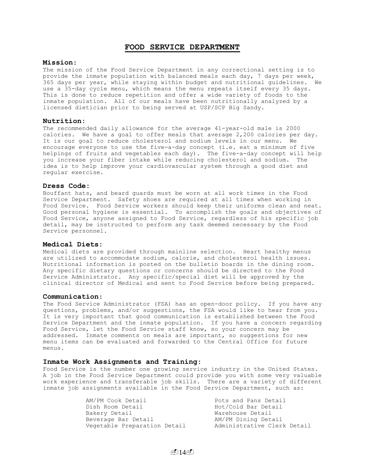## **FOOD SERVICE DEPARTMENT**

#### **Mission**:

The mission of the Food Service Department in any correctional setting is to provide the inmate population with balanced meals each day, 7 days per week, 365 days per year, while staying within budget and nutritional guidelines. We use a 35-day cycle menu, which means the menu repeats itself every 35 days. This is done to reduce repetition and offer a wide variety of foods to the inmate population. All of our meals have been nutritionally analyzed by a licensed dietician prior to being served at USP/SCP Big Sandy.

#### **Nutrition:**

The recommended daily allowance for the average 41-year-old male is 2000 calories. We have a goal to offer meals that average 2,200 calories per day. It is our goal to reduce cholesterol and sodium levels in our menu. We encourage everyone to use the five-a-day concept (i.e. eat a minimum of five helpings of fruits and vegetables each day). The five-a-day concept will help you increase your fiber intake while reducing cholesterol and sodium. The idea is to help improve your cardiovascular system through a good diet and regular exercise.

## **Dress Code:**

Bouffant hats, and beard guards must be worn at all work times in the Food Service Department. Safety shoes are required at all times when working in Food Service. Food Service workers should keep their uniforms clean and neat. Good personal hygiene is essential. To accomplish the goals and objectives of Food Service, anyone assigned to Food Service, regardless of his specific job detail, may be instructed to perform any task deemed necessary by the Food Service personnel.

#### **Medical Diets:**

Medical diets are provided through mainline selection. Heart healthy menus are utilized to accommodate sodium, calorie, and cholesterol health issues. Nutritional information is posted on the bulletin boards in the dining room. Any specific dietary questions or concerns should be directed to the Food Service Administrator. Any specific/special diet will be approved by the clinical director of Medical and sent to Food Service before being prepared.

#### **Communication**:

The Food Service Administrator (FSA) has an open-door policy. If you have any questions, problems, and/or suggestions, the FSA would like to hear from you. It is very important that good communication is established between the Food Service Department and the inmate population. If you have a concern regarding Food Service, let the Food Service staff know, so your concern may be addressed. Inmate comments on meals are important, so suggestions for new menu items can be evaluated and forwarded to the Central Office for future menus.

#### **Inmate Work Assignments and Training**:

Food Service is the number one growing service industry in the United States. A job in the Food Service Department could provide you with some very valuable work experience and transferable job skills. There are a variety of different inmate job assignments available in the Food Service Department, such as:

| AM/PM Cook Detail            | Pots and Pans Detail        |
|------------------------------|-----------------------------|
| Dish Room Detail             | Hot/Cold Bar Detail         |
| Bakery Detail                | Warehouse Detail            |
| Beverage Bar Detail          | AM/PM Dining Detail         |
| Vegetable Preparation Detail | Administrative Clerk Detail |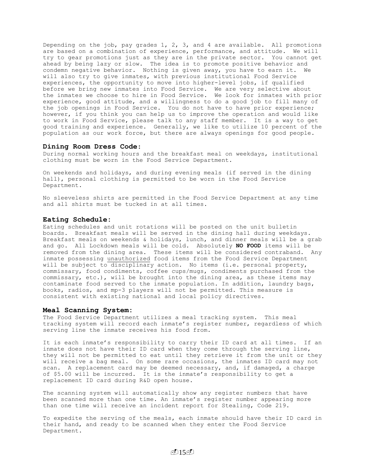Depending on the job, pay grades 1, 2, 3, and 4 are available. All promotions are based on a combination of experience, performance, and attitude. We will try to gear promotions just as they are in the private sector. You cannot get ahead by being lazy or slow. The idea is to promote positive behavior and condemn negative behavior. Nothing is given away, you have to earn it. We will also try to give inmates, with previous institutional Food Service experiences, the opportunity to move into higher-level jobs, if qualified before we bring new inmates into Food Service. We are very selective about the inmates we choose to hire in Food Service. We look for inmates with prior experience, good attitude, and a willingness to do a good job to fill many of the job openings in Food Service. You do not have to have prior experience; however, if you think you can help us to improve the operation and would like to work in Food Service, please talk to any staff member. It is a way to get good training and experience. Generally, we like to utilize 10 percent of the population as our work force, but there are always openings for good people.

#### **Dining Room Dress Code**:

During normal working hours and the breakfast meal on weekdays, institutional clothing must be worn in the Food Service Department.

On weekends and holidays, and during evening meals (if served in the dining hall), personal clothing is permitted to be worn in the Food Service Department.

No sleeveless shirts are permitted in the Food Service Department at any time and all shirts must be tucked in at all times.

#### **Eating Schedule:**

Eating schedules and unit rotations will be posted on the unit bulletin boards. Breakfast meals will be served in the dining hall during weekdays. Breakfast meals on weekends & holidays, lunch, and dinner meals will be a grab and go. All Lockdown meals will be cold. Absolutely **NO FOOD** items will be removed from the dining area. These items will be considered contraband. Any inmate possessing unauthorized food items from the Food Service Department will be subject to disciplinary action. No items (i.e. personal property, commissary, food condiments, coffee cups/mugs, condiments purchased from the commissary, etc.), will be brought into the dining area, as these items may contaminate food served to the inmate population. In addition, laundry bags, books, radios, and mp-3 players will not be permitted. This measure is consistent with existing national and local policy directives.

#### **Meal Scanning System:**

The Food Service Department utilizes a meal tracking system. This meal tracking system will record each inmate's register number, regardless of which serving line the inmate receives his food from.

It is each inmate's responsibility to carry their ID card at all times. If an inmate does not have their ID card when they come through the serving line, they will not be permitted to eat until they retrieve it from the unit or they will receive a bag meal. On some rare occasions, the inmates ID card may not scan. A replacement card may be deemed necessary, and, if damaged, a charge of \$5.00 will be incurred. It is the inmate's responsibility to get a replacement ID card during R&D open house.

The scanning system will automatically show any register numbers that have been scanned more than one time. An inmate's register number appearing more than one time will receive an incident report for Stealing, Code 219.

To expedite the serving of the meals, each inmate should have their ID card in their hand, and ready to be scanned when they enter the Food Service Department.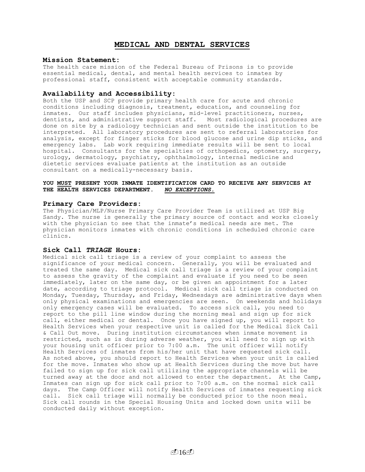## **MEDICAL AND DENTAL SERVICES**

#### **Mission Statement:**

The health care mission of the Federal Bureau of Prisons is to provide essential medical, dental, and mental health services to inmates by professional staff, consistent with acceptable community standards.

#### **Availability and Accessibility:**

Both the USP and SCP provide primary health care for acute and chronic conditions including diagnosis, treatment, education, and counseling for inmates. Our staff includes physicians, mid-level practitioners, nurses, dentists, and administrative support staff. Most radiological procedures are done on site by a radiology technician and sent outside the institution to be interpreted. All laboratory procedures are sent to referral laboratories for analysis, except for finger sticks for blood glucose and urine dip sticks, and emergency labs. Lab work requiring immediate results will be sent to local hospital. Consultants for the specialties of orthopedics, optometry, surgery, urology, dermatology, psychiatry, ophthalmology, internal medicine and dietetic services evaluate patients at the institution as an outside consultant on a medically-necessary basis.

## **YOU MUST PRESENT YOUR INMATE IDENTIFICATION CARD TO RECEIVE ANY SERVICES AT THE HEALTH SERVICES DEPARTMENT.** *NO EXCEPTIONS.*

#### **Primary Care Providers:**

The Physician/MLP/Nurse Primary Care Provider Team is utilized at USP Big Sandy. The nurse is generally the primary source of contact and works closely with the physician to see that the inmate's medical needs are met. The physician monitors inmates with chronic conditions in scheduled chronic care clinics.

#### **Sick Call** *TRIAGE* **Hours:**

Medical sick call triage is a review of your complaint to assess the significance of your medical concern. Generally, you will be evaluated and treated the same day. Medical sick call triage is a review of your complaint to assess the gravity of the complaint and evaluate if you need to be seen immediately, later on the same day, or be given an appointment for a later date, according to triage protocol**.** Medical sick call triage is conducted on Monday, Tuesday, Thursday, and Friday, Wednesdays are administrative days when only physical examinations and emergencies are seen. On weekends and holidays only emergency cases will be evaluated. To access sick call, you need to report to the pill line window during the morning meal and sign up for sick call, either medical or dental. Once you have signed up, you will report to Health Services when your respective unit is called for the Medical Sick Call & Call Out move. During institution circumstances when inmate movement is restricted, such as is during adverse weather, you will need to sign up with your housing unit officer prior to 7:00 a.m. The unit officer will notify Health Services of inmates from his/her unit that have requested sick call. As noted above, you should report to Health Services when your unit is called for the move. Inmates who show up at Health Services during the move but have failed to sign up for sick call utilizing the appropriate channels will be turned away at the door and not allowed to enter the department. At the Camp, Inmates can sign up for sick call prior to 7:00 a.m. on the normal sick call days. The Camp Officer will notify Health Services of inmates requesting sick call. Sick call triage will normally be conducted prior to the noon meal. Sick call rounds in the Special Housing Units and locked down units will be conducted daily without exception.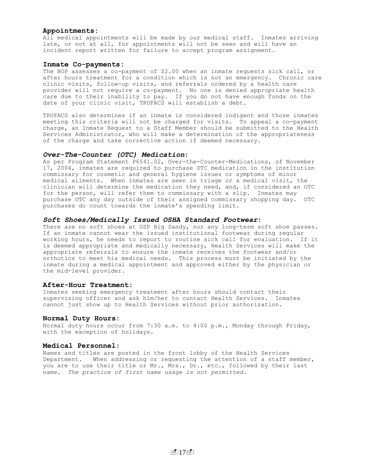#### **Appointments:**

All medical appointments will be made by our medical staff. Inmates arriving late, or not at all, for appointments will not be seen and will have an incident report written for failure to accept program assignment.

#### **Inmate Co-payments:**

The BOP assesses a co-payment of \$2.00 when an inmate requests sick call, or after hours treatment for a condition which is not an emergency. Chronic care clinic visits, follow-up visits, and referrals ordered by a health care provider will not require a co-payment. No one is denied appropriate health care due to their inability to pay. If you do not have enough funds on the date of your clinic visit, TRUFACS will establish a debt.

TRUFACS also determines if an inmate is considered indigent and those inmates meeting this criteria will not be charged for visits. To appeal a co-payment charge, an Inmate Request to a Staff Member should be submitted to the Health Services Administrator, who will make a determination of the appropriateness of the charge and take corrective action if deemed necessary.

## *Over-The-Counter (OTC) Medication***:**

As per Program Statement P6541.02, Over-the-Counter-Medications, of November 17, 2004, inmates are required to purchase OTC medication in the institution commissary for cosmetic and general hygiene issues or symptoms of minor medical ailments. When inmates are seen in triage or a medical visit, the clinician will determine the medication they need, and, if considered an OTC for the person, will refer them to commissary with a slip. Inmates may purchase OTC any day outside of their assigned commissary shopping day. OTC purchases do count towards the inmate's spending limit.

#### *Soft Shoes/Medically Issued OSHA Standard Footwear***:**

There are no soft shoes at USP Big Sandy, nor any long-term soft shoe passes. If an inmate cannot wear the issued institutional footwear during regular working hours, he needs to report to routine sick call for evaluation. If it is deemed appropriate and medically necessary, Health Services will make the appropriate referrals to ensure the inmate receives the footwear and/or orthotics to meet his medical needs. This process must be initiated by the inmate during a medical appointment and approved either by the physician or the mid-level provider.

#### **After-Hour Treatment:**

Inmates seeking emergency treatment after hours should contact their supervising officer and ask him/her to contact Health Services. Inmates cannot just show up to Health Services without prior authorization.

#### **Normal Duty Hours:**

Normal duty hours occur from 7:30 a.m. to 4:00 p.m., Monday through Friday, with the exception of holidays.

## **Medical Personnel:**

Names and titles are posted in the front lobby of the Health Services Department. When addressing or requesting the attention of a staff member, you are to use their title or Mr., Mrs., Dr., etc., followed by their last name. *The practice of first name usage is not permitted.*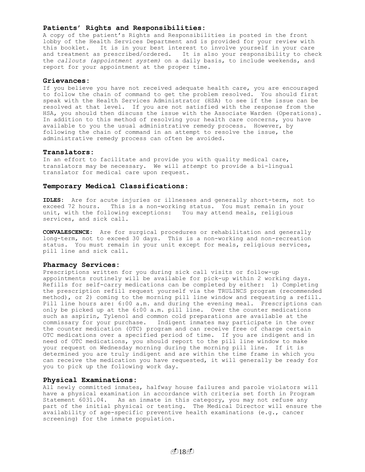## **Patients' Rights and Responsibilities:**

A copy of the patient's Rights and Responsibilities is posted in the front lobby of the Health Services Department and is provided for your review with this booklet. It is in your best interest to involve yourself in your care and treatment as prescribed/ordered. It is also your responsibility to check the *callouts (appointment system)* on a daily basis, to include weekends, and report for your appointment at the proper time.

#### **Grievances:**

If you believe you have not received adequate health care, you are encouraged to follow the chain of command to get the problem resolved. You should first speak with the Health Services Administrator (HSA) to see if the issue can be resolved at that level. If you are not satisfied with the response from the HSA, you should then discuss the issue with the Associate Warden (Operations). In addition to this method of resolving your health care concerns, you have available to you the usual administrative remedy process. However, by following the chain of command in an attempt to resolve the issue, the administrative remedy process can often be avoided.

#### **Translators:**

In an effort to facilitate and provide you with quality medical care, translators may be necessary. We will *attempt* to provide a bi-lingual translator for medical care upon request.

## **Temporary Medical Classifications:**

**IDLES:** Are for acute injuries or illnesses and generally short-term, not to exceed 72 hours. This is a non-working status. You must remain in your unit, with the following exceptions: You may attend meals, religious services, and sick call.

**CONVALESCENCE:** Are for surgical procedures or rehabilitation and generally long-term, not to exceed 30 days. This is a non-working and non-recreation status. You must remain in your unit except for meals, religious services, pill line and sick call.

#### **Pharmacy Services:**

Prescriptions written for you during sick call visits or follow-up appointments routinely will be available for pick-up within 2 working days. Refills for self-carry medications can be completed by either: 1) Completing the prescription refill request yourself via the TRULINCS program (recommended method), or 2) coming to the morning pill line window and requesting a refill. Pill line hours are: 6:00 a.m. and during the evening meal. Prescriptions can only be picked up at the 6:00 a.m. pill line. Over the counter medications such as aspirin, Tylenol and common cold preparations are available at the commissary for your purchase. Indigent inmates may participate in the over the counter medication (OTC) program and can receive free of charge certain OTC medications over a specified period of time. If you are indigent and in need of OTC medications, you should report to the pill line window to make your request on Wednesday morning during the morning pill line. If it is determined you are truly indigent and are within the time frame in which you can receive the medication you have requested, it will generally be ready for you to pick up the following work day.

#### **Physical Examinations:**

All newly committed inmates, halfway house failures and parole violators will have a physical examination in accordance with criteria set forth in Program Statement 6031.04. As an inmate in this category, you may not refuse any part of the initial physical or testing. The Medical Director will ensure the availability of age-specific preventive health examinations (e.g., cancer screening) for the inmate population.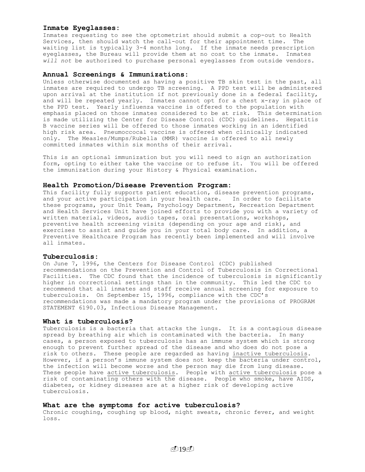#### **Inmate Eyeglasses:**

Inmates requesting to see the optometrist should submit a cop-out to Health Services, then should watch the call-out for their appointment time. The waiting list is typically 3-4 months long. If the inmate needs prescription eyeglasses, the Bureau will provide them at no cost to the inmate. Inmates *will not* be authorized to purchase personal eyeglasses from outside vendors.

## **Annual Screenings & Immunizations:**

Unless otherwise documented as having a positive TB skin test in the past, all inmates are required to undergo TB screening. A PPD test will be administered upon arrival at the institution if not previously done in a federal facility, and will be repeated yearly. Inmates cannot opt for a chest x-ray in place of the PPD test. Yearly influenza vaccine is offered to the population with emphasis placed on those inmates considered to be at risk. This determination is made utilizing the Center for Disease Control (CDC) guidelines. Hepatitis B vaccine series will be offered to those inmates working in an identified high risk area. Pneumoccocal vaccine is offered when clinically indicated only. The Measles/Mumps/Rubella (MMR) vaccine is offered to all newly committed inmates within six months of their arrival.

This is an optional immunization but you will need to sign an authorization form, opting to either take the vaccine or to refuse it. You will be offered the immunization during your History & Physical examination.

#### **Health Promotion/Disease Prevention Program:**

This facility fully supports patient education, disease prevention programs, and your active participation in your health care. In order to facilitate these programs, your Unit Team, Psychology Department, Recreation Department and Health Services Unit have joined efforts to provide you with a variety of written material, videos, audio tapes, oral presentations, workshops, preventive health screening visits (depending on your age and risk), and exercises to assist and guide you in your total body care. In addition, a Preventive Healthcare Program has recently been implemented and will involve all inmates.

#### **Tuberculosis:**

On June 7, 1996, the Centers for Disease Control (CDC) published recommendations on the Prevention and Control of Tuberculosis in Correctional Facilities. The CDC found that the incidence of tuberculosis is significantly higher in correctional settings than in the community. This led the CDC to recommend that all inmates and staff receive annual screening for exposure to tuberculosis. On September 15, 1996, compliance with the CDC's recommendations was made a mandatory program under the provisions of PROGRAM STATEMENT 6190.03, Infectious Disease Management.

## **What is tuberculosis?**

Tuberculosis is a bacteria that attacks the lungs. It is a contagious disease spread by breathing air which is contaminated with the bacteria. In many cases, a person exposed to tuberculosis has an immune system which is strong enough to prevent further spread of the disease and who does do not pose a risk to others. These people are regarded as having inactive tuberculosis. However, if a person's immune system does not keep the bacteria under control, the infection will become worse and the person may die from lung disease. These people have active tuberculosis. People with active tuberculosis pose a risk of contaminating others with the disease. People who smoke, have AIDS, diabetes, or kidney diseases are at a higher risk of developing active tuberculosis.

#### **What are the symptoms for active tuberculosis?**

Chronic coughing, coughing up blood, night sweats, chronic fever, and weight loss.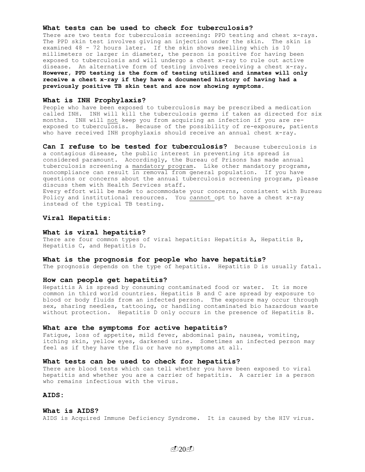#### **What tests can be used to check for tuberculosis?**

There are two tests for tuberculosis screening: PPD testing and chest x-rays. The PPD skin test involves giving an injection under the skin. The skin is examined 48 - 72 hours later. If the skin shows swelling which is 10 millimeters or larger in diameter, the person is positive for having been exposed to tuberculosis and will undergo a chest x-ray to rule out active disease. An alternative form of testing involves receiving a chest x-ray. **However, PPD testing is the form of testing utilized and inmates will only receive a chest x-ray if they have a documented history of having had a previously positive TB skin test and are now showing symptoms.**

#### **What is INH Prophylaxis?**

People who have been exposed to tuberculosis may be prescribed a medication called INH. INH will kill the tuberculosis germs if taken as directed for six months. INH will not keep you from acquiring an infection if you are reexposed to tuberculosis. Because of the possibility of re-exposure, patients who have received INH prophylaxis should receive an annual chest x-ray.

**Can I refuse to be tested for tuberculosis?** Because tuberculosis is a contagious disease, the public interest in preventing its spread is considered paramount. Accordingly, the Bureau of Prisons has made annual tuberculosis screening a mandatory program. Like other mandatory programs, noncompliance can result in removal from general population. If you have questions or concerns about the annual tuberculosis screening program, please discuss them with Health Services staff. Every effort will be made to accommodate your concerns, consistent with Bureau Policy and institutional resources. You cannot opt to have a chest x-ray instead of the typical TB testing.

#### **Viral Hepatitis:**

#### **What is viral hepatitis?**

There are four common types of viral hepatitis: Hepatitis A, Hepatitis B, Hepatitis C, and Hepatitis D.

#### **What is the prognosis for people who have hepatitis?**

The prognosis depends on the type of hepatitis. Hepatitis D is usually fatal.

#### **How can people get hepatitis?**

Hepatitis A is spread by consuming contaminated food or water. It is more common in third world countries. Hepatitis B and C are spread by exposure to blood or body fluids from an infected person. The exposure may occur through sex, sharing needles, tattooing, or handling contaminated bio hazardous waste without protection. Hepatitis D only occurs in the presence of Hepatitis B.

#### **What are the symptoms for active hepatitis?**

Fatigue, loss of appetite, mild fever, abdominal pain, nausea, vomiting, itching skin, yellow eyes, darkened urine. Sometimes an infected person may feel as if they have the flu or have no symptoms at all.

#### **What tests can be used to check for hepatitis?**

There are blood tests which can tell whether you have been exposed to viral hepatitis and whether you are a carrier of hepatitis. A carrier is a person who remains infectious with the virus.

## **AIDS:**

#### **What is AIDS?**

AIDS is Acquired Immune Deficiency Syndrome. It is caused by the HIV virus.

 $(120)$  $(1)$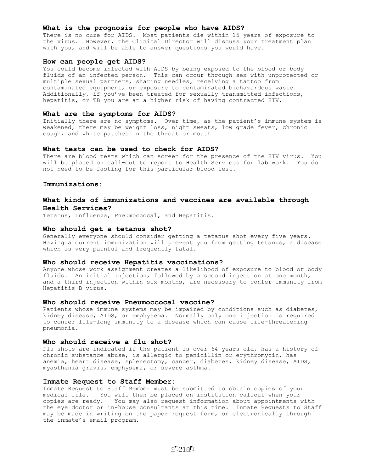#### **What is the prognosis for people who have AIDS?**

There is no cure for AIDS. Most patients die within 15 years of exposure to the virus. However, the Clinical Director will discuss your treatment plan with you, and will be able to answer questions you would have.

#### **How can people get AIDS?**

You could become infected with AIDS by being exposed to the blood or body fluids of an infected person. This can occur through sex with unprotected or multiple sexual partners, sharing needles, receiving a tattoo from contaminated equipment, or exposure to contaminated biohazardous waste. Additionally, if you've been treated for sexually transmitted infections, hepatitis, or TB you are at a higher risk of having contracted HIV.

#### **What are the symptoms for AIDS?**

Initially there are no symptoms. Over time, as the patient's immune system is weakened, there may be weight loss, night sweats, low grade fever, chronic cough, and white patches in the throat or mouth

#### **What tests can be used to check for AIDS?**

There are blood tests which can screen for the presence of the HIV virus. You will be placed on call-out to report to Health Services for lab work. You do not need to be fasting for this particular blood test.

#### **Immunizations:**

## **What kinds of immunizations and vaccines are available through Health Services?**

Tetanus, Influenza, Pneumoccocal, and Hepatitis.

#### **Who should get a tetanus shot?**

Generally everyone should consider getting a tetanus shot every five years. Having a current immunization will prevent you from getting tetanus, a disease which is very painful and frequently fatal.

#### **Who should receive Hepatitis vaccinations?**

Anyone whose work assignment creates a likelihood of exposure to blood or body fluids. An initial injection, followed by a second injection at one month, and a third injection within six months, are necessary to confer immunity from Hepatitis B virus.

#### **Who should receive Pneumoccocal vaccine?**

Patients whose immune systems may be impaired by conditions such as diabetes, kidney disease, AIDS, or emphysema. Normally only one injection is required to confer life-long immunity to a disease which can cause life-threatening pneumonia.

## **Who should receive a flu shot?**

Flu shots are indicated if the patient is over 64 years old, has a history of chronic substance abuse, is allergic to penicillin or erythromycin, has anemia, heart disease, splenectomy, cancer, diabetes, kidney disease, AIDS, myasthenia gravis, emphysema, or severe asthma.

#### **Inmate Request to Staff Member:**

Inmate Request to Staff Member must be submitted to obtain copies of your medical file. You will then be placed on institution callout when your copies are ready. You may also request information about appointments with the eye doctor or in-house consultants at this time. Inmate Requests to Staff may be made in writing on the paper request form, or electronically through the inmate's email program.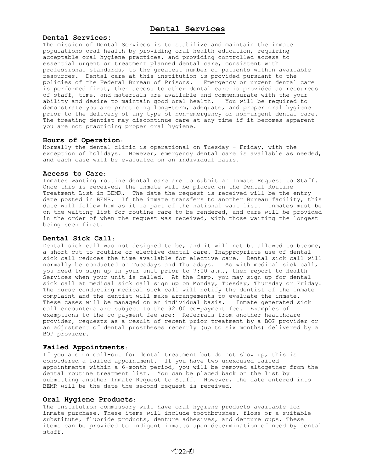#### **Dental Services:**

The mission of Dental Services is to stabilize and maintain the inmate populations oral health by providing oral health education, requiring acceptable oral hygiene practices, and providing controlled access to essential urgent or treatment planned dental care, consistent with professional standards, to the greatest number of patients within available resources. Dental care at this institution is provided pursuant to the policies of the Federal Bureau of Prisons. Emergency or urgent dental care is performed first, then access to other dental care is provided as resources of staff, time, and materials are available and commensurate with the your ability and desire to maintain good oral health. You will be required to demonstrate you are practicing long-term, adequate, and proper oral hygiene prior to the delivery of any type of non-emergency or non-urgent dental care. The treating dentist may discontinue care at any time if it becomes apparent you are not practicing proper oral hygiene.

#### **Hours of Operation**:

Normally the dental clinic is operational on Tuesday - Friday, with the exception of holidays. However, emergency dental care is available as needed, and each case will be evaluated on an individual basis.

#### **Access to Care:**

Inmates wanting routine dental care are to submit an Inmate Request to Staff. Once this is received, the inmate will be placed on the Dental Routine Treatment List in BEMR. The date the request is received will be the entry date posted in BEMR. If the inmate transfers to another Bureau facility, this date will follow him as it is part of the national wait list. Inmates must be on the waiting list for routine care to be rendered, and care will be provided in the order of when the request was received, with those waiting the longest being seen first.

## **Dental Sick Call**:

Dental sick call was not designed to be, and it will not be allowed to become, a short cut to routine or elective dental care. Inappropriate use of dental sick call reduces the time available for elective care. Dental sick call will normally be conducted on Tuesdays and Thursdays. As with medical sick call, you need to sign up in your unit prior to 7:00 a.m., then report to Health Services when your unit is called. At the Camp, you may sign up for dental sick call at medical sick call sign up on Monday, Tuesday, Thursday or Friday. The nurse conducting medical sick call will notify the dentist of the inmate complaint and the dentist will make arrangements to evaluate the inmate. These cases will be managed on an individual basis. Inmate generated sick call encounters are subject to the \$2.00 co-payment fee. Examples of exemptions to the co-payment fee are: Referrals from another healthcare provider, requests as a result of recent prior treatment by a BOP provider or an adjustment of dental prostheses recently (up to six months) delivered by a BOP provider.

#### **Failed Appointments**:

If you are on call-out for dental treatment but do not show up, this is considered a failed appointment. If you have two unexcused failed appointments within a  $6$ -month period, you will be removed altogether from the dental routine treatment list. You can be placed back on the list by submitting another Inmate Request to Staff. However, the date entered into BEMR will be the date the second request is received.

## **Oral Hygiene Products**:

The institution commissary will have oral hygiene products available for inmate purchase. These items will include toothbrushes, floss or a suitable substitute, fluoride products, denture adhesives, and denture cups. These items can be provided to indigent inmates upon determination of need by dental staff.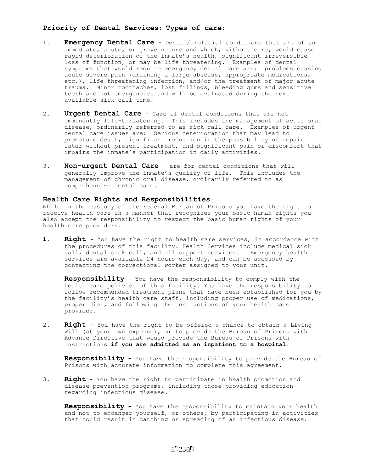## **Priority of Dental Services**: **Types of care**:

- 1. **Emergency Dental Care** Dental/orofacial conditions that are of an immediate, acute, or grave nature and which, without care, would cause rapid deterioration of the inmate's health, significant irreversible loss of function, or may be life threatening. Examples of dental symptoms that would require emergency dental care are: problems causing acute severe pain (draining a large abscess, appropriate medications, etc.), life threatening infection, and/or the treatment of major acute trauma. Minor toothaches, lost fillings, bleeding gums and sensitive teeth are not emergencies and will be evaluated during the next available sick call time.
- 2. **Urgent Dental Care** Care of dental conditions that are not imminently life-threatening. This includes the management of acute oral disease, ordinarily referred to as sick call care. Examples of urgent dental care issues are: Serious deterioration that may lead to premature death, significant reduction in the possibility of repair later without present treatment, and significant pain or discomfort that impairs the inmate's participation in daily activities.
- 3. **Non-urgent Dental Care** are for dental conditions that will generally improve the inmate's quality of life. This includes the management of chronic oral disease, ordinarily referred to as comprehensive dental care.

## **Health Care Rights and Responsibilities:**

While in the custody of the Federal Bureau of Prisons you have the right to receive health care in a manner that recognizes your basic human rights you also accept the responsibility to respect the basic human rights of your health care providers.

**1. Right -** You have the right to health care services, in accordance with the procedures of this facility. Health Services include medical sick call, dental sick call, and all support services. Emergency health services are available 24 hours each day, and can be accessed by contacting the correctional worker assigned to your unit.

**Responsibility** - You have the responsibility to comply with the health care policies of this facility. You have the responsibility to follow recommended treatment plans that have been established for you by the facility's health care staff, including proper use of medications, proper diet, and following the instructions of your health care provider.

2. **Right -** You have the right to be offered a chance to obtain a Living Will (at your own expense), or to provide the Bureau of Prisons with Advance Directive that would provide the Bureau of Prisons with instructions **if you are admitted as an inpatient to a hospital.**

**Responsibility -** You have the responsibility to provide the Bureau of Prisons with accurate information to complete this agreement.

3. **Right -** You have the right to participate in health promotion and disease prevention programs, including those providing education regarding infectious disease.

**Responsibility -** You have the responsibility to maintain your health and not to endanger yourself, or others, by participating in activities that could result in catching or spreading of an infectious disease.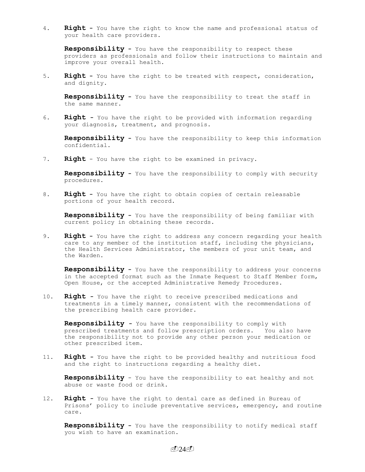4. **Right -** You have the right to know the name and professional status of your health care providers.

**Responsibility -** You have the responsibility to respect these providers as professionals and follow their instructions to maintain and improve your overall health.

5. **Right -** You have the right to be treated with respect, consideration, and dignity.

**Responsibility -** You have the responsibility to treat the staff in the same manner.

6. **Right -** You have the right to be provided with information regarding your diagnosis, treatment, and prognosis.

**Responsibility -** You have the responsibility to keep this information confidential.

7. **Right** - You have the right to be examined in privacy.

**Responsibility -** You have the responsibility to comply with security procedures.

8. **Right -** You have the right to obtain copies of certain releasable portions of your health record.

**Responsibility -** You have the responsibility of being familiar with current policy in obtaining these records.

9. **Right -** You have the right to address any concern regarding your health care to any member of the institution staff, including the physicians, the Health Services Administrator, the members of your unit team, and the Warden.

**Responsibility -** You have the responsibility to address your concerns in the accepted format such as the Inmate Request to Staff Member form, Open House, or the accepted Administrative Remedy Procedures.

10. **Right -** You have the right to receive prescribed medications and treatments in a timely manner, consistent with the recommendations of the prescribing health care provider.

**Responsibility -** You have the responsibility to comply with prescribed treatments and follow prescription orders. You also have the responsibility not to provide any other person your medication or other prescribed item.

11. **Right -** You have the right to be provided healthy and nutritious food and the right to instructions regarding a healthy diet.

**Responsibility** - You have the responsibility to eat healthy and not abuse or waste food or drink.

12. **Right -** You have the right to dental care as defined in Bureau of Prisons' policy to include preventative services, emergency, and routine care.

**Responsibility -** You have the responsibility to notify medical staff you wish to have an examination.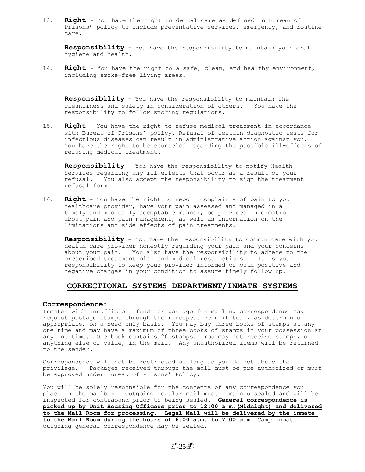13. **Right -** You have the right to dental care as defined in Bureau of Prisons' policy to include preventative services, emergency, and routine care.

**Responsibility -** You have the responsibility to maintain your oral hygiene and health.

14. **Right -** You have the right to a safe, clean, and healthy environment, including smoke-free living areas.

**Responsibility -** You have the responsibility to maintain the cleanliness and safety in consideration of others. You have the responsibility to follow smoking regulations.

15. **Right -** You have the right to refuse medical treatment in accordance with Bureau of Prisons' policy. Refusal of certain diagnostic tests for infectious diseases can result in administrative action against you. You have the right to be counseled regarding the possible ill-effects of refusing medical treatment.

**Responsibility -** You have the responsibility to notify Health Services regarding any ill-effects that occur as a result of your refusal. You also accept the responsibility to sign the treatment refusal form.

16. **Right -** You have the right to report complaints of pain to your healthcare provider, have your pain assessed and managed in a timely and medically acceptable manner, be provided information about pain and pain management, as well as information on the limitations and side effects of pain treatments.

**Responsibility -** You have the responsibility to communicate with your health care provider honestly regarding your pain and your concerns about your pain. You also have the responsibility to adhere to the prescribed treatment plan and medical restrictions. It is your responsibility to keep your provider informed of both positive and negative changes in your condition to assure timely follow up.

## **CORRECTIONAL SYSTEMS DEPARTMENT/INMATE SYSTEMS**

#### **Correspondence:**

Inmates with insufficient funds or postage for mailing correspondence may request postage stamps through their respective unit team, as determined appropriate, on a need-only basis. You may buy three books of stamps at any one time and may have a maximum of three books of stamps in your possession at any one time. One book contains 20 stamps. You may not receive stamps, or anything else of value, in the mail. Any unauthorized items will be returned to the sender.

Correspondence will not be restricted as long as you do not abuse the privilege. Packages received through the mail must be pre-authorized or must be approved under Bureau of Prisons' Policy.

You will be solely responsible for the contents of any correspondence you place in the mailbox. Outgoing regular mail must remain unsealed and will be inspected for contraband prior to being sealed. **General correspondence is picked up by Unit Housing Officers prior to 12:00 a.m.(Midnight) and delivered to the Mail Room for processing. Legal Mail will be delivered by the inmate to the Mail Room during the hours of 6:00 a.m. to 7:00 a.m.** Camp inmate outgoing general correspondence may be sealed.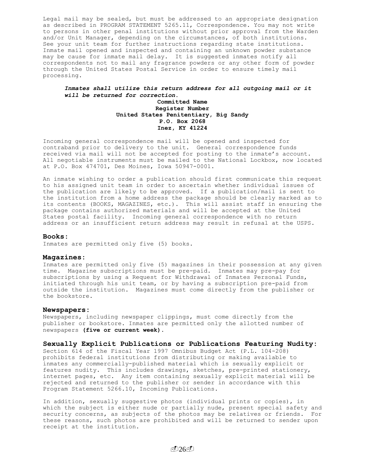Legal mail may be sealed, but must be addressed to an appropriate designation as described in PROGRAM STATEMENT 5265.11, Correspondence. You may not write to persons in other penal institutions without prior approval from the Warden and/or Unit Manager, depending on the circumstances, of both institutions. See your unit team for further instructions regarding state institutions. Inmate mail opened and inspected and containing an unknown powder substance may be cause for inmate mail delay. It is suggested inmates notify all correspondents not to mail any fragrance powders or any other form of powder through the United States Postal Service in order to ensure timely mail processing.

## *Inmates shall utilize this return address for all outgoing mail or it will be returned for correction***.**

## **Committed Name Register Number United States Penitentiary, Big Sandy P.O. Box 2068 Inez, KY 41224**

Incoming general correspondence mail will be opened and inspected for contraband prior to delivery to the unit. General correspondence funds received via mail will not be accepted for posting to the inmate's account. All negotiable instruments must be mailed to the National Lockbox, now located at P.O. Box 474701, Des Moines, Iowa 50947-0001.

An inmate wishing to order a publication should first communicate this request to his assigned unit team in order to ascertain whether individual issues of the publication are likely to be approved. If a publication/mail is sent to the institution from a home address the package should be clearly marked as to its contents (BOOKS, MAGAZINES, etc.). This will assist staff in ensuring the package contains authorized materials and will be accepted at the United States postal facility. Incoming general correspondence with no return address or an insufficient return address may result in refusal at the USPS.

#### **Books:**

Inmates are permitted only five (5) books.

#### **Magazines:**

Inmates are permitted only five (5) magazines in their possession at any given time. Magazine subscriptions must be pre-paid. Inmates may pre-pay for subscriptions by using a Request for Withdrawal of Inmates Personal Funds, initiated through his unit team, or by having a subscription pre-paid from outside the institution. Magazines must come directly from the publisher or the bookstore.

#### **Newspapers:**

Newspapers, including newspaper clippings, must come directly from the publisher or bookstore**.** Inmates are permitted only the allotted number of newspapers **(five or current week).**

## **Sexually Explicit Publications or Publications Featuring Nudity:**

Section 614 of the Fiscal Year 1997 Omnibus Budget Act (P.L. 104-208) prohibits federal institutions from distributing or making available to inmates any commercially-published material which is sexually explicit or features nudity. This includes drawings, sketches, pre-printed stationery, internet pages, etc. Any item containing sexually explicit material will be rejected and returned to the publisher or sender in accordance with this Program Statement 5266.10, Incoming Publications.

In addition, sexually suggestive photos (individual prints or copies), in which the subject is either nude or partially nude, present special safety and security concerns, as subjects of the photos may be relatives or friends. For these reasons, such photos are prohibited and will be returned to sender upon receipt at the institution.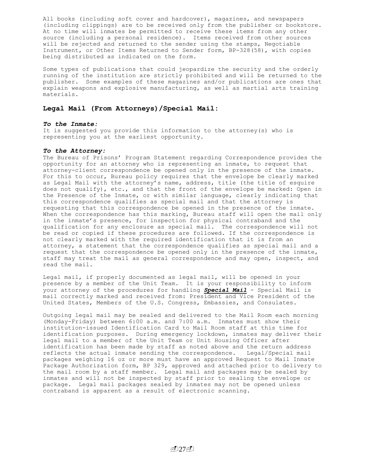All books (including soft cover and hardcover), magazines, and newspapers (including clippings) are to be received only from the publisher or bookstore. At no time will inmates be permitted to receive these items from any other source (including a personal residence). Items received from other sources will be rejected and returned to the sender using the stamps, Negotiable Instrument, or Other Items Returned to Sender form, BP-328(58), with copies being distributed as indicated on the form.

Some types of publications that could jeopardize the security and the orderly running of the institution are strictly prohibited and will be returned to the publisher. Some examples of these magazines and/or publications are ones that explain weapons and explosive manufacturing, as well as martial arts training materials.

#### **Legal Mail (From Attorneys)/Special Mail:**

#### *To the Inmate:*

It is suggested you provide this information to the attorney(s) who is representing you at the earliest opportunity.

#### *To the Attorney:*

The Bureau of Prisons' Program Statement regarding Correspondence provides the opportunity for an attorney who is representing an inmate, to request that attorney-client correspondence be opened only in the presence of the inmate. For this to occur, Bureau policy requires that the envelope be clearly marked as Legal Mail with the attorney's name, address, title (the title of esquire does not qualify), etc., and that the front of the envelope be marked: Open in the Presence of the Inmate, or with similar language, clearly indicating that this correspondence qualifies as special mail and that the attorney is requesting that this correspondence be opened in the presence of the inmate. When the correspondence has this marking, Bureau staff will open the mail only in the inmate's presence, for inspection for physical contraband and the qualification for any enclosure as special mail. The correspondence will not be read or copied if these procedures are followed. If the correspondence is not clearly marked with the required identification that it is from an attorney, a statement that the correspondence qualifies as special mail and a request that the correspondence be opened only in the presence of the inmate, staff may treat the mail as general correspondence and may open, inspect, and read the mail.

Legal mail, if properly documented as legal mail, will be opened in your presence by a member of the Unit Team. It is your responsibility to inform your attorney of the procedures for handling *Special Mail* - Special Mail is mail correctly marked and received from: President and Vice President of the United States, Members of the U.S. Congress, Embassies, and Consulates.

Outgoing legal mail may be sealed and delivered to the Mail Room each morning (Monday-Friday) between 6:00 a.m. and 7:00 a.m. Inmates must show their institution-issued Identification Card to Mail Room staff at this time for identification purposes. During emergency lockdown, inmates may deliver their legal mail to a member of the Unit Team or Unit Housing Officer after identification has been made by staff as noted above and the return address reflects the actual inmate sending the correspondence. Legal/Special mail packages weighing 16 oz or more must have an approved Request to Mail Inmate Package Authorization form, BP 329, approved and attached prior to delivery to the mail room by a staff member. Legal mail and packages may be sealed by inmates and will not be inspected by staff prior to sealing the envelope or package. Legal mail packages sealed by inmates may not be opened unless contraband is apparent as a result of electronic scanning.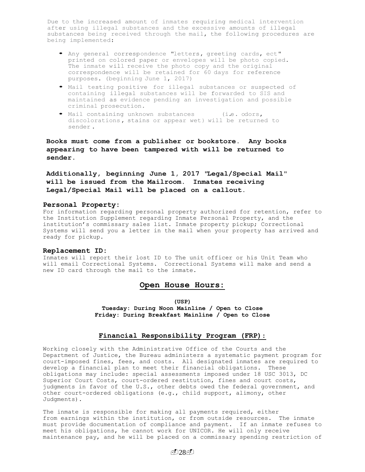Due to the increased amount of inmates requiring medical intervention after using illegal substances and the excessive amounts of illegal substances being received through the mail, the following procedures are being implemented:

- Any general correspondence "letters, greeting cards, ect" printed on colored paper or envelopes will be photo copied. The inmate will receive the photo copy and the original correspondence will be retained for 60 days for reference purposes. (beginning June 1, 2017)
- Mail testing positive for illegal substances or suspected of containing illegal substances will be forwarded to SIS and maintained as evidence pending an investigation and possible criminal prosecution.
- Mail containing unknown substances (i.e. odors, discolorations, stains or appear wet) will be returned to sender .

**Books must come from a publisher or bookstore. Any books appearing to have been tampered with will be returned to sender.**

**Additionally, beginning June 1, 2017 "Legal/Special Mail" will be issued from the Mailroom. Inmates receiving Legal/Special Mail will be placed on a callout.**

## **Personal Property:**

For information regarding personal property authorized for retention, refer to the Institution Supplement regarding Inmate Personal Property, and the institution's commissary sales list. Inmate property pickup; Correctional Systems will send you a letter in the mail when your property has arrived and ready for pickup.

#### **Replacement ID:**

Inmates will report their lost ID to The unit officer or his Unit Team who will email Correctional Systems. Correctional Systems will make and send a new ID card through the mail to the inmate.

## **Open House Hours:**

#### **(USP)**

**Tuesday: During Noon Mainline / Open to Close Friday: During Breakfast Mainline / Open to Close**

## **Financial Responsibility Program (FRP)**:

Working closely with the Administrative Office of the Courts and the Department of Justice, the Bureau administers a systematic payment program for court-imposed fines, fees, and costs. All designated inmates are required to develop a financial plan to meet their financial obligations. These obligations may include: special assessments imposed under 18 USC 3013, DC Superior Court Costs, court-ordered restitution, fines and court costs, judgments in favor of the U.S., other debts owed the federal government, and other court-ordered obligations (e.g., child support, alimony, other Judgments).

The inmate is responsible for making all payments required, either from earnings within the institution, or from outside resources. The inmate must provide documentation of compliance and payment. If an inmate refuses to meet his obligations, he cannot work for UNICOR. He will only receive maintenance pay, and he will be placed on a commissary spending restriction of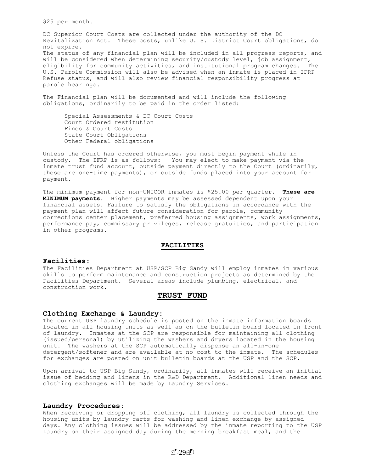\$25 per month.

DC Superior Court Costs are collected under the authority of the DC Revitalization Act. These costs, unlike U. S. District Court obligations, do not expire. The status of any financial plan will be included in all progress reports, and will be considered when determining security/custody level, job assignment, eligibility for community activities, and institutional program changes. The U.S. Parole Commission will also be advised when an inmate is placed in IFRP Refuse status, and will also review financial responsibility progress at parole hearings.

The Financial plan will be documented and will include the following obligations, ordinarily to be paid in the order listed:

Special Assessments & DC Court Costs Court Ordered restitution Fines & Court Costs State Court Obligations Other Federal obligations

Unless the Court has ordered otherwise, you must begin payment while in custody. The IFRP is as follows: You may elect to make payment via the inmate trust fund account, outside payment directly to the Court (ordinarily, these are one-time payments), or outside funds placed into your account for payment.

The minimum payment for non-UNICOR inmates is \$25.00 per quarter. **These are MINIMUM payments.** Higher payments may be assessed dependent upon your financial assets. Failure to satisfy the obligations in accordance with the payment plan will affect future consideration for parole, community corrections center placement, preferred housing assignments, work assignments, performance pay, commissary privileges, release gratuities, and participation in other programs.

#### **FACILITIES**

#### **Facilities:**

The Facilities Department at USP/SCP Big Sandy will employ inmates in various skills to perform maintenance and construction projects as determined by the Facilities Department. Several areas include plumbing, electrical, and construction work.

## **TRUST FUND**

#### **Clothing Exchange & Laundry:**

The current USP laundry schedule is posted on the inmate information boards located in all housing units as well as on the bulletin board located in front of laundry.Inmates at the SCP are responsible for maintaining all clothing (issued/personal) by utilizing the washers and dryers located in the housing unit. The washers at the SCP automatically dispense an all-in-one detergent/softener and are available at no cost to the inmate. The schedules for exchanges are posted on unit bulletin boards at the USP and the SCP.

Upon arrival to USP Big Sandy, ordinarily, all inmates will receive an initial issue of bedding and linens in the R&D Department. Additional linen needs and clothing exchanges will be made by Laundry Services.

#### **Laundry Procedures:**

When receiving or dropping off clothing, all laundry is collected through the housing units by laundry carts for washing and linen exchange by assigned days. Any clothing issues will be addressed by the inmate reporting to the USP Laundry on their assigned day during the morning breakfast meal, and the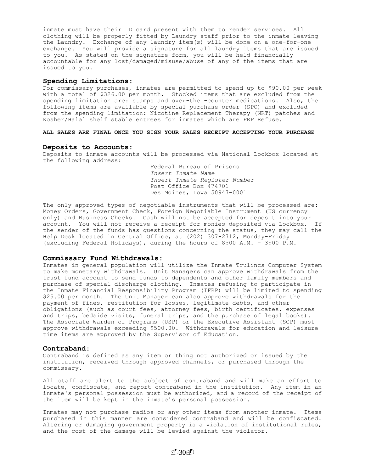inmate must have their ID card present with them to render services. All clothing will be properly fitted by Laundry staff prior to the inmate leaving the Laundry. Exchange of any laundry item(s) will be done on a one-for-one exchange. You will provide a signature for all laundry items that are issued to you. As stated on the signature form, you will be held financially accountable for any lost/damaged/misuse/abuse of any of the items that are issued to you.

#### **Spending Limitations:**

For commissary purchases, inmates are permitted to spend up to \$90.00 per week with a total of \$326.00 per month. Stocked items that are excluded from the spending limitation are: stamps and over-the -counter medications. Also, the following items are available by special purchase order (SPO) and excluded from the spending limitation: Nicotine Replacement Therapy (NRT) patches and Kosher/Halal shelf stable entrees for inmates which are FRP Refuse.

#### **ALL SALES ARE FINAL ONCE YOU SIGN YOUR SALES RECEIPT ACCEPTING YOUR PURCHASE**

#### **Deposits to Accounts:**

Deposits to inmate accounts will be processed via National Lockbox located at the following address:

> Federal Bureau of Prisons *Insert Inmate Name Insert Inmate Register Number* Post Office Box 474701 Des Moines, Iowa 50947-0001

The only approved types of negotiable instruments that will be processed are: Money Orders, Government Check, Foreign Negotiable Instrument (US currency only) and Business Checks. Cash will not be accepted for deposit into your account. You will not receive a receipt for monies deposited via Lockbox. If the sender of the funds has questions concerning the status, they may call the Help Desk located in Central Office, at (202) 307-2712, Monday-Friday (excluding Federal Holidays), during the hours of 8:00 A.M. - 3:00 P.M.

#### **Commissary Fund Withdrawals:**

Inmates in general population will utilize the Inmate Trulincs Computer System to make monetary withdrawals. Unit Managers can approve withdrawals from the trust fund account to send funds to dependents and other family members and purchase of special discharge clothing. Inmates refusing to participate in the Inmate Financial Responsibility Program (IFRP) will be limited to spending \$25.00 per month. The Unit Manager can also approve withdrawals for the payment of fines, restitution for losses, legitimate debts, and other obligations (such as court fees, attorney fees, birth certificates, expenses and trips, bedside visits, funeral trips, and the purchase of legal books). The Associate Warden of Programs (USP) or the Executive Assistant (SCP) must approve withdrawals exceeding \$500.00. Withdrawals for education and leisure time items are approved by the Supervisor of Education.

#### **Contraband**:

Contraband is defined as any item or thing not authorized or issued by the institution, received through approved channels, or purchased through the commissary.

All staff are alert to the subject of contraband and will make an effort to locate, confiscate, and report contraband in the institution. Any item in an inmate's personal possession must be authorized, and a record of the receipt of the item will be kept in the inmate's personal possession.

Inmates may not purchase radios or any other items from another inmate. Items purchased in this manner are considered contraband and will be confiscated. Altering or damaging government property is a violation of institutional rules, and the cost of the damage will be levied against the violator.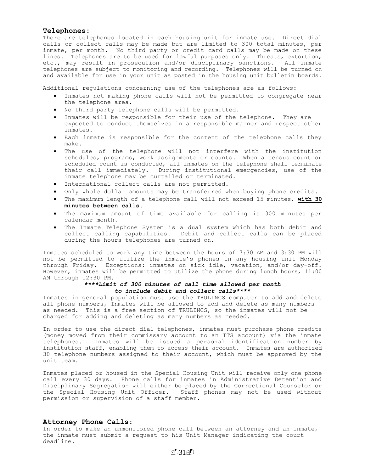#### **Telephones:**

There are telephones located in each housing unit for inmate use. Direct dial calls or collect calls may be made but are limited to 300 total minutes, per inmate, per month. No third party or credit card calls may be made on these lines. Telephones are to be used for lawful purposes only. Threats, extortion, etc., may result in prosecution and/or disciplinary sanctions. All inmate telephones are subject to monitoring and recording. Telephones will be turned on and available for use in your unit as posted in the housing unit bulletin boards.

Additional regulations concerning use of the telephones are as follows:

- Inmates not making phone calls will not be permitted to congregate near the telephone area.
- No third party telephone calls will be permitted.
- Inmates will be responsible for their use of the telephone. They are expected to conduct themselves in a responsible manner and respect other inmates.
- Each inmate is responsible for the content of the telephone calls they make.
- The use of the telephone will not interfere with the institution schedules, programs, work assignments or counts. When a census count or scheduled count is conducted, all inmates on the telephone shall terminate their call immediately. During institutional emergencies, use of the inmate telephone may be curtailed or terminated.
- International collect calls are not permitted.
- Only whole dollar amounts may be transferred when buying phone credits.
- The maximum length of a telephone call will not exceed 15 minutes, **with 30 minutes between calls.**
- The maximum amount of time available for calling is 300 minutes per calendar month.
- The Inmate Telephone System is a dual system which has both debit and collect calling capabilities. Debit and collect calls can be placed during the hours telephones are turned on.

Inmates scheduled to work any time between the hours of 7:30 AM and 3:30 PM will not be permitted to utilize the inmate's phones in any housing unit Monday through Friday. Exceptions: inmates on sick idle, vacation, and/or day-off. However, inmates will be permitted to utilize the phone during lunch hours, 11:00 AM through 12:30 PM.

## *\*\*\*\*Limit of 300 minutes of call time allowed per month to include debit and collect calls\*\*\*\**

Inmates in general population must use the TRULINCS computer to add and delete all phone numbers, Inmates will be allowed to add and delete as many numbers as needed. This is a free section of TRULINCS, so the inmates will not be charged for adding and deleting as many numbers as needed.

In order to use the direct dial telephones, inmates must purchase phone credits (money moved from their commissary account to an ITS account) via the inmate telephones. Inmates will be issued a personal identification number by institution staff, enabling them to access their account. Inmates are authorized 30 telephone numbers assigned to their account, which must be approved by the unit team.

Inmates placed or housed in the Special Housing Unit will receive only one phone call every 30 days. Phone calls for inmates in Administrative Detention and Disciplinary Segregation will either be placed by the Correctional Counselor or the Special Housing Unit Officer. Staff phones may not be used without permission or supervision of a staff member.

## **Attorney Phone Calls:**

In order to make an unmonitored phone call between an attorney and an inmate, the inmate must submit a request to his Unit Manager indicating the court deadline.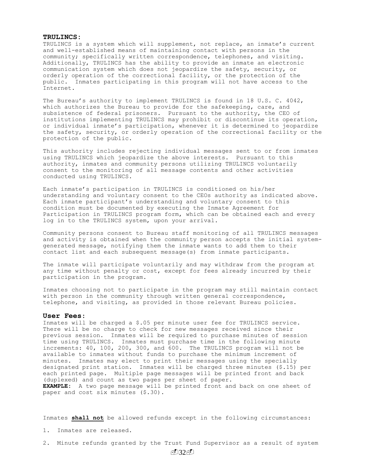#### **TRULINCS:**

TRULINCS is a system which will supplement, not replace, an inmate's current and well-established means of maintaining contact with persons in the community; specifically written correspondence, telephones, and visiting. Additionally, TRULINCS has the ability to provide an inmate an electronic communication system which does not jeopardize the safety, security, or orderly operation of the correctional facility, or the protection of the public. Inmates participating in this program will not have access to the Internet.

The Bureau's authority to implement TRULINCS is found in 18 U.S. C. 4042, which authorizes the Bureau to provide for the safekeeping, care, and subsistence of federal prisoners. Pursuant to the authority, the CEO of institutions implementing TRULINCS may prohibit or discontinue its operation, or individual inmate's participation, whenever it is determined to jeopardize the safety, security, or orderly operation of the correctional facility or the protection of the public.

This authority includes rejecting individual messages sent to or from inmates using TRULINCS which jeopardize the above interests. Pursuant to this authority, inmates and community persons utilizing TRULINCS voluntarily consent to the monitoring of all message contents and other activities conducted using TRULINCS.

Each inmate's participation in TRULINCS is conditioned on his/her understanding and voluntary consent to the CEOs authority as indicated above. Each inmate participant's understanding and voluntary consent to this condition must be documented by executing the Inmate Agreement for Participation in TRULINCS program form, which can be obtained each and every log in to the TRULINCS system, upon your arrival.

Community persons consent to Bureau staff monitoring of all TRULINCS messages and activity is obtained when the community person accepts the initial systemgenerated message, notifying them the inmate wants to add them to their contact list and each subsequent message(s) from inmate participants.

The inmate will participate voluntarily and may withdraw from the program at any time without penalty or cost, except for fees already incurred by their participation in the program.

Inmates choosing not to participate in the program may still maintain contact with person in the community through written general correspondence, telephone, and visiting, as provided in those relevant Bureau policies.

#### **User Fees**:

Inmates will be charged a \$.05 per minute user fee for TRULINCS service. There will be no charge to check for new messages received since their previous session. Inmates will be required to purchase minutes of session time using TRULINCS. Inmates must purchase time in the following minute increments: 40, 100, 200, 300, and 600. The TRULINCS program will not be available to inmates without funds to purchase the minimum increment of minutes. Inmates may elect to print their messages using the specially designated print station. Inmates will be charged three minutes (\$.15) per each printed page. Multiple page messages will be printed front and back (duplexed) and count as two pages per sheet of paper. **EXAMPLE:** A two page message will be printed front and back on one sheet of paper and cost six minutes (\$.30).

Inmates **shall not** be allowed refunds except in the following circumstances:

- 1. Inmates are released.
- 2. Minute refunds granted by the Trust Fund Supervisor as a result of system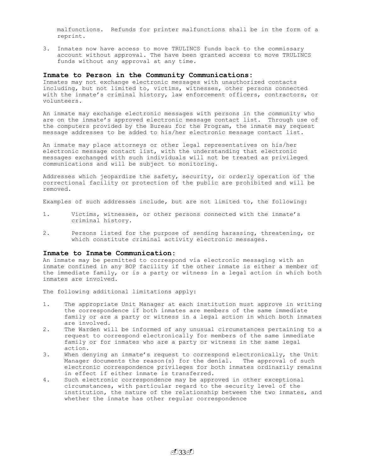malfunctions. Refunds for printer malfunctions shall be in the form of a reprint.

3. Inmates now have access to move TRULINCS funds back to the commissary account without approval. The have been granted access to move TRULINCS funds without any approval at any time.

#### **Inmate to Person in the Community Communications:**

Inmates may not exchange electronic messages with unauthorized contacts including, but not limited to, victims, witnesses, other persons connected with the inmate's criminal history, law enforcement officers, contractors, or volunteers.

An inmate may exchange electronic messages with persons in the community who are on the inmate's approved electronic message contact list. Through use of the computers provided by the Bureau for the Program, the inmate may request message addresses to be added to his/her electronic message contact list.

An inmate may place attorneys or other legal representatives on his/her electronic message contact list, with the understanding that electronic messages exchanged with such individuals will not be treated as privileged communications and will be subject to monitoring.

Addresses which jeopardize the safety, security, or orderly operation of the correctional facility or protection of the public are prohibited and will be removed.

Examples of such addresses include, but are not limited to, the following:

- 1. Victims, witnesses, or other persons connected with the inmate's criminal history.
- 2. Persons listed for the purpose of sending harassing, threatening, or which constitute criminal activity electronic messages.

#### **Inmate to Inmate Communication:**

An inmate may be permitted to correspond via electronic messaging with an inmate confined in any BOP facility if the other inmate is either a member of the immediate family, or is a party or witness in a legal action in which both inmates are involved.

The following additional limitations apply:

- 1. The appropriate Unit Manager at each institution must approve in writing the correspondence if both inmates are members of the same immediate family or are a party or witness in a legal action in which both inmates are involved.
- 2. The Warden will be informed of any unusual circumstances pertaining to a request to correspond electronically for members of the same immediate family or for inmates who are a party or witness in the same legal action.
- 3. When denying an inmate's request to correspond electronically, the Unit Manager documents the reason(s) for the denial. The approval of such electronic correspondence privileges for both inmates ordinarily remains in effect if either inmate is transferred.
- 4. Such electronic correspondence may be approved in other exceptional circumstances, with particular regard to the security level of the institution, the nature of the relationship between the two inmates, and whether the inmate has other regular correspondence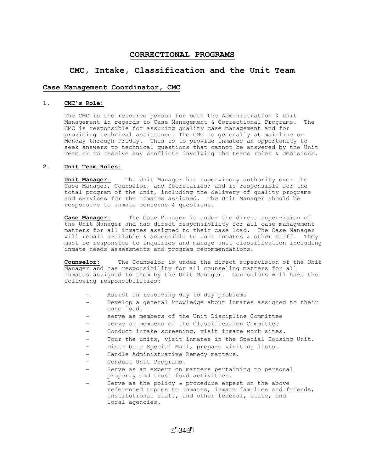## **CORRECTIONAL PROGRAMS**

## **CMC, Intake, Classification and the Unit Team**

## **Case Management Coordinator, CMC**

#### 1. **CMC's Role**:

The CMC is the resource person for both the Administration & Unit Management in regards to Case Management & Correctional Programs. The CMC is responsible for assuring quality case management and for providing technical assistance. The CMC is generally at mainline on Monday through Friday. This is to provide inmates an opportunity to seek answers to technical questions that cannot be answered by the Unit Team or to resolve any conflicts involving the teams roles & decisions.

## **2. Unit Team Roles:**

**Unit Manager**: The Unit Manager has supervisory authority over the Case Manager, Counselor, and Secretaries; and is responsible for the total program of the unit, including the delivery of quality programs and services for the inmates assigned. The Unit Manager should be responsive to inmate concerns & questions.

**Case Manager:** The Case Manager is under the direct supervision of the Unit Manager and has direct responsibility for all case management matters for all inmates assigned to their case load. The Case Manager will remain available & accessible to unit inmates & other staff. They must be responsive to inquiries and manage unit classification including inmate needs assessments and program recommendations.

**Counselor:** The Counselor is under the direct supervision of the Unit Manager and has responsibility for all counseling matters for all inmates assigned to them by the Unit Manager. Counselors will have the following responsibilities:

- Assist in resolving day to day problems
- Develop a general knowledge about inmates assigned to their case load.
- serve as members of the Unit Discipline Committee
- serve as members of the Classification Committee
- Conduct intake screening, visit inmate work sites.
- Tour the units, visit inmates in the Special Housing Unit.
- Distribute Special Mail, prepare visiting lists.
- Handle Administrative Remedy matters.
- Conduct Unit Programs.
- Serve as an expert on matters pertaining to personal property and trust fund activities.
- Serve as the policy & procedure expert on the above referenced topics to inmates, inmate families and friends, institutional staff, and other federal, state, and local agencies.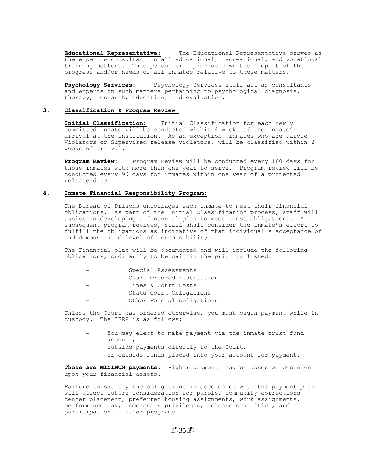**Educational Representative:** The Educational Representative serves as the expert & consultant in all educational, recreational, and vocational training matters. This person will provide a written report of the progress and/or needs of all inmates relative to these matters.

**Psychology Services:** Psychology Services staff act as consultants and experts on such matters pertaining to psychological diagnosis, therapy, research, education, and evaluation.

#### **3. Classification & Program Review:**

**Initial Classification**: Initial Classification for each newly committed inmate will be conducted within 4 weeks of the inmate's arrival at the institution. As an exception, inmates who are Parole Violators or Supervised release violators, will be classified within 2 weeks of arrival.

**Program Review:** Program Review will be conducted every 180 days for those inmates with more than one year to serve. Program review will be conducted every 90 days for inmates within one year of a projected release date.

## **4. Inmate Financial Responsibility Program:**

The Bureau of Prisons encourages each inmate to meet their financial obligations. As part of the Initial Classification process, staff will assist in developing a financial plan to meet these obligations. At subsequent program reviews, staff shall consider the inmate's effort to fulfill the obligations as indicative of that individual  $\Box$ s acceptance of and demonstrated level of responsibility.

The Financial plan will be documented and will include the following obligations, ordinarily to be paid in the priority listed:

|  |  | Special Assessments |
|--|--|---------------------|
|--|--|---------------------|

- Court Ordered restitution
- Fines & Court Costs
- State Court Obligations
- Other Federal obligations

Unless the Court has ordered otherwise, you must begin payment while in custody. The IFRP is as follows:

- You may elect to make payment via the inmate trust fund account,
- outside payments directly to the Court,
- or outside funds placed into your account for payment.

**These are MINIMUM payments.** Higher payments may be assessed dependent upon your financial assets.

Failure to satisfy the obligations in accordance with the payment plan will affect future consideration for parole, community corrections center placement, preferred housing assignments, work assignments, performance pay, commissary privileges, release gratuities, and participation in other programs.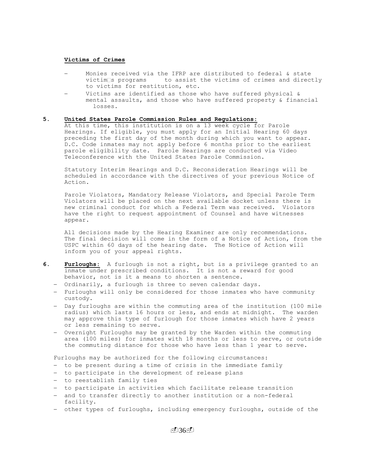#### **Victims of Crimes**

- Monies received via the IFRP are distributed to federal & state victim s programs to assist the victims of crimes and directly to victims for restitution, etc.
- Victims are identified as those who have suffered physical & mental assaults, and those who have suffered property & financial losses.

## **5. United States Parole Commission Rules and Regulations:**

At this time, this institution is on a 13 week cycle for Parole Hearings. If eligible, you must apply for an Initial Hearing 60 days preceding the first day of the month during which you want to appear. D.C. Code inmates may not apply before 6 months prior to the earliest parole eligibility date. Parole Hearings are conducted via Video Teleconference with the United States Parole Commission.

Statutory Interim Hearings and D.C. Reconsideration Hearings will be scheduled in accordance with the directives of your previous Notice of Action.

Parole Violators, Mandatory Release Violators, and Special Parole Term Violators will be placed on the next available docket unless there is new criminal conduct for which a Federal Term was received. Violators have the right to request appointment of Counsel and have witnesses appear.

All decisions made by the Hearing Examiner are only recommendations. The final decision will come in the form of a Notice of Action, from the USPC within 60 days of the hearing date. The Notice of Action will inform you of your appeal rights.

- **6. Furloughs:** A furlough is not a right, but is a privilege granted to an inmate under prescribed conditions. It is not a reward for good behavior, not is it a means to shorten a sentence.
	- Ordinarily, a furlough is three to seven calendar days.
	- Furloughs will only be considered for those inmates who have community custody.
	- Day furloughs are within the commuting area of the institution (100 mile radius) which lasts 16 hours or less, and ends at midnight. The warden may approve this type of furlough for those inmates which have 2 years or less remaining to serve.
	- Overnight Furloughs may be granted by the Warden within the commuting area (100 miles) for inmates with 18 months or less to serve, or outside the commuting distance for those who have less than 1 year to serve.

Furloughs may be authorized for the following circumstances:

- to be present during a time of crisis in the immediate family
- to participate in the development of release plans
- to reestablish family ties
- to participate in activities which facilitate release transition
- and to transfer directly to another institution or a non-federal facility.
- other types of furloughs, including emergency furloughs, outside of the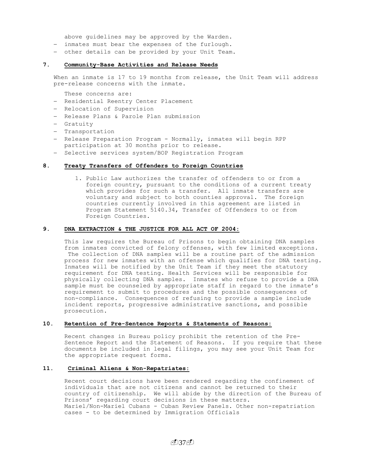above guidelines may be approved by the Warden.

- inmates must bear the expenses of the furlough.
- other details can be provided by your Unit Team.

## **7. Community-Base Activities and Release Needs**

When an inmate is 17 to 19 months from release, the Unit Team will address pre-release concerns with the inmate.

These concerns are:

- Residential Reentry Center Placement
- Relocation of Supervision
- Release Plans & Parole Plan submission
- Gratuity
- Transportation
- Release Preparation Program Normally, inmates will begin RPP participation at 30 months prior to release.
- Selective services system/BOP Registration Program

## **8. Treaty Transfers of Offenders to Foreign Countries**

1. Public Law authorizes the transfer of offenders to or from a foreign country, pursuant to the conditions of a current treaty which provides for such a transfer. All inmate transfers are voluntary and subject to both counties approval. The foreign countries currently involved in this agreement are listed in Program Statement 5140.34, Transfer of Offenders to or from Foreign Countries.

## **9. DNA EXTRACTION & THE JUSTICE FOR ALL ACT OF 2004:**

This law requires the Bureau of Prisons to begin obtaining DNA samples from inmates convicted of felony offenses, with few limited exceptions. The collection of DNA samples will be a routine part of the admission process for new inmates with an offense which qualifies for DNA testing. Inmates will be notified by the Unit Team if they meet the statutory requirement for DNA testing. Health Services will be responsible for physically collecting DNA samples. Inmates who refuse to provide a DNA sample must be counseled by appropriate staff in regard to the inmate's requirement to submit to procedures and the possible consequences of non-compliance. Consequences of refusing to provide a sample include incident reports, progressive administrative sanctions, and possible prosecution.

## **10. Retention of Pre-Sentence Reports & Statements of Reasons:**

Recent changes in Bureau policy prohibit the retention of the Pre-Sentence Report and the Statement of Reasons. If you require that these documents be included in legal filings, you may see your Unit Team for the appropriate request forms.

## **11. Criminal Aliens & Non-Repatriates:**

Recent court decisions have been rendered regarding the confinement of individuals that are not citizens and cannot be returned to their country of citizenship. We will abide by the direction of the Bureau of Prisons' regarding court decisions in these matters. Mariel/Non-Mariel Cubans - Cuban Review Panels. Other non-repatriation cases - to be determined by Immigration Officials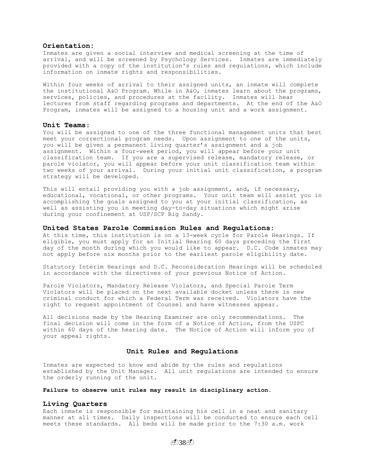## **Orientation:**

Inmates are given a social interview and medical screening at the time of arrival, and will be screened by Psychology Services. Inmates are immediately provided with a copy of the institution's rules and regulations, which include information on inmate rights and responsibilities.

Within four weeks of arrival to their assigned units, an inmate will complete the institutional A&O Program. While in A&O, inmates learn about the programs, services, policies, and procedures at the facility. Inmates will hear lectures from staff regarding programs and departments. At the end of the A&O Program, inmates will be assigned to a housing unit and a work assignment.

#### **Unit Teams**:

You will be assigned to one of the three functional management units that best meet your correctional program needs. Upon assignment to one of the units, you will be given a permanent living quarter's assignment and a job assignment. Within a four-week period, you will appear before your unit classification team. If you are a supervised release, mandatory release, or parole violator, you will appear before your unit classification team within two weeks of your arrival. During your initial unit classification, a program strategy will be developed.

This will entail providing you with a job assignment, and, if necessary, educational, vocational, or other programs. Your unit team will assist you in accomplishing the goals assigned to you at your initial classification, as well as assisting you in meeting day-to-day situations which might arise during your confinement at USP/SCP Big Sandy.

#### **United States Parole Commission Rules and Regulations:**

At this time, this institution is on a 13-week cycle for Parole Hearings. If eligible, you must apply for an Initial Hearing 60 days preceding the first day of the month during which you would like to appear. D.C. Code inmates may not apply before six months prior to the earliest parole eligibility date.

Statutory Interim Hearings and D.C. Reconsideration Hearings will be scheduled in accordance with the directives of your previous Notice of Action.

Parole Violators, Mandatory Release Violators, and Special Parole Term Violators will be placed on the next available docket unless there is new criminal conduct for which a Federal Term was received. Violators have the right to request appointment of Counsel and have witnesses appear.

All decisions made by the Hearing Examiner are only recommendations. The final decision will come in the form of a Notice of Action, from the USPC within 60 days of the hearing date. The Notice of Action will inform you of your appeal rights.

## **Unit Rules and Regulations**

Inmates are expected to know and abide by the rules and regulations established by the Unit Manager. All unit regulations are intended to ensure the orderly running of the unit.

## **Failure to observe unit rules may result in disciplinary action.**

#### **Living Quarters**

Each inmate is responsible for maintaining his cell in a neat and sanitary manner at all times. Daily inspections will be conducted to ensure each cell meets these standards. All beds will be made prior to the 7:30 a.m. work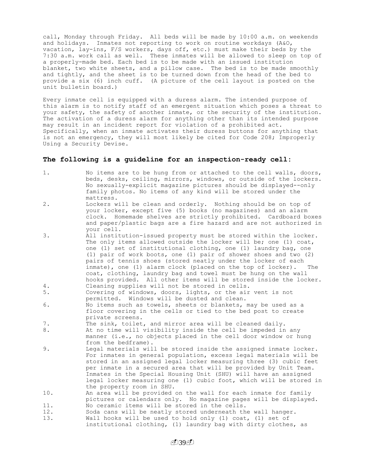call, Monday through Friday. All beds will be made by 10:00 a.m. on weekends and holidays. Inmates not reporting to work on routine workdays (A&O, vacation, lay-ins, F/S workers, days off, etc.) must make their beds by the 7:30 a.m. work call as well. These inmates will be allowed to sleep on top of a properly-made bed. Each bed is to be made with an issued institution blanket, two white sheets, and a pillow case. The bed is to be made smoothly and tightly, and the sheet is to be turned down from the head of the bed to provide a six (6) inch cuff. (A picture of the cell layout is posted on the unit bulletin board.)

Every inmate cell is equipped with a duress alarm. The intended purpose of this alarm is to notify staff of an emergent situation which poses a threat to your safety, the safety of another inmate, or the security of the institution. The activation of a duress alarm for anything other than its intended purpose may result in an incident report for violation of a prohibited act. Specifically, when an inmate activates their duress buttons for anything that is not an emergency, they will most likely be cited for Code 208; Improperly Using a Security Devise.

## **The following is a guideline for an inspection-ready cell:**

| $1$ . | No items are to be hung from or attached to the cell walls, doors,<br>beds, desks, ceiling, mirrors, windows, or outside of the lockers.<br>No sexually-explicit magazine pictures should be displayed--only<br>family photos. No items of any kind will be stored under the<br>mattress.                                                                                                                                                                                                                                                                  |
|-------|------------------------------------------------------------------------------------------------------------------------------------------------------------------------------------------------------------------------------------------------------------------------------------------------------------------------------------------------------------------------------------------------------------------------------------------------------------------------------------------------------------------------------------------------------------|
| $2$ . | Lockers will be clean and orderly. Nothing should be on top of<br>your locker, except five (5) books (no magazines) and an alarm<br>clock. Homemade shelves are strictly prohibited. Cardboard boxes<br>and paper/plastic bags are a fire hazard and are not authorized in<br>your cell.                                                                                                                                                                                                                                                                   |
| 3.    | All institution-issued property must be stored within the locker.<br>The only items allowed outside the locker will be; one (1) coat,<br>one (1) set of institutional clothing, one (1) laundry bag, one<br>(1) pair of work boots, one (1) pair of shower shoes and two (2)<br>pairs of tennis shoes (stored neatly under the locker of each<br>inmate), one (1) alarm clock (placed on the top of locker).<br>The<br>coat, clothing, laundry bag and towel must be hung on the wall<br>hooks provided. All other items will be stored inside the locker. |
| 4.    | Cleaning supplies will not be stored in cells.                                                                                                                                                                                                                                                                                                                                                                                                                                                                                                             |
| 5.    | Covering of windows, doors, lights, or the air vent is not                                                                                                                                                                                                                                                                                                                                                                                                                                                                                                 |
|       | permitted. Windows will be dusted and clean.                                                                                                                                                                                                                                                                                                                                                                                                                                                                                                               |
| 6.    | No items such as towels, sheets or blankets, may be used as a<br>floor covering in the cells or tied to the bed post to create<br>private screens.                                                                                                                                                                                                                                                                                                                                                                                                         |
| 7.    | The sink, toilet, and mirror area will be cleaned daily.                                                                                                                                                                                                                                                                                                                                                                                                                                                                                                   |
| $8$ . | At no time will visibility inside the cell be impeded in any                                                                                                                                                                                                                                                                                                                                                                                                                                                                                               |
|       | manner (i.e., no objects placed in the cell door window or hung<br>from the bedframe).                                                                                                                                                                                                                                                                                                                                                                                                                                                                     |
| 9.    | Legal materials will be stored inside the assigned inmate locker.<br>For inmates in general population, excess legal materials will be<br>stored in an assigned legal locker measuring three (3) cubic feet<br>per inmate in a secured area that will be provided by Unit Team.<br>Inmates in the Special Housing Unit (SHU) will have an assigned<br>legal locker measuring one (1) cubic foot, which will be stored in<br>the property room in SHU.                                                                                                      |
| 10.   | An area will be provided on the wall for each inmate for family                                                                                                                                                                                                                                                                                                                                                                                                                                                                                            |
|       | pictures or calendars only. No magazine pages will be displayed.                                                                                                                                                                                                                                                                                                                                                                                                                                                                                           |
| 11.   | No ceramic items will be stored in the cells.                                                                                                                                                                                                                                                                                                                                                                                                                                                                                                              |
| 12.   | Soda cans will be neatly stored underneath the wall hanger.                                                                                                                                                                                                                                                                                                                                                                                                                                                                                                |
| 13.   | Wall hooks will be used to hold only (1) coat, (1) set of                                                                                                                                                                                                                                                                                                                                                                                                                                                                                                  |
|       | institutional clothing, (1) laundry bag with dirty clothes, as                                                                                                                                                                                                                                                                                                                                                                                                                                                                                             |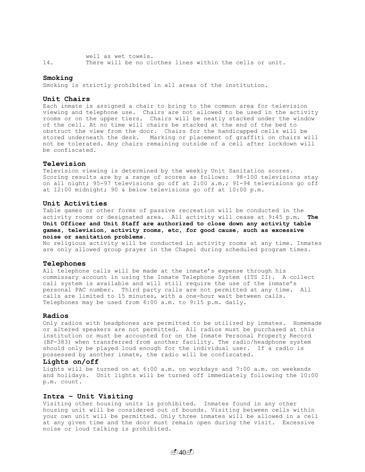well as wet towels. 14. There will be no clothes lines within the cells or unit.

#### **Smoking**

Smoking is strictly prohibited in all areas of the institution.

#### **Unit Chairs**

Each inmate is assigned a chair to bring to the common area for television viewing and telephone use. Chairs are not allowed to be used in the activity rooms or on the upper tiers. Chairs will be neatly stacked under the window of the cell. At no time will chairs be stacked at the end of the bed to obstruct the view from the door. Chairs for the handicapped cells will be stored underneath the desk. Marking or placement of graffiti on chairs will not be tolerated. Any chairs remaining outside of a cell after lockdown will be confiscated.

## **Television**

Television viewing is determined by the weekly Unit Sanitation scores. Scoring results are by a range of scores as follows: 98-100 televisions stay on all night; 95-97 televisions go off at 2:00 a.m.; 91-94 televisions go off at 12:00 midnight; 90 & below televisions go off at 10:00 p.m.

## **Unit Activities**

Table games or other forms of passive recreation will be conducted in the activity rooms or designated area. All activity will cease at 9:45 p.m. **The Unit Officer and Unit Staff are authorized to close down any activity table games, television, activity rooms, etc, for good cause, such as excessive noise or sanitation problems.**

No religious activity will be conducted in activity rooms at any time. Inmates are only allowed group prayer in the Chapel during scheduled program times**.** 

#### **Telephones**

All telephone calls will be made at the inmate's expense through his commissary account in using the Inmate Telephone System (ITS II). A collect call system is available and will still require the use of the inmate's personal PAC number. Third party calls are not permitted at any time. All calls are limited to 15 minutes, with a one-hour wait between calls. Telephones may be used from 6:00 a.m. to 9:15 p.m. daily.

#### **Radios**

Only radios with headphones are permitted to be utilized by inmates. Homemade or altered speakers are not permitted. All radios must be purchased at this institution or must be accounted for on the Inmate Personal Property Record (BP-383) when transferred from another facility. The radio/headphone system should only be played loud enough for the individual user. If a radio is possessed by another inmate, the radio will be confiscated.

#### **Lights on/off**

Lights will be turned on at 6:00 a.m. on workdays and 7:00 a.m. on weekends and holidays. Unit lights will be turned off immediately following the 10:00 p.m. count.

### **Intra – Unit Visiting**

Visiting other housing units is prohibited. Inmates found in any other housing unit will be considered out of bounds. Visiting between cells within your own unit will be permitted. Only three inmates will be allowed in a cell at any given time and the door must remain open during the visit. Excessive noise or loud talking is prohibited.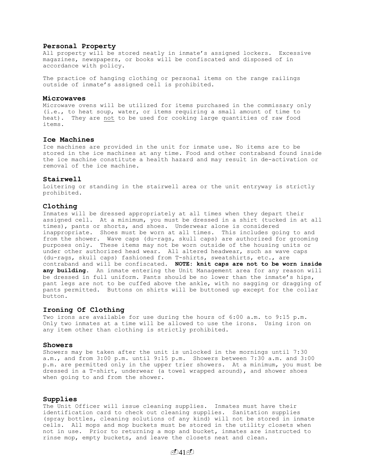#### **Personal Property**

All property will be stored neatly in inmate's assigned lockers. Excessive magazines, newspapers, or books will be confiscated and disposed of in accordance with policy.

The practice of hanging clothing or personal items on the range railings outside of inmate's assigned cell is prohibited.

#### **Microwaves**

Microwave ovens will be utilized for items purchased in the commissary only (i.e., to heat soup, water, or items requiring a small amount of time to heat). They are not to be used for cooking large quantities of raw food items.

#### **Ice Machines**

Ice machines are provided in the unit for inmate use. No items are to be stored in the ice machines at any time. Food and other contraband found inside the ice machine constitute a health hazard and may result in de-activation or removal of the ice machine.

#### **Stairwell**

Loitering or standing in the stairwell area or the unit entryway is strictly prohibited.

## **Clothing**

Inmates will be dressed appropriately at all times when they depart their assigned cell. At a minimum, you must be dressed in a shirt (tucked in at all times), pants or shorts, and shoes. Underwear alone is considered inappropriate. Shoes must be worn at all times. This includes going to and from the shower. Wave caps (du-rags, skull caps) are authorized for grooming purposes only. These items may not be worn outside of the housing units or under other authorized head wear. All altered headwear, such as wave caps (du-rags, skull caps) fashioned from T-shirts, sweatshirts, etc., are contraband and will be confiscated. **NOTE: knit caps are not to be worn inside any building.** An inmate entering the Unit Management area for any reason will be dressed in full uniform. Pants should be no lower than the inmate's hips, pant legs are not to be cuffed above the ankle, with no sagging or dragging of pants permitted. Buttons on shirts will be buttoned up except for the collar button.

## **Ironing Of Clothing**

Two irons are available for use during the hours of 6:00 a.m. to 9:15 p.m. Only two inmates at a time will be allowed to use the irons. Using iron on any item other than clothing is strictly prohibited.

#### **Showers**

Showers may be taken after the unit is unlocked in the mornings until 7:30 a.m., and from 3:00 p.m. until 9:15 p.m. Showers between 7:30 a.m. and 3:00 p.m. are permitted only in the upper trier showers. At a minimum, you must be dressed in a T-shirt, underwear (a towel wrapped around), and shower shoes when going to and from the shower.

#### **Supplies**

The Unit Officer will issue cleaning supplies. Inmates must have their identification card to check out cleaning supplies. Sanitation supplies (spray bottles, cleaning solutions of any kind) will not be stored in inmate cells. All mops and mop buckets must be stored in the utility closets when not in use. Prior to returning a mop and bucket, inmates are instructed to rinse mop, empty buckets, and leave the closets neat and clean.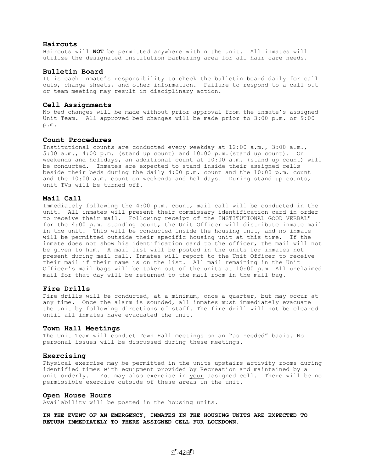### **Haircuts**

Haircuts will **NOT** be permitted anywhere within the unit. All inmates will utilize the designated institution barbering area for all hair care needs.

#### **Bulletin Board**

It is each inmate's responsibility to check the bulletin board daily for call outs, change sheets, and other information. Failure to respond to a call out or team meeting may result in disciplinary action.

#### **Cell Assignments**

No bed changes will be made without prior approval from the inmate's assigned Unit Team. All approved bed changes will be made prior to 3:00 p.m. or 9:00 p.m.

#### **Count Procedures**

Institutional counts are conducted every weekday at 12:00 a.m., 3:00 a.m., 5:00 a.m., 4:00 p.m. (stand up count) and 10:00 p.m.(stand up count). On weekends and holidays, an additional count at 10:00 a.m. (stand up count) will be conducted. Inmates are expected to stand inside their assigned cells beside their beds during the daily 4:00 p.m. count and the 10:00 p.m. count and the 10:00 a.m. count on weekends and holidays. During stand up counts, unit TVs will be turned off.

## **Mail Call**

Immediately following the 4:00 p.m. count, mail call will be conducted in the unit. All inmates will present their commissary identification card in order to receive their mail. Following receipt of the INSTITUTIONAL GOOD VERBAL" for the 4:00 p.m. standing count, the Unit Officer will distribute inmate mail in the unit. This will be conducted inside the housing unit, and no inmate will be permitted outside their specific housing unit at this time. If the inmate does not show his identification card to the officer, the mail will not be given to him. A mail list will be posted in the units for inmates not present during mail call. Inmates will report to the Unit Officer to receive their mail if their name is on the list. All mail remaining in the Unit Officer's mail bags will be taken out of the units at 10:00 p.m. All unclaimed mail for that day will be returned to the mail room in the mail bag.

## **Fire Drills**

Fire drills will be conducted, at a minimum, once a quarter, but may occur at any time. Once the alarm is sounded, all inmates must immediately evacuate the unit by following directions of staff. The fire drill will not be cleared until all inmates have evacuated the unit.

#### **Town Hall Meetings**

The Unit Team will conduct Town Hall meetings on an "as needed" basis. No personal issues will be discussed during these meetings.

## **Exercising**

Physical exercise may be permitted in the units upstairs activity rooms during identified times with equipment provided by Recreation and maintained by a unit orderly. You may also exercise in your assigned cell. There will be no permissible exercise outside of these areas in the unit.

#### **Open House Hours**

Availability will be posted in the housing units.

**IN THE EVENT OF AN EMERGENCY, INMATES IN THE HOUSING UNITS ARE EXPECTED TO RETURN IMMEDIATELY TO THERE ASSIGNED CELL FOR LOCKDOWN.**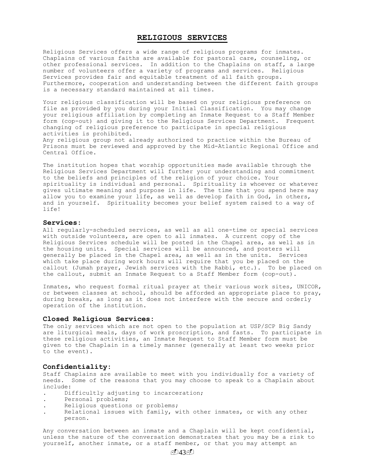# **RELIGIOUS SERVICES**

Religious Services offers a wide range of religious programs for inmates. Chaplains of various faiths are available for pastoral care, counseling, or other professional services. In addition to the Chaplains on staff, a large number of volunteers offer a variety of programs and services. Religious Services provides fair and equitable treatment of all faith groups. Furthermore, cooperation and understanding between the different faith groups is a necessary standard maintained at all times.

Your religious classification will be based on your religious preference on file as provided by you during your Initial Classification. You may change your religious affiliation by completing an Inmate Request to a Staff Member form (cop-out) and giving it to the Religious Services Department. Frequent changing of religious preference to participate in special religious activities is prohibited.

Any religious group not already authorized to practice within the Bureau of Prisons must be reviewed and approved by the Mid-Atlantic Regional Office and Central Office.

The institution hopes that worship opportunities made available through the Religious Services Department will further your understanding and commitment to the beliefs and principles of the religion of your choice. Your spirituality is individual and personal. Spirituality is whoever or whatever gives ultimate meaning and purpose in life. The time that you spend here may allow you to examine your life, as well as develop faith in God, in others, and in yourself. Spirituality becomes your belief system raised to a way of life!

#### **Services:**

All regularly-scheduled services, as well as all one-time or special services with outside volunteers, are open to all inmates. A current copy of the Religious Services schedule will be posted in the Chapel area, as well as in the housing units. Special services will be announced, and posters will generally be placed in the Chapel area, as well as in the units. Services which take place during work hours will require that you be placed on the callout (Jumah prayer, Jewish services with the Rabbi, etc.). To be placed on the callout, submit an Inmate Request to a Staff Member form (cop-out).

Inmates, who request formal ritual prayer at their various work sites, UNICOR, or between classes at school, should be afforded an appropriate place to pray, during breaks, as long as it does not interfere with the secure and orderly operation of the institution.

#### **Closed Religious Services:**

The only services which are not open to the population at USP/SCP Big Sandy are liturgical meals, days of work proscription, and fasts. To participate in these religious activities, an Inmate Request to Staff Member form must be given to the Chaplain in a timely manner (generally at least two weeks prior to the event).

### **Confidentiality:**

Staff Chaplains are available to meet with you individually for a variety of needs. Some of the reasons that you may choose to speak to a Chaplain about include:

- Difficultly adjusting to incarceration;
- . Personal problems;
- . Religious questions or problems;
- Relational issues with family, with other inmates, or with any other person.

Any conversation between an inmate and a Chaplain will be kept confidential, unless the nature of the conversation demonstrates that you may be a risk to yourself, another inmate, or a staff member, or that you may attempt an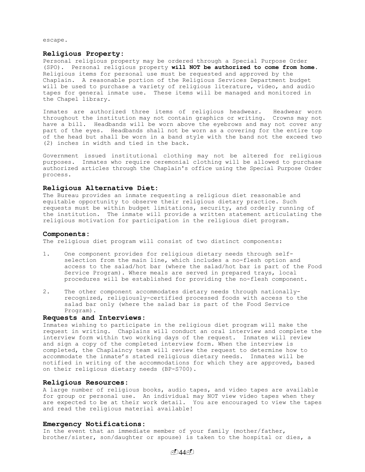escape.

## **Religious Property:**

Personal religious property may be ordered through a Special Purpose Order (SPO). Personal religious property **will NOT be authorized to come from home**. Religious items for personal use must be requested and approved by the Chaplain. A reasonable portion of the Religious Services Department budget will be used to purchase a variety of religious literature, video, and audio tapes for general inmate use. These items will be managed and monitored in the Chapel library.

Inmates are authorized three items of religious headwear. Headwear worn throughout the institution may not contain graphics or writing. Crowns may not have a bill. Headbands will be worn above the eyebrows and may not cover any part of the eyes. Headbands shall not be worn as a covering for the entire top of the head but shall be worn in a band style with the band not the exceed two (2) inches in width and tied in the back.

Government issued institutional clothing may not be altered for religious purposes. Inmates who require ceremonial clothing will be allowed to purchase authorized articles through the Chaplain's office using the Special Purpose Order process.

#### **Religious Alternative Diet:**

The Bureau provides an inmate requesting a religious diet reasonable and equitable opportunity to observe their religious dietary practice. Such requests must be within budget limitations, security, and orderly running of the institution. The inmate will provide a written statement articulating the religious motivation for participation in the religious diet program.

#### **Components:**

The religious diet program will consist of two distinct components:

- 1. One component provides for religious dietary needs through selfselection from the main line, which includes a no-flesh option and access to the salad/hot bar (where the salad/hot bar is part of the Food Service Program). Where meals are served in prepared trays, local procedures will be established for providing the no-flesh component.
- 2. The other component accommodates dietary needs through nationallyrecognized, religiously-certified processed foods with access to the salad bar only (where the salad bar is part of the Food Service Program).

## **Requests and Interviews:**

Inmates wishing to participate in the religious diet program will make the request in writing. Chaplains will conduct an oral interview and complete the interview form within two working days of the request. Inmates will review and sign a copy of the completed interview form. When the interview is completed, the Chaplaincy team will review the request to determine how to accommodate the inmate's stated religious dietary needs. Inmates will be notified in writing of the accommodations for which they are approved, based on their religious dietary needs (BP-S700).

## **Religious Resources:**

A large number of religious books, audio tapes, and video tapes are available for group or personal use. An individual may NOT view video tapes when they are expected to be at their work detail. You are encouraged to view the tapes and read the religious material available!

#### **Emergency Notifications:**

In the event that an immediate member of your family (mother/father, brother/sister, son/daughter or spouse) is taken to the hospital or dies, a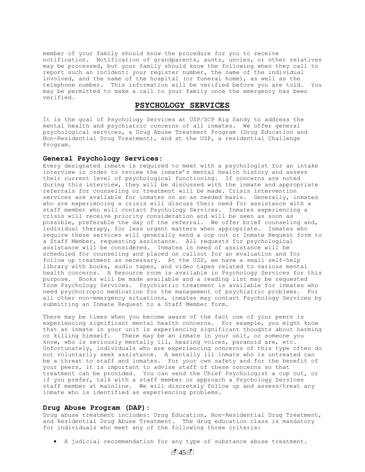member of your family should know the procedure for you to receive notification. Notification of grandparents, aunts, uncles, or other relatives may be processed, but your family should know the following when they call to report such an incident: your register number, the name of the individual involved, and the name of the hospital (or funeral home), as well as the telephone number. This information will be verified before you are told. You may be permitted to make a call to your family once the emergency has been verified.

# **PSYCHOLOGY SERVICES**

It is the goal of Psychology Services at USP/SCP Big Sandy to address the mental health and psychiatric concerns of all inmates. We offer general psychological services, a Drug Abuse Treatment Program (Drug Education and Non-Residential Drug Treatment), and at the USP, a residential Challenge Program.

## **General Psychology Services:**

Every designated inmate is required to meet with a psychologist for an intake interview in order to review the inmate's mental health history and assess their current level of psychological functioning. If concerns are noted during this interview, they will be discussed with the inmate and appropriate referrals for counseling or treatment will be made. Crisis intervention services are available for inmates on an as needed basis. Generally, inmates who are experiencing a crisis will discuss their need for assistance with a staff member who will contact Psychology Services. Inmates experiencing a crisis will receive priority consideration and will be seen as soon as possible, preferable the day of the referral. We offer brief counseling and, individual therapy, for less urgent matters when appropriate. Inmates who require these services will generally send a cop out or Inmate Request form to a Staff Member, requesting assistance. All requests for psychological assistance will be considered. Inmates in need of assistance will be scheduled for counseling and placed on callout for an evaluation and for follow up treatment as necessary. At the USP, we have a small self-help library with books, audio tapes, and video tapes related to various mental health concerns. A Resource room is available in Psychology Services for this purpose. Books will be made available and a reading list may be requested from Psychology Services. Psychiatric treatment is available for inmates who need psychotropic medication for the management of psychiatric problems. For all other non-emergency situations, inmates may contact Psychology Services by submitting an Inmate Request to a Staff Member form.

There may be times when you become aware of the fact one of your peers is experiencing significant mental health concerns. For example, you might know that an inmate in your unit is experiencing significant thoughts about harming or killing himself. There may be an inmate in your unit, or someone you know, who is seriously mentally ill, hearing voices, paranoid are, etc. Unfortunately, individuals who are experiencing concerns of this type often do not voluntarily seek assistance. A mentally ill inmate who is untreated can be a threat to staff and inmates. For your own safety and for the benefit of your peers, it is important to advise staff of these concerns so that treatment can be provided. You can send the Chief Psychologist a cop out, or if you prefer, talk with a staff member or approach a Psychology Services staff member at mainline. We will discretely follow up and assess/treat any inmate who is identified as experiencing problems.

#### **Drug Abuse Program (DAP):**

Drug abuse treatment includes: Drug Education, Non-Residential Drug Treatment, and Residential Drug Abuse Treatment. The drug education class is mandatory for individuals who meet any of the following three criteria:

A judicial recommendation for any type of substance abuse treatment.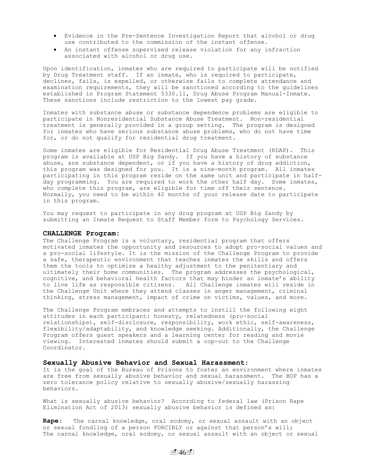- Evidence in the Pre-Sentence Investigation Report that alcohol or drug use contributed to the commission of the instant offense.
- An instant offense supervised release violation for any infraction associated with alcohol or drug use.

Upon identification, inmates who are required to participate will be notified by Drug Treatment staff. If an inmate, who is required to participate, declines, fails, is expelled, or otherwise fails to complete attendance and examination requirements, they will be sanctioned according to the guidelines established in Program Statement 5330.11, Drug Abuse Program Manual-Inmate. These sanctions include restriction to the lowest pay grade.

Inmates with substance abuse or substance dependence problems are eligible to participate in Nonresidential Substance Abuse Treatment. Non-residential treatment is generally provided in a group setting. The program is designed for inmates who have serious substance abuse problems, who do not have time for, or do not qualify for residential drug treatment.

Some inmates are eligible for Residential Drug Abuse Treatment (RDAP). This program is available at USP Big Sandy. If you have a history of substance abuse, are substance dependent, or if you have a history of drug addiction, this program was designed for you. It is a nine-month program. All inmates participating in this program reside on the same unit and participate in halfday programming. You are required to work the other half day. Some inmates, who complete this program, are eligible for time off their sentence. Normally, you need to be within 42 months of your release date to participate in this program.

You may request to participate in any drug program at USP Big Sandy by submitting an Inmate Request to Staff Member form to Psychology Services.

#### **CHALLENGE Program:**

The Challenge Program is a voluntary, residential program that offers motivated inmates the opportunity and resources to adopt pro-social values and a pro-social lifestyle. It is the mission of the Challenge Program to provide a safe, therapeutic environment that teaches inmates the skills and offers them the tools to optimize a healthy adjustment to the penitentiary and ultimately their home communities. The program addresses the psychological, cognitive, and behavioral health factors that may hinder an inmate's ability to live life as responsible citizens. All Challenge inmates will reside in the Challenge Unit where they attend classes in anger management, criminal thinking, stress management, impact of crime on victims, values, and more.

The Challenge Program embraces and attempts to instill the following eight attitudes in each participant: honesty, relatedness (pro-social relationships), self-disclosure, responsibility, work ethic, self-awareness, flexibility/adaptability, and knowledge seeking. Additionally, the Challenge Program offers guest speakers and a learning center for reading and movie viewing. Interested inmates should submit a cop-out to the Challenge Coordinator.

#### **Sexually Abusive Behavior and Sexual Harassment**:

It is the goal of the Bureau of Prisons to foster an environment where inmates are free from sexually abusive behavior and sexual harassment. The BOP has a zero tolerance policy relative to sexually abusive/sexually harassing behaviors.

What is sexually abusive behavior? According to federal law (Prison Rape Elimination Act of 2013) sexually abusive behavior is defined as:

**Rape:** The carnal knowledge, oral sodomy, or sexual assault with an object or sexual fondling of a person FORCIBLY or against that person's will; The carnal knowledge, oral sodomy, or sexual assault with an object or sexual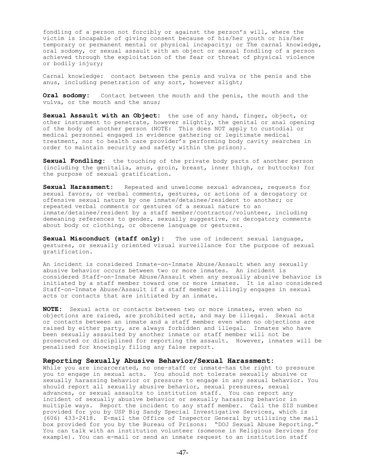fondling of a person not forcibly or against the person's will, where the victim is incapable of giving consent because of his/her youth or his/her temporary or permanent mental or physical incapacity; or The carnal knowledge, oral sodomy, or sexual assault with an object or sexual fondling of a person achieved through the exploitation of the fear or threat of physical violence or bodily injury;

Carnal knowledge: contact between the penis and vulva or the penis and the anus, including penetration of any sort, however slight;

**Oral sodomy:** Contact between the mouth and the penis, the mouth and the vulva, or the mouth and the anus;

**Sexual Assault with an Object:** the use of any hand, finger, object, or other instrument to penetrate, however slightly, the genital or anal opening of the body of another person (NOTE: This does NOT apply to custodial or medical personnel engaged in evidence gathering or legitimate medical treatment, nor to health care provider's performing body cavity searches in order to maintain security and safety within the prison).

**Sexual Fondling:** the touching of the private body parts of another person (including the genitalia, anus, groin, breast, inner thigh, or buttocks) for the purpose of sexual gratification.

**Sexual Harassment:** Repeated and unwelcome sexual advances, requests for sexual favors, or verbal comments, gestures, or actions of a derogatory or offensive sexual nature by one inmate/detainee/resident to another; or repeated verbal comments or gestures of a sexual nature to an inmate/detainee/resident by a staff member/contractor/volunteer, including demeaning references to gender, sexually suggestive, or derogatory comments about body or clothing, or obscene language or gestures.

**Sexual Misconduct (staff only):** The use of indecent sexual language, gestures, or sexually oriented visual surveillance for the purpose of sexual gratification.

An incident is considered Inmate-on-Inmate Abuse/Assault when any sexually abusive behavior occurs between two or more inmates. An incident is considered Staff-on-Inmate Abuse/Assault when any sexually abusive behavior is initiated by a staff member toward one or more inmates. It is also considered Staff-on-Inmate Abuse/Assault if a staff member willingly engages in sexual acts or contacts that are initiated by an inmate.

**NOTE:** Sexual acts or contacts between two or more inmates, even when no objections are raised, are prohibited acts, and may be illegal. Sexual acts or contacts between an inmate and a staff member even when no objections are raised by either party, are always forbidden and illegal. Inmates who have been sexually assaulted by another inmate or staff member will not be prosecuted or disciplined for reporting the assault. However, inmates will be penalized for knowingly filing any false report.

# **Reporting Sexually Abusive Behavior/Sexual Harassment:**

While you are incarcerated, no one-staff or inmate-has the right to pressure you to engage in sexual acts. You should not tolerate sexually abusive or sexually harassing behavior or pressure to engage in any sexual behavior. You should report all sexually abusive behavior, sexual pressures, sexual advances, or sexual assaults to institution staff. You can report any incident of sexually abusive behavior or sexually harassing behavior in multiple ways. Report the incident to any staff member. Call the SIS number provided for you by USP Big Sandy Special Investigative Services, which is (606) 433-2418. E-mail the Office of Inspector General by utilizing the mail box provided for you by the Bureau of Prisons: "DOJ Sexual Abuse Reporting." You can talk with an institution volunteer (someone in Religious Services for example). You can e-mail or send an inmate request to an institution staff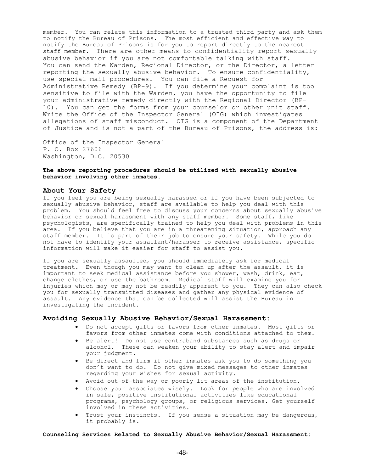member. You can relate this information to a trusted third party and ask them to notify the Bureau of Prisons. The most efficient and effective way to notify the Bureau of Prisons is for you to report directly to the nearest staff member. There are other means to confidentiality report sexually abusive behavior if you are not comfortable talking with staff. You can send the Warden, Regional Director, or the Director, a letter reporting the sexually abusive behavior. To ensure confidentiality, use special mail procedures. You can file a Request for Administrative Remedy (BP-9). If you determine your complaint is too sensitive to file with the Warden, you have the opportunity to file your administrative remedy directly with the Regional Director (BP-10). You can get the forms from your counselor or other unit staff. Write the Office of the Inspector General (OIG) which investigates allegations of staff misconduct. OIG is a component of the Department of Justice and is not a part of the Bureau of Prisons, the address is:

Office of the Inspector General P. O. Box 27606 Washington, D.C. 20530

## **The above reporting procedures should be utilized with sexually abusive behavior involving other inmates.**

## **About Your Safety**

If you feel you are being sexually harassed or if you have been subjected to sexually abusive behavior, staff are available to help you deal with this problem. You should feel free to discuss your concerns about sexually abusive behavior or sexual harassment with any staff member. Some staff, like psychologists, are specifically trained to help you deal with problems in this area. If you believe that you are in a threatening situation, approach any staff member. It is part of their job to ensure your safety. While you do not have to identify your assailant/harasser to receive assistance, specific information will make it easier for staff to assist you.

If you are sexually assaulted, you should immediately ask for medical treatment. Even though you may want to clean up after the assault, it is important to seek medical assistance before you shower, wash, drink, eat, change clothes, or use the bathroom. Medical staff will examine you for injuries which may or may not be readily apparent to you. They can also check you for sexually transmitted diseases and gather any physical evidence of assault. Any evidence that can be collected will assist the Bureau in investigating the incident.

# **Avoiding Sexually Abusive Behavior/Sexual Harassment:**

- Do not accept gifts or favors from other inmates. Most gifts or favors from other inmates come with conditions attached to them.
- Be alert! Do not use contraband substances such as drugs or alcohol. These can weaken your ability to stay alert and impair your judgment.
- Be direct and firm if other inmates ask you to do something you don't want to do. Do not give mixed messages to other inmates regarding your wishes for sexual activity.
- Avoid out-of-the way or poorly lit areas of the institution.
- Choose your associates wisely. Look for people who are involved in safe, positive institutional activities like educational programs, psychology groups, or religious services. Get yourself involved in these activities.
- Trust your instincts. If you sense a situation may be dangerous, it probably is.

#### **Counseling Services Related to Sexually Abusive Behavior/Sexual Harassment:**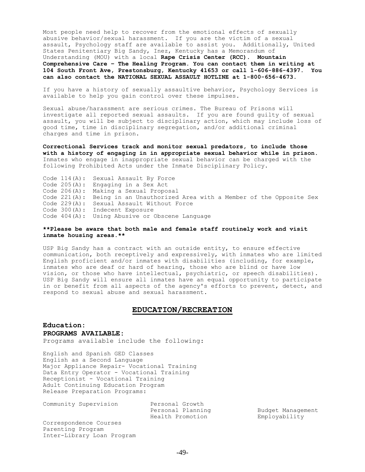Most people need help to recover from the emotional effects of sexually abusive behavior/sexual harassment. If you are the victim of a sexual assault, Psychology staff are available to assist you. Additionally, United States Penitentiary Big Sandy, Inez, Kentucky has a Memorandum of Understanding (MOU) with a local **Rape Crisis Center (RCC). Mountain Comprehensive Care – The Healing Program. You can contact them in writing at 104 South Front Ave, Prestonsburg, Kentucky 41653 or call 1-606-886-4397. You can also contact the NATIONAL SEXUAL ASSAULT HOTLINE at 1-800-656-4673**.

If you have a history of sexually assaultive behavior, Psychology Services is available to help you gain control over these impulses.

Sexual abuse/harassment are serious crimes. The Bureau of Prisons will investigate all reported sexual assaults. If you are found guilty of sexual assault, you will be subject to disciplinary action, which may include loss of good time, time in disciplinary segregation, and/or additional criminal charges and time in prison.

**Correctional Services track and monitor sexual predators, to include those with a history of engaging in in appropriate sexual behavior while in prison**. Inmates who engage in inappropriate sexual behavior can be charged with the following Prohibited Acts under the Inmate Disciplinary Policy.

Code 114(A): Sexual Assault By Force Code 205(A): Engaging in a Sex Act Code 206(A): Making a Sexual Proposal Code 221(A): Being in an Unauthorized Area with a Member of the Opposite Sex Code 229(A): Sexual Assault Without Force Code 300(A): Indecent Exposure Code 404(A): Using Abusive or Obscene Language

**\*\*Please be aware that both male and female staff routinely work and visit inmate housing areas.\*\***

USP Big Sandy has a contract with an outside entity, to ensure effective communication, both receptively and expressively, with inmates who are limited English proficient and/or inmates with disabilities (including, for example, inmates who are deaf or hard of hearing, those who are blind or have low vision, or those who have intellectual, psychiatric, or speech disabilities). USP Big Sandy will ensure all inmates have an equal opportunity to participate in or benefit from all aspects of the agency's efforts to prevent, detect, and respond to sexual abuse and sexual harassment.

## **EDUCATION/RECREATION**

# **Education: PROGRAMS AVAILABLE:**

Programs available include the following:

English and Spanish GED Classes English as a Second Language Major Appliance Repair- Vocational Training Data Entry Operator - Vocational Training Receptionist - Vocational Training Adult Continuing Education Program Release Preparation Programs:

Community Supervision Personal Growth<br>Personal Planning<br>Tith Personal December Personal Planning and Budget Management Health Promotion Employability

Correspondence Courses Parenting Program Inter-Library Loan Program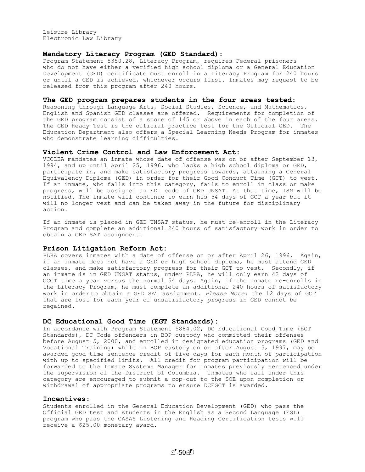Leisure Library Electronic Law Library

# **Mandatory Literacy Program (GED Standard):**

Program Statement 5350.28, Literacy Program, requires Federal prisoners who do not have either a verified high school diploma or a General Education Development (GED) certificate must enroll in a Literacy Program for 240 hours or until a GED is achieved, whichever occurs first. Inmates may request to be released from this program after 240 hours.

## **The GED program prepares students in the four areas tested:**

Reasoning through Language Arts, Social Studies, Science, and Mathematics. English and Spanish GED classes are offered. Requirements for completion of the GED program consist of a score of 145 or above in each of the four areas. The GED Ready Test is the official practice test for the Official GED. The Education Department also offers a Special Learning Needs Program for inmates who demonstrate learning difficulties.

#### **Violent Crime Control and Law Enforcement Act:**

VCCLEA mandates an inmate whose date of offense was on or after September 13, 1994, and up until April 25, 1996, who lacks a high school diploma or GED, participate in, and make satisfactory progress towards, attaining a General Equivalency Diploma (GED) in order for their Good Conduct Time (GCT) to vest. If an inmate, who falls into this category, fails to enroll in class or make progress, will be assigned an EDI code of GED UNSAT. At that time, ISM will be notified. The inmate will continue to earn his 54 days of GCT a year but it will no longer vest and can be taken away in the future for disciplinary action.

If an inmate is placed in GED UNSAT status, he must re-enroll in the Literacy Program and complete an additional 240 hours of satisfactory work in order to obtain a GED SAT assignment.

#### **Prison Litigation Reform Act:**

PLRA covers inmates with a date of offense on or after April 26, 1996. Again, if an inmate does not have a GED or high school diploma, he must attend GED classes, and make satisfactory progress for their GCT to vest. Secondly, if an inmate is in GED UNSAT status, under PLRA, he will only earn 42 days of GCGT time a year versus the normal 54 days. Again, if the inmate re-enrolls in the Literacy Program, he must complete an additional 240 hours of satisfactory work in order to obtain a GED SAT assignment. *Please Note*: the 12 days of GCT that are lost for each year of unsatisfactory progress in GED cannot be regained.

## **DC Educational Good Time (EGT Standards):**

In accordance with Program Statement 5884.02, DC Educational Good Time (EGT Standards), DC Code offenders in BOP custody who committed their offenses before August 5, 2000, and enrolled in designated education programs (GED and Vocational Training) while in BOP custody on or after August 5, 1997, may be awarded good time sentence credit of five days for each month of participation with up to specified limits. All credit for program participation will be forwarded to the Inmate Systems Manager for inmates previously sentenced under the supervision of the District of Columbia. Inmates who fall under this category are encouraged to submit a cop-out to the SOE upon completion or withdrawal of appropriate programs to ensure DCEGCT is awarded.

## **Incentives:**

Students enrolled in the General Education Development (GED) who pass the Official GED test and students in the English as a Second Language (ESL) program who pass the CASAS Listening and Reading Certification tests will receive a \$25.00 monetary award.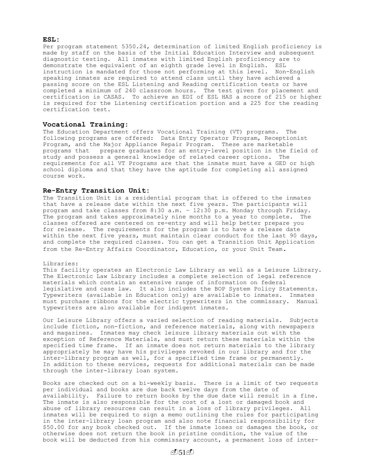#### **ESL:**

Per program statement 5350.24, determination of limited English proficiency is made by staff on the basis of the Initial Education Interview and subsequent diagnostic testing. All inmates with limited English proficiency are to demonstrate the equivalent of an eighth grade level in English. ESL instruction is mandated for those not performing at this level. Non-English speaking inmates are required to attend class until they have achieved a passing score on the ESL Listening and Reading certification tests or have completed a minimum of 240 classroom hours. The test given for placement and certification is CASAS. To achieve an EDI of ESL HAS a score of 215 or higher is required for the Listening certification portion and a 225 for the reading certification test.

# **Vocational Training:**

The Education Department offers Vocational Training (VT) programs. The following programs are offered: Data Entry Operator Program, Receptionist Program, and the Major Appliance Repair Program. These are marketable programs that prepare graduates for an entry-level position in the field of study and possess a general knowledge of related career options. The requirements for all VT Programs are that the inmate must have a GED or high school diploma and that they have the aptitude for completing all assigned course work.

## **Re-Entry Transition Unit:**

The Transition Unit is a residential program that is offered to the inmates that have a release date within the next five years. The participants will program and take classes from 8:30 a.m. – 12:30 p.m. Monday through Friday. The program and takes approximately nine months to a year to complete. The classes offered are centered on re-entry and will help better prepare you for release. The requirements for the program is to have a release date within the next five years, must maintain clear conduct for the last 90 days, and complete the required classes. You can get a Transition Unit Application from the Re-Entry Affairs Coordinator, Education, or your Unit Team.

#### Libraries:

This facility operates an Electronic Law Library as well as a Leisure Library. The Electronic Law Library includes a complete selection of legal reference materials which contain an extensive range of information on federal legislative and case law. It also includes the BOP System Policy Statements. Typewriters (available in Education only) are available to inmates. Inmates must purchase ribbons for the electric typewriters in the commissary. Manual typewriters are also available for indigent inmates.

Our Leisure Library offers a varied selection of reading materials. Subjects include fiction, non-fiction, and reference materials, along with newspapers and magazines. Inmates may check leisure library materials out with the exception of Reference Materials, and must return these materials within the specified time frame. If an inmate does not return materials to the library appropriately he may have his privileges revoked in our library and for the inter-library program as well, for a specified time frame or permanently. In addition to these services, requests for additional materials can be made through the inter-library loan system.

Books are checked out on a bi-weekly basis. There is a limit of two requests per individual and books are due back twelve days from the date of availability. Failure to return books by the due date will result in a fine. The inmate is also responsible for the cost of a lost or damaged book and abuse of library resources can result in a loss of library privileges. All inmates will be required to sign a memo outlining the rules for participating in the inter-library loan program and also note financial responsibility for \$50.00 for any book checked out. If the inmate loses or damages the book, or otherwise does not return the book in pristine condition, the value of the book will be deducted from his commissary account, a permanent loss of inter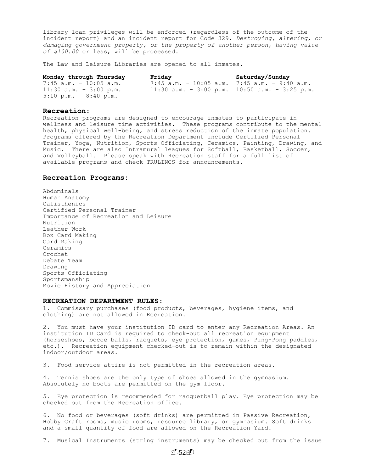library loan privileges will be enforced (regardless of the outcome of the incident report) and an incident report for Code 329, *Destroying, altering, or damaging government property, or the property of another person, having value of \$100.00* or less, will be processed.

The Law and Leisure Libraries are opened to all inmates.

| Monday through Thursday                 | Friday                                        | Saturday/Sunday |
|-----------------------------------------|-----------------------------------------------|-----------------|
| $7:45$ a.m. - 10:05 a.m.                | 7:45 a.m. - 10:05 a.m. 7:45 a.m. - 9:40 a.m.  |                 |
| $11:30$ a.m. - 3:00 p.m.                | 11:30 a.m. - 3:00 p.m. 10:50 a.m. - 3:25 p.m. |                 |
| $5:10 \text{ p.m.} - 8:40 \text{ p.m.}$ |                                               |                 |

## **Recreation:**

Recreation programs are designed to encourage inmates to participate in wellness and leisure time activities. These programs contribute to the mental health, physical well-being, and stress reduction of the inmate population. Programs offered by the Recreation Department include Certified Personal Trainer, Yoga, Nutrition, Sports Officiating, Ceramics, Painting, Drawing, and Music. There are also Intramural leagues for Softball, Basketball, Soccer, and Volleyball. Please speak with Recreation staff for a full list of available programs and check TRULINCS for announcements.

#### **Recreation Programs:**

Abdominals Human Anatomy Calisthenics Certified Personal Trainer Importance of Recreation and Leisure Nutrition Leather Work Box Card Making Card Making Ceramics Crochet Debate Team Drawing Sports Officiating Sportsmanship Movie History and Appreciation

#### **RECREATION DEPARTMENT RULES:**

1. Commissary purchases (food products, beverages, hygiene items, and clothing) are not allowed in Recreation.

2. You must have your institution ID card to enter any Recreation Areas. An institution ID Card is required to check-out all recreation equipment (horseshoes, bocce balls, racquets, eye protection, games, Ping-Pong paddles, etc.). Recreation equipment checked-out is to remain within the designated indoor/outdoor areas.

3. Food service attire is not permitted in the recreation areas.

4. Tennis shoes are the only type of shoes allowed in the gymnasium. Absolutely no boots are permitted on the gym floor.

5. Eye protection is recommended for racquetball play. Eye protection may be checked out from the Recreation office.

6. No food or beverages (soft drinks) are permitted in Passive Recreation, Hobby Craft rooms, music rooms, resource library, or gymnasium. Soft drinks and a small quantity of food are allowed on the Recreation Yard.

7. Musical Instruments (string instruments) may be checked out from the issue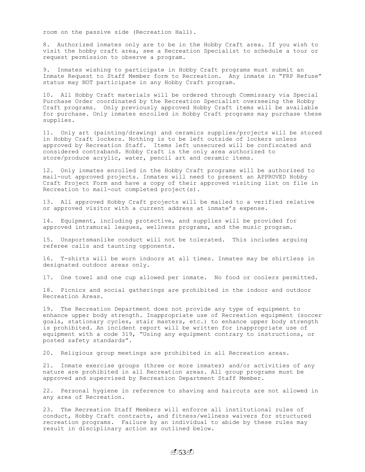room on the passive side (Recreation Hall).

8. Authorized inmates only are to be in the Hobby Craft area. If you wish to visit the hobby craft area, see a Recreation Specialist to schedule a tour or request permission to observe a program.

9. Inmates wishing to participate in Hobby Craft programs must submit an Inmate Request to Staff Member form to Recreation. Any inmate in "FRP Refuse" status may NOT participate in any Hobby Craft program.

10. All Hobby Craft materials will be ordered through Commissary via Special Purchase Order coordinated by the Recreation Specialist overseeing the Hobby Craft programs. Only previously approved Hobby Craft items will be available for purchase. Only inmates enrolled in Hobby Craft programs may purchase these supplies.

11. Only art (painting/drawing) and ceramics supplies/projects will be stored in Hobby Craft lockers. Nothing is to be left outside of lockers unless approved by Recreation Staff. Items left unsecured will be confiscated and considered contraband. Hobby Craft is the only area authorized to store/produce acrylic, water, pencil art and ceramic items.

12. Only inmates enrolled in the Hobby Craft programs will be authorized to mail-out approved projects. Inmates will need to present an APPROVED Hobby Craft Project Form and have a copy of their approved visiting list on file in Recreation to mail-out completed project(s).

13. All approved Hobby Craft projects will be mailed to a verified relative or approved visitor with a current address at inmate's expense.

14. Equipment, including protective, and supplies will be provided for approved intramural leagues, wellness programs, and the music program.

15. Unsportsmanlike conduct will not be tolerated. This includes arguing referee calls and taunting opponents.

16. T-shirts will be worn indoors at all times. Inmates may be shirtless in designated outdoor areas only.

17. One towel and one cup allowed per inmate. No food or coolers permitted.

18. Picnics and social gatherings are prohibited in the indoor and outdoor Recreation Areas.

19. The Recreation Department does not provide any type of equipment to enhance upper body strength. Inappropriate use of Recreation equipment (soccer goals, stationary cycles, stair masters, etc.) to enhance upper body strength is prohibited. An incident report will be written for inappropriate use of equipment with a code 319, "Using any equipment contrary to instructions, or posted safety standards".

20. Religious group meetings are prohibited in all Recreation areas.

21. Inmate exercise groups (three or more inmates) and/or activities of any nature are prohibited in all Recreation areas. All group programs must be approved and supervised by Recreation Department Staff Member.

22. Personal hygiene in reference to shaving and haircuts are not allowed in any area of Recreation.

23. The Recreation Staff Members will enforce all institutional rules of conduct, Hobby Craft contracts, and fitness/wellness waivers for structured recreation programs. Failure by an individual to abide by these rules may result in disciplinary action as outlined below.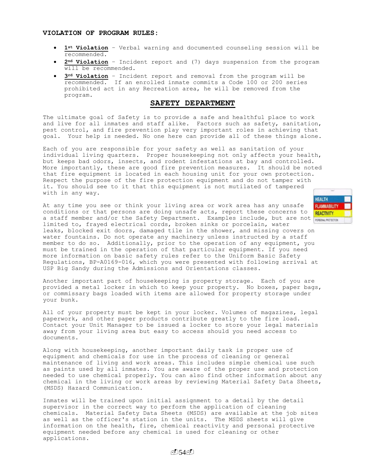## **VIOLATION OF PROGRAM RULES:**

- **1st Violation** Verbal warning and documented counseling session will be recommended.
- **2nd Violation** Incident report and (7) days suspension from the program will be recommended.
- **3rd Violation** Incident report and removal from the program will be recommended. If an enrolled inmate commits a Code 100 or 200 series prohibited act in any Recreation area, he will be removed from the program.

# **SAFETY DEPARTMENT**

The ultimate goal of Safety is to provide a safe and healthful place to work and live for all inmates and staff alike. Factors such as safety, sanitation, pest control, and fire prevention play very important roles in achieving that goal. Your help is needed. No one here can provide all of these things alone.

Each of you are responsible for your safety as well as sanitation of your individual living quarters. Proper housekeeping not only affects your health, but keeps bad odors, insects, and rodent infestations at bay and controlled. More importantly, these are good fire prevention measures. It should be noted that fire equipment is located in each housing unit for your own protection. Respect the purpose of the fire protection equipment and do not tamper with it. You should see to it that this equipment is not mutilated of tampered with in any way.

At any time you see or think your living area or work area has any unsafe conditions or that persons are doing unsafe acts, report these concerns to conditions or that persons are doing unsafe acts, report these concerns to **REACTIVITY**<br>a staff member and/or the Safety Department. Examples include, but are not persown protection limited to, frayed electrical cords, broken sinks or porcelain, water leaks, blocked exit doors, damaged tile in the shower, and missing covers on water fountains. Do not operate any machinery unless instructed by a staff member to do so. Additionally, prior to the operation of any equipment, you must be trained in the operation of that particular equipment. If you need more information on basic safety rules refer to the Uniform Basic Safety Regulations, BP-A0169-016, which you were presented with following arrival at USP Big Sandy during the Admissions and Orientations classes.

Another important part of housekeeping is property storage. Each of you are provided a metal locker in which to keep your property. No boxes, paper bags, or commissary bags loaded with items are allowed for property storage under your bunk.

All of your property must be kept in your locker. Volumes of magazines, legal paperwork, and other paper products contribute greatly to the fire load. Contact your Unit Manager to be issued a locker to store your legal materials away from your living area but easy to access should you need access to documents.

Along with housekeeping, another important daily task is proper use of equipment and chemicals for use in the process of cleaning or general maintenance of living and work areas. This includes simple chemical use such as paints used by all inmates. You are aware of the proper use and protection needed to use chemical properly. You can also find other information about any chemical in the living or work areas by reviewing Material Safety Data Sheets, (MSDS) Hazard Communication.

Inmates will be trained upon initial assignment to a detail by the detail supervisor in the correct way to perform the application of cleaning chemicals. Material Safety Data Sheets (MSDS) are available at the job sites as well as the officer's station in the units. The MSDS sheets will give information on the health, fire, chemical reactivity and personal protective equipment needed before any chemical is used for cleaning or other applications.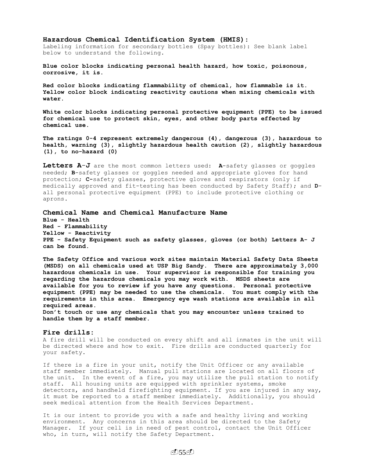## **Hazardous Chemical Identification System (HMIS)**:

Labeling information for secondary bottles (Spay bottles): See blank label below to understand the following.

**Blue color blocks indicating personal health hazard, how toxic, poisonous, corrosive, it is.**

**Red color blocks indicating flammability of chemical, how flammable is it. Yellow color block indicating reactivity cautions when mixing chemicals with water.**

**White color blocks indicating personal protective equipment (PPE) to be issued for chemical use to protect skin, eyes, and other body parts effected by chemical use.** 

**The ratings 0-4 represent extremely dangerous (4), dangerous (3), hazardous to health, warning (3), slightly hazardous health caution (2), slightly hazardous (1), to no-hazard (0)** 

**Letters A**-**J** are the most common letters used: **A**-safety glasses or goggles needed; **B**-safety glasses or goggles needed and appropriate gloves for hand protection; **C-**safety glasses, protective gloves and respirators (only if medically approved and fit-testing has been conducted by Safety Staff); and **D**all personal protective equipment (PPE) to include protective clothing or aprons.

## **Chemical Name and Chemical Manufacture Name**

**Blue - Health Red - Flammability Yellow - Reactivity PPE - Safety Equipment such as safety glasses, gloves (or both) Letters A- J can be found.**

**The Safety Office and various work sites maintain Material Safety Data Sheets (MSDS) on all chemicals used at USP Big Sandy. There are approximately 3,000 hazardous chemicals in use. Your supervisor is responsible for training you regarding the hazardous chemicals you may work with. MSDS sheets are available for you to review if you have any questions. Personal protective equipment (PPE) may be needed to use the chemicals. You must comply with the requirements in this area. Emergency eye wash stations are available in all required areas.** 

**Don't touch or use any chemicals that you may encounter unless trained to handle them by a staff member.** 

## **Fire drills:**

A fire drill will be conducted on every shift and all inmates in the unit will be directed where and how to exit. Fire drills are conducted quarterly for your safety.

If there is a fire in your unit, notify the Unit Officer or any available staff member immediately. Manual pull stations are located on all floors of the unit. In the event of a fire, you may utilize the pull station to notify staff. All housing units are equipped with sprinkler systems, smoke detectors, and handheld firefighting equipment. If you are injured in any way, it must be reported to a staff member immediately. Additionally, you should seek medical attention from the Health Services Department.

It is our intent to provide you with a safe and healthy living and working environment. Any concerns in this area should be directed to the Safety Manager. If your cell is in need of pest control, contact the Unit Officer who, in turn, will notify the Safety Department.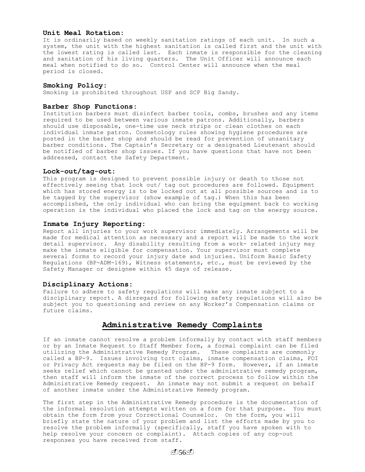# **Unit Meal Rotation:**

It is ordinarily based on weekly sanitation ratings of each unit. In such a system, the unit with the highest sanitation is called first and the unit with the lowest rating is called last. Each inmate is responsible for the cleaning and sanitation of his living quarters. The Unit Officer will announce each meal when notified to do so. Control Center will announce when the meal period is closed.

#### **Smoking Policy:**

Smoking is prohibited throughout USP and SCP Big Sandy.

#### **Barber Shop Functions:**

Institution barbers must disinfect barber tools, combs, brushes and any items required to be used between various inmate patrons. Additionally, barbers should use disposable, one-time use neck strips or clean clothes on each individual inmate patron. Cosmetology rules showing hygiene procedures are posted in the barber shop and should be read for prevention of unsanitary barber conditions. The Captain's Secretary or a designated Lieutenant should be notified of barber shop issues. If you have questions that have not been addressed, contact the Safety Department.

### **Lock-out/tag-out:**

This program is designed to prevent possible injury or death to those not effectively seeing that lock out/ tag out procedures are followed. Equipment which has stored energy is to be locked out at all possible sources and is to be tagged by the supervisor (show example of tag.) When this has been accomplished, the only individual who can bring the equipment back to working operation is the individual who placed the lock and tag on the energy source.

## **Inmate Injury Reporting:**

Report all injuries to your work supervisor immediately. Arrangements will be made for medical attention as necessary and a report will be made to the work detail supervisor. Any disability resulting from a work- related injury may make the inmate eligible for compensation. Your supervisor must complete several forms to record your injury date and injuries. Uniform Basic Safety Regulations (BP-ADM-169), Witness statements, etc., must be reviewed by the Safety Manager or designee within 45 days of release.

#### **Disciplinary Actions:**

Failure to adhere to safety regulations will make any inmate subject to a disciplinary report. A disregard for following safety regulations will also be subject you to questioning and review on any Worker's Compensation claims or future claims.

# **Administrative Remedy Complaints**

If an inmate cannot resolve a problem informally by contact with staff members or by an Inmate Request to Staff Member form, a formal complaint can be filed utilizing the Administrative Remedy Program. These complaints are commonly called a BP-9. Issues involving tort claims, inmate compensation claims, FOI or Privacy Act requests may be filed on the BP-9 form. However, if an inmate seeks relief which cannot be granted under the administrative remedy program, then staff will inform the inmate of the correct process to follow within the Administrative Remedy request. An inmate may not submit a request on behalf of another inmate under the Administrative Remedy program.

The first step in the Administrative Remedy procedure is the documentation of the informal resolution attempts written on a form for that purpose. You must obtain the form from your Correctional Counselor. On the form, you will briefly state the nature of your problem and list the efforts made by you to resolve the problem informally (specifically, staff you have spoken with to help resolve your concern or complaint). Attach copies of any cop-out responses you have received from staff.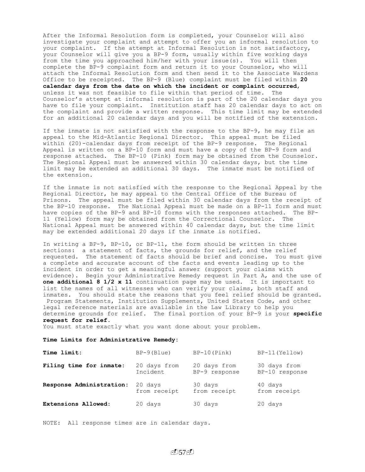After the Informal Resolution form is completed, your Counselor will also investigate your complaint and attempt to offer you an informal resolution to your complaint. If the attempt at Informal Resolution is not satisfactory, your Counselor will give you a BP-9 form, usually within five working days from the time you approached him/her with your issue(s). You will then complete the BP-9 complaint form and return it to your Counselor, who will attach the Informal Resolution form and then send it to the Associate Wardens Office to be receipted. The BP-9 (Blue) complaint must be filed within **20 calendar days from the date on which the incident or complaint occurred**, unless it was not feasible to file within that period of time. The Counselor's attempt at informal resolution is part of the 20 calendar days you have to file your complaint. Institution staff has 20 calendar days to act on the complaint and provide a written response. This time limit may be extended for an additional 20 calendar days and you will be notified of the extension.

If the inmate is not satisfied with the response to the BP-9, he may file an appeal to the Mid-Atlantic Regional Director. This appeal must be filed within (20)-calendar days from receipt of the BP-9 response. The Regional Appeal is written on a BP-10 form and must have a copy of the BP-9 form and response attached. The BP-10 (Pink) form may be obtained from the Counselor. The Regional Appeal must be answered within 30 calendar days, but the time limit may be extended an additional 30 days. The inmate must be notified of the extension.

If the inmate is not satisfied with the response to the Regional Appeal by the Regional Director, he may appeal to the Central Office of the Bureau of Prisons. The appeal must be filed within 30 calendar days from the receipt of the BP-10 response. The National Appeal must be made on a BP-11 form and must have copies of the BP-9 and BP-10 forms with the responses attached. The BP-11 (Yellow) form may be obtained from the Correctional Counselor. The National Appeal must be answered within 40 calendar days, but the time limit may be extended additional 20 days if the inmate is notified.

In writing a BP-9, BP-10, or BP-11, the form should be written in three sections: a statement of facts, the grounds for relief, and the relief requested. The statement of facts should be brief and concise. You must give a complete and accurate account of the facts and events leading up to the incident in order to get a meaningful answer (support your claims with evidence). Begin your Administrative Remedy request in Part A, and the use of **one additional 8 1/2 x 11** continuation page may be used. It is important to list the names of all witnesses who can verify your claims, both staff and inmates. You should state the reasons that you feel relief should be granted. Program Statements, Institution Supplements, United States Code, and other legal reference materials are available in the Law Library to help you determine grounds for relief. The final portion of your BP-9 is your **specific request for relief.**

You must state exactly what you want done about your problem.

#### **Time Limits for Administrative Remedy:**

| Time limit:              | $BP-9(Blue)$ | $BP-10(Pink)$ | BP-11 (Yellow) |
|--------------------------|--------------|---------------|----------------|
| Filing time for inmate:  | 20 days from | 20 days from  | 30 days from   |
|                          | Incident     | BP-9 response | BP-10 response |
| Response Administration: | 20 days      | 30 days       | 40 days        |
|                          | from receipt | from receipt  | from receipt   |
| Extensions Allowed:      | 20 days      | 30 days       | 20 days        |

NOTE: All response times are in calendar days.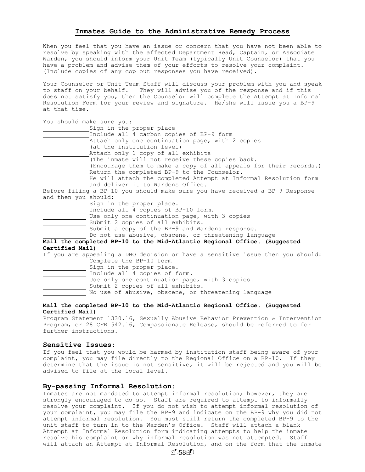#### **Inmates Guide to the Administrative Remedy Process**

When you feel that you have an issue or concern that you have not been able to resolve by speaking with the affected Department Head, Captain, or Associate Warden, you should inform your Unit Team (typically Unit Counselor) that you have a problem and advise them of your efforts to resolve your complaint. (Include copies of any cop out responses you have received).

Your Counselor or Unit Team Staff will discuss your problem with you and speak to staff on your behalf. They will advise you of the response and if this does not satisfy you, then the Counselor will complete the Attempt at Informal Resolution Form for your review and signature. He/she will issue you a BP-9 at that time.

You should make sure you:

| Sign in the proper place                                                     |  |
|------------------------------------------------------------------------------|--|
| Include all 4 carbon copies of BP-9 form                                     |  |
| Attach only one continuation page, with 2 copies                             |  |
| (at the institution level)                                                   |  |
| Attach only 1 copy of all exhibits                                           |  |
| (The inmate will not receive these copies back.                              |  |
| (Encourage them to make a copy of all appeals for their records.)            |  |
| Return the completed BP-9 to the Counselor.                                  |  |
| He will attach the completed Attempt at Informal Resolution form             |  |
| and deliver it to Wardens Office.                                            |  |
| Before filing a BP-10 you should make sure you have received a BP-9 Response |  |
| and then you should:                                                         |  |
| Sign in the proper place.                                                    |  |
| Include all 4 copies of BP-10 form.                                          |  |
| Use only one continuation page, with 3 copies                                |  |

- Submit 2 copies of all exhibits.
- Submit a copy of the BP-9 and Wardens response.

Do not use abusive, obscene, or threatening language

**Mail the completed BP-10 to the Mid-Atlantic Regional Office. (Suggested Certified Mail)**

If you are appealing a DHO decision or have a sensitive issue then you should: Complete the BP-10 form

- Sign in the proper place. Include all 4 copies of form.
- Use only one continuation page, with 3 copies. Submit 2 copies of all exhibits. No use of abusive, obscene, or threatening language

## **Mail the completed BP-10 to the Mid-Atlantic Regional Office. (Suggested Certified Mail)**

Program Statement 1330.16, Sexually Abusive Behavior Prevention & Intervention Program, or 28 CFR 542.16, Compassionate Release, should be referred to for further instructions.

# **Sensitive Issues**:

If you feel that you would be harmed by institution staff being aware of your complaint, you may file directly to the Regional Office on a BP-10. If they determine that the issue is not sensitive, it will be rejected and you will be advised to file at the local level.

# **By-passing Informal Resolution**:

Inmates are not mandated to attempt informal resolution; however, they are strongly encouraged to do so. Staff are required to attempt to informally resolve your complaint. If you do not wish to attempt informal resolution of your complaint, you may file the BP-9 and indicate on the BP-9 why you did not attempt informal resolution. You must still return the completed BP-9 to the unit staff to turn in to the Warden's Office. Staff will attach a blank Attempt at Informal Resolution form indicating attempts to help the inmate resolve his complaint or why informal resolution was not attempted. Staff will attach an Attempt at Informal Resolution, and on the form that the inmate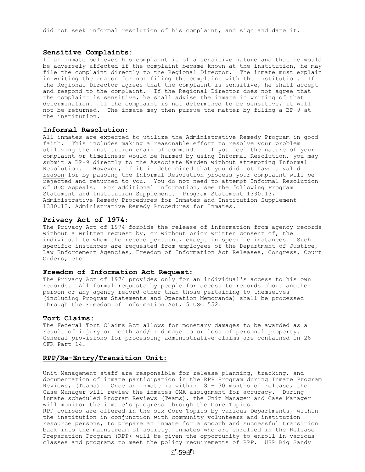did not seek informal resolution of his complaint, and sign and date it.

## **Sensitive Complaints:**

If an inmate believes his complaint is of a sensitive nature and that he would be adversely affected if the complaint became known at the institution, he may file the complaint directly to the Regional Director. The inmate must explain in writing the reason for not filing the complaint with the institution. If the Regional Director agrees that the complaint is sensitive, he shall accept and respond to the complaint. If the Regional Director does not agree that the complaint is sensitive, he shall advise the inmate in writing of that determination. If the complaint is not determined to be sensitive, it will not be returned. The inmate may then pursue the matter by filing a BP-9 at the institution.

## **Informal Resolution:**

All inmates are expected to utilize the Administrative Remedy Program in good faith. This includes making a reasonable effort to resolve your problem utilizing the institution chain of command. If you feel the nature of your complaint or timeliness would be harmed by using Informal Resolution, you may submit a BP-9 directly to the Associate Warden without attempting Informal Resolution. However, if it is determined that you did not have a valid reason for by-passing the Informal Resolution process your complaint will be rejected and returned to you. You do not need to attempt Informal Resolution of UDC Appeals. For additional information, see the following Program Statement and Institution Supplement. Program Statement 1330.13, Administrative Remedy Procedures for Inmates and Institution Supplement 1330.13, Administrative Remedy Procedures for Inmates.

#### **Privacy Act of 1974**:

The Privacy Act of 1974 forbids the release of information from agency records without a written request by, or without prior written consent of, the individual to whom the record pertains, except in specific instances. Such specific instances are requested from employees of the Department of Justice, Law Enforcement Agencies, Freedom of Information Act Releases, Congress, Court Orders, etc.

## **Freedom of Information Act Request**:

The Privacy Act of 1974 provides only for an individual's access to his own records. All formal requests by people for access to records about another person or any agency record other than those pertaining to themselves (including Program Statements and Operation Memoranda) shall be processed through the Freedom of Information Act, 5 USC 552.

## **Tort Claims:**

The Federal Tort Claims Act allows for monetary damages to be awarded as a result of injury or death and/or damage to or loss of personal property. General provisions for processing administrative claims are contained in 28 CFR Part 14.

## **RPP/Re-Entry/Transition Unit:**

Unit Management staff are responsible for release planning, tracking, and documentation of inmate participation in the RPP Program during Inmate Program Reviews, (Teams). Once an inmate is within 18 – 30 months of release, the Case Manager will review the inmates CMA assignment for accuracy. During inmate scheduled Program Reviews (Teams), the Unit Manager and Case Manager will monitor the inmate's progress through the Core Topics. RPP courses are offered in the six Core Topics by various Departments, within the institution in conjunction with community volunteers and institution resource persons, to prepare an inmate for a smooth and successful transition back into the mainstream of society. Inmates who are enrolled in the Release Preparation Program (RPP) will be given the opportunity to enroll in various classes and programs to meet the policy requirements of RPP. USP Big Sandy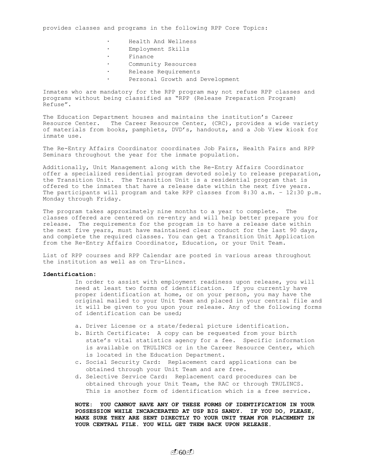provides classes and programs in the following RPP Core Topics:

- Health And Wellness
- · Employment Skills
- · Finance
- Community Resources
- Release Requirements
	- Personal Growth and Development

Inmates who are mandatory for the RPP program may not refuse RPP classes and programs without being classified as "RPP (Release Preparation Program) Refuse".

The Education Department houses and maintains the institution's Career Resource Center. The Career Resource Center, (CRC), provides a wide variety of materials from books, pamphlets, DVD's, handouts, and a Job View kiosk for inmate use.

The Re-Entry Affairs Coordinator coordinates Job Fairs, Health Fairs and RPP Seminars throughout the year for the inmate population.

Additionally, Unit Management along with the Re-Entry Affairs Coordinator offer a specialized residential program devoted solely to release preparation, the Transition Unit. The Transition Unit is a residential program that is offered to the inmates that have a release date within the next five years. The participants will program and take RPP classes from 8:30 a.m. – 12:30 p.m. Monday through Friday.

The program takes approximately nine months to a year to complete. The classes offered are centered on re-entry and will help better prepare you for release. The requirements for the program is to have a release date within the next five years, must have maintained clear conduct for the last 90 days, and complete the required classes. You can get a Transition Unit Application from the Re-Entry Affairs Coordinator, Education, or your Unit Team.

List of RPP courses and RPP Calendar are posted in various areas throughout the institution as well as on Tru-Lincs.

## **Identification:**

In order to assist with employment readiness upon release, you will need at least two forms of identification. If you currently have proper identification at home, or on your person, you may have the original mailed to your Unit Team and placed in your central file and it will be given to you upon your release. Any of the following forms of identification can be used;

- a. Driver License or a state/federal picture identification.
- b. Birth Certificate: A copy can be requested from your birth state's vital statistics agency for a fee. Specific information is available on TRULINCS or in the Career Resource Center, which is located in the Education Department.
- c. Social Security Card: Replacement card applications can be obtained through your Unit Team and are free.
- d. Selective Service Card: Replacement card procedures can be obtained through your Unit Team, the RAC or through TRULINCS. This is another form of identification which is a free service.

**NOTE: YOU CANNOT HAVE ANY OF THESE FORMS OF IDENTIFICATION IN YOUR POSSESSION WHILE INCARCERATED AT USP BIG SANDY. IF YOU DO, PLEASE, MAKE SURE THEY ARE SENT DIRECTLY TO YOUR UNIT TEAM FOR PLACEMENT IN YOUR CENTRAL FILE. YOU WILL GET THEM BACK UPON RELEASE.**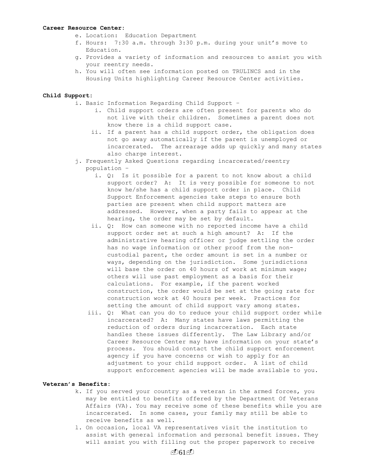#### **Career Resource Center:**

- e. Location: Education Department
- f. Hours: 7:30 a.m. through 3:30 p.m. during your unit's move to Education.
- g. Provides a variety of information and resources to assist you with your reentry needs.
- h. You will often see information posted on TRULINCS and in the Housing Units highlighting Career Resource Center activities.

## **Child Support:**

- i. Basic Information Regarding Child Support
	- i. Child support orders are often present for parents who do not live with their children. Sometimes a parent does not know there is a child support case.
	- ii. If a parent has a child support order, the obligation does not go away automatically if the parent is unemployed or incarcerated. The arrearage adds up quickly and many states also charge interest.
- j. Frequently Asked Questions regarding incarcerated/reentry population –
	- i. Q: Is it possible for a parent to not know about a child support order? A: It is very possible for someone to not know he/she has a child support order in place. Child Support Enforcement agencies take steps to ensure both parties are present when child support matters are addressed. However, when a party fails to appear at the hearing, the order may be set by default.
	- ii. Q: How can someone with no reported income have a child support order set at such a high amount? A: If the administrative hearing officer or judge settling the order has no wage information or other proof from the noncustodial parent, the order amount is set in a number or ways, depending on the jurisdiction. Some jurisdictions will base the order on 40 hours of work at minimum wage; others will use past employment as a basis for their calculations. For example, if the parent worked construction, the order would be set at the going rate for construction work at 40 hours per week. Practices for setting the amount of child support vary among states.
	- iii. Q: What can you do to reduce your child support order while incarcerated? A: Many states have laws permitting the reduction of orders during incarceration. Each state handles these issues differently. The Law Library and/or Career Resource Center may have information on your state's process. You should contact the child support enforcement agency if you have concerns or wish to apply for an adjustment to your child support order. A list of child support enforcement agencies will be made available to you.

## **Veteran's Benefits:**

- k. If you served your country as a veteran in the armed forces, you may be entitled to benefits offered by the Department Of Veterans Affairs (VA). You may receive some of these benefits while you are incarcerated. In some cases, your family may still be able to receive benefits as well.
- l. On occasion, local VA representatives visit the institution to assist with general information and personal benefit issues. They will assist you with filling out the proper paperwork to receive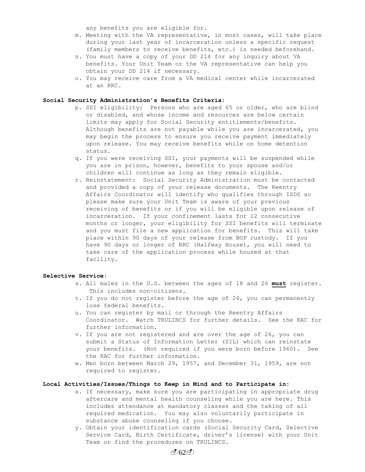any benefits you are eligible for.

- m. Meeting with the VA representative, in most cases, will take place during your last year of incarceration unless a specific request (family members to receive benefits, etc.) is needed beforehand.
- n. You must have a copy of your DD 214 for any inquiry about VA benefits. Your Unit Team or the VA representative can help you obtain your DD 214 if necessary.
- o. You may receive care from a VA medical center while incarcerated at an RRC.

## **Social Security Administration's Benefits Criteria:**

- p. SSI eligibility: Persons who are aged 65 or older, who are blind or disabled, and whose income and resources are below certain limits may apply for Social Security entitlements/benefits. Although benefits are not payable while you are incarcerated, you may begin the process to ensure you receive payment immediately upon release. You may receive benefits while on home detention status.
- q. If you were receiving SSI, your payments will be suspended while you are in prison, however, benefits to your spouse and/or children will continue as long as they remain eligible.
- r. Reinstatement: Social Security Administration must be contacted and provided a copy of your release documents. The Reentry Affairs Coordinator will identify who qualifies through ISDS so please make sure your Unit Team is aware of your previous receiving of benefits or if you will be eligible upon release of incarceration. If your confinement lasts for 12 consecutive months or longer, your eligibility for SSI benefits will terminate and you must file a new application for benefits. This will take place within 90 days of your release from BOP custody. If you have 90 days or longer of RRC (Halfway House), you will need to take care of the application process while housed at that facility.

#### **Selective Service:**

- s. All males in the U.S. between the ages of 18 and 26 **must** register. This includes non-citizens.
- t. If you do not register before the age of 26, you can permanently lose federal benefits.
- u. You can register by mail or through the Reentry Affairs Coordinator. Watch TRULINCS for further details. See the RAC for further information.
- v. If you are not registered and are over the age of 26, you can submit a Status of Information Letter (SIL) which can reinstate your benefits. (Not required if you were born before 1960). See the RAC for further information.
- w. Men born between March 29, 1957, and December 31, 1959, are not required to register.

## **Local Activities/Issues/Things to Keep in Mind and to Participate in:**

- x. If necessary, make sure you are participating in appropriate drug aftercare and mental health counseling while you are here. This includes attendance at mandatory classes and the taking of all required medication. You may also voluntarily participate in substance abuse counseling if you choose.
- y. Obtain your identification cards (Social Security Card, Selective Service Card, Birth Certificate, driver's license) with your Unit Team or find the procedures on TRULINCS.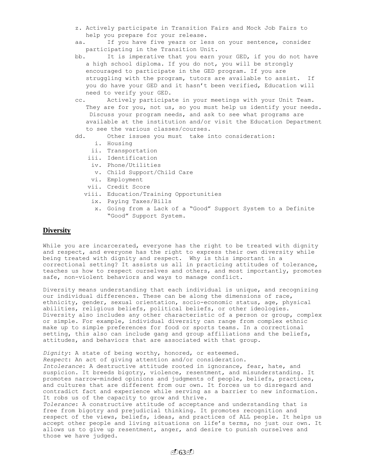- z. Actively participate in Transition Fairs and Mock Job Fairs to help you prepare for your release.
- aa. If you have five years or less on your sentence, consider participating in the Transition Unit.
- bb. It is imperative that you earn your GED, if you do not have a high school diploma. If you do not, you will be strongly encouraged to participate in the GED program. If you are struggling with the program, tutors are available to assist. If you do have your GED and it hasn't been verified, Education will need to verify your GED.
- cc. Actively participate in your meetings with your Unit Team. They are for you, not us, so you must help us identify your needs. Discuss your program needs, and ask to see what programs are available at the institution and/or visit the Education Department to see the various classes/courses.
- dd. Other issues you must take into consideration:
	- i. Housing
	- ii. Transportation
	- iii. Identification
	- iv. Phone/Utilities
	- v. Child Support/Child Care
	- vi. Employment
	- vii. Credit Score
	- viii. Education/Training Opportunities
		- ix. Paying Taxes/Bills
		- x. Going from a Lack of a "Good" Support System to a Definite "Good" Support System.

# **Diversity**

those we have judged.

While you are incarcerated, everyone has the right to be treated with dignity and respect, and everyone has the right to express their own diversity while being treated with dignity and respect. Why is this important in a correctional setting? It assists us all in practicing attitudes of tolerance, teaches us how to respect ourselves and others, and most importantly, promotes safe, non-violent behaviors and ways to manage conflict.

Diversity means understanding that each individual is unique, and recognizing our individual differences. These can be along the dimensions of race, ethnicity, gender, sexual orientation, socio-economic status, age, physical abilities, religious beliefs, political beliefs, or other ideologies. Diversity also includes any other characteristic of a person or group, complex or simple. For example, individual diversity can range from complex ethnic make up to simple preferences for food or sports teams. In a correctional setting, this also can include gang and group affiliations and the beliefs, attitudes, and behaviors that are associated with that group.

*Dignity*: A state of being worthy, honored, or esteemed. *Respect*: An act of giving attention and/or consideration. *Intolerance*: A destructive attitude rooted in ignorance, fear, hate, and suspicion. It breeds bigotry, violence, resentment, and misunderstanding. It promotes narrow-minded opinions and judgments of people, beliefs, practices, and cultures that are different from our own. It forces us to disregard and contradict fact and experience while serving as a barrier to new information. It robs us of the capacity to grow and thrive. *Tolerance*: A constructive attitude of acceptance and understanding that is free from bigotry and prejudicial thinking. It promotes recognition and respect of the views, beliefs, ideas, and practices of ALL people. It helps us

accept other people and living situations on life's terms, no just our own. It allows us to give up resentment, anger, and desire to punish ourselves and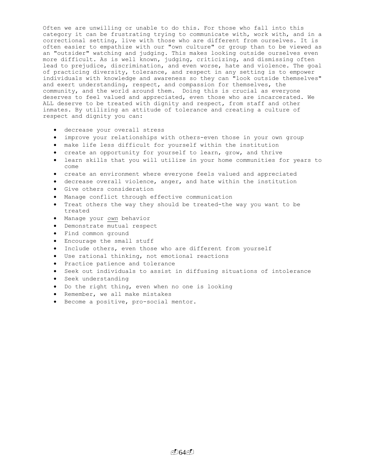Often we are unwilling or unable to do this. For those who fall into this category it can be frustrating trying to communicate with, work with, and in a correctional setting, live with those who are different from ourselves. It is often easier to empathize with our "own culture" or group than to be viewed as an "outsider" watching and judging. This makes looking outside ourselves even more difficult. As is well known, judging, criticizing, and dismissing often lead to prejudice, discrimination, and even worse, hate and violence. The goal of practicing diversity, tolerance, and respect in any setting is to empower individuals with knowledge and awareness so they can "look outside themselves" and exert understanding, respect, and compassion for themselves, the community, and the world around them. Doing this is crucial as everyone deserves to feel valued and appreciated, even those who are incarcerated. We ALL deserve to be treated with dignity and respect, from staff and other inmates. By utilizing an attitude of tolerance and creating a culture of respect and dignity you can:

- decrease your overall stress
- improve your relationships with others-even those in your own group
- make life less difficult for yourself within the institution
- create an opportunity for yourself to learn, grow, and thrive
- learn skills that you will utilize in your home communities for years to come
- create an environment where everyone feels valued and appreciated
- decrease overall violence, anger, and hate within the institution
- Give others consideration
- Manage conflict through effective communication
- Treat others the way they should be treated-the way you want to be treated
- Manage your *own* behavior
- Demonstrate mutual respect
- Find common ground
- Encourage the small stuff
- Include others, even those who are different from yourself
- Use rational thinking, not emotional reactions
- Practice patience and tolerance
- Seek out individuals to assist in diffusing situations of intolerance
- Seek understanding
- Do the right thing, even when no one is looking
- Remember, we all make mistakes
- Become a positive, pro-social mentor.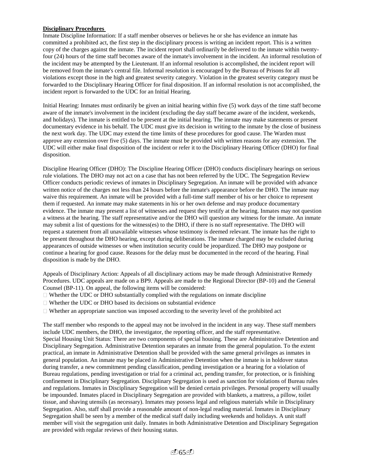# **Disciplinary Procedures**

Inmate Discipline Information: If a staff member observes or believes he or she has evidence an inmate has committed a prohibited act, the first step in the disciplinary process is writing an incident report. This is a written copy of the charges against the inmate. The incident report shall ordinarily be delivered to the inmate within twentyfour (24) hours of the time staff becomes aware of the inmate's involvement in the incident. An informal resolution of the incident may be attempted by the Lieutenant. If an informal resolution is accomplished, the incident report will be removed from the inmate's central file. Informal resolution is encouraged by the Bureau of Prisons for all violations except those in the high and greatest severity category. Violation in the greatest severity category must be forwarded to the Disciplinary Hearing Officer for final disposition. If an informal resolution is not accomplished, the incident report is forwarded to the UDC for an Initial Hearing.

Initial Hearing: Inmates must ordinarily be given an initial hearing within five (5) work days of the time staff become aware of the inmate's involvement in the incident (excluding the day staff became aware of the incident, weekends, and holidays). The inmate is entitled to be present at the initial hearing. The inmate may make statements or present documentary evidence in his behalf. The UDC must give its decision in writing to the inmate by the close of business the next work day. The UDC may extend the time limits of these procedures for good cause. The Warden must approve any extension over five (5) days. The inmate must be provided with written reasons for any extension. The UDC will either make final disposition of the incident or refer it to the Disciplinary Hearing Officer (DHO) for final disposition.

Discipline Hearing Officer (DHO): The Discipline Hearing Officer (DHO) conducts disciplinary hearings on serious rule violations. The DHO may not act on a case that has not been referred by the UDC. The Segregation Review Officer conducts periodic reviews of inmates in Disciplinary Segregation. An inmate will be provided with advance written notice of the charges not less than 24 hours before the inmate's appearance before the DHO. The inmate may waive this requirement. An inmate will be provided with a full-time staff member of his or her choice to represent them if requested. An inmate may make statements in his or her own defense and may produce documentary evidence. The inmate may present a list of witnesses and request they testify at the hearing. Inmates may not question a witness at the hearing. The staff representative and/or the DHO will question any witness for the inmate. An inmate may submit a list of questions for the witness(es) to the DHO, if there is no staff representative. The DHO will request a statement from all unavailable witnesses whose testimony is deemed relevant. The inmate has the right to be present throughout the DHO hearing, except during deliberations. The inmate charged may be excluded during appearances of outside witnesses or when institution security could be jeopardized. The DHO may postpone or continue a hearing for good cause. Reasons for the delay must be documented in the record of the hearing. Final disposition is made by the DHO.

Appeals of Disciplinary Action: Appeals of all disciplinary actions may be made through Administrative Remedy Procedures. UDC appeals are made on a BP9. Appeals are made to the Regional Director (BP-10) and the General Counsel (BP-11). On appeal, the following items will be considered:

- $\Box$  Whether the UDC or DHO substantially complied with the regulations on inmate discipline
- $\Box$  Whether the UDC or DHO based its decisions on substantial evidence
- $\Box$  Whether an appropriate sanction was imposed according to the severity level of the prohibited act

The staff member who responds to the appeal may not be involved in the incident in any way. These staff members include UDC members, the DHO, the investigator, the reporting officer, and the staff representative. Special Housing Unit Status: There are two components of special housing. These are Administrative Detention and Disciplinary Segregation. Administrative Detention separates an inmate from the general population. To the extent practical, an inmate in Administrative Detention shall be provided with the same general privileges as inmates in general population. An inmate may be placed in Administrative Detention when the inmate is in holdover status during transfer, a new commitment pending classification, pending investigation or a hearing for a violation of Bureau regulations, pending investigation or trial for a criminal act, pending transfer, for protection, or is finishing confinement in Disciplinary Segregation. Disciplinary Segregation is used as sanction for violations of Bureau rules and regulations. Inmates in Disciplinary Segregation will be denied certain privileges. Personal property will usually be impounded. Inmates placed in Disciplinary Segregation are provided with blankets, a mattress, a pillow, toilet tissue, and shaving utensils (as necessary). Inmates may possess legal and religious materials while in Disciplinary Segregation. Also, staff shall provide a reasonable amount of non-legal reading material. Inmates in Disciplinary Segregation shall be seen by a member of the medical staff daily including weekends and holidays. A unit staff member will visit the segregation unit daily. Inmates in both Administrative Detention and Disciplinary Segregation are provided with regular reviews of their housing status.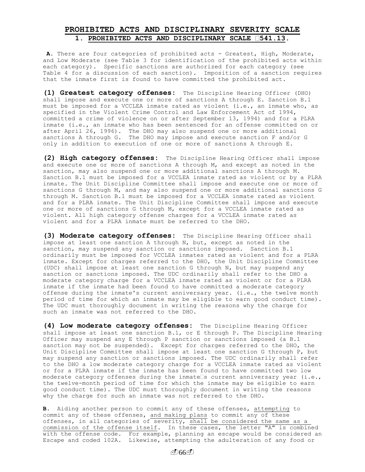# **PROHIBITED ACTS AND DISCIPLINARY SEVERITY SCALE** 1. PROHIBITED ACTS AND DISCIPLINARY SCALE **541.13**.

**A.** There are four categories of prohibited acts - Greatest, High, Moderate, and Low Moderate (see Table 3 for identification of the prohibited acts within each category). Specific sanctions are authorized for each category (see Table 4 for a discussion of each sanction). Imposition of a sanction requires that the inmate first is found to have committed the prohibited act.

**(1) Greatest category offenses:** The Discipline Hearing Officer (DHO) shall impose and execute one or more of sanctions A through E. Sanction B.1 must be imposed for a VCCLEA inmate rated as violent (i.e., an inmate who, as specified in the Violent Crime Control and Law Enforcement Act of 1994, committed a crime of violence on or after September 13, 1994) and for a PLRA inmate (i.e., an inmate who has been sentenced for an offense committed on or after April 26, 1996). The DHO may also suspend one or more additional sanctions A through G. The DHO may impose and execute sanction F and/or G only in addition to execution of one or more of sanctions A through E.

**(2) High category offenses:** The Discipline Hearing Officer shall impose and execute one or more of sanctions A through M, and except as noted in the sanction, may also suspend one or more additional sanctions A through M. Sanction B.1 must be imposed for a VCCLEA inmate rated as violent or by a PLRA inmate. The Unit Discipline Committee shall impose and execute one or more of sanctions G through M, and may also suspend one or more additional sanctions G through M. Sanction B.1 must be imposed for a VCCLEA inmate rated as violent and for a PLRA inmate. The Unit Discipline Committee shall impose and execute one or more of sanctions G through M, except for a VCCLEA inmate rated as violent. All high category offense charges for a VCCLEA inmate rated as violent and for a PLRA inmate must be referred to the DHO.

**(3) Moderate category offenses:** The Discipline Hearing Officer shall impose at least one sanction A through N, but, except as noted in the sanction, may suspend any sanction or sanctions imposed. Sanction B.1 ordinarily must be imposed for VCCLEA inmates rated as violent and for a PLRA inmate. Except for charges referred to the DHO, the Unit Discipline Committee (UDC) shall impose at least one sanction G through N, but may suspend any sanction or sanctions imposed. The UDC ordinarily shall refer to the DHO a moderate category charge for a VCCLEA inmate rated as violent or for a PLRA inmate if the inmate had been found to have committed a moderate category offense during the inmate's current anniversary year. (i.e., the twelve month period of time for which an inmate may be eligible to earn good conduct time). The UDC must thoroughly document in writing the reasons why the charge for such an inmate was not referred to the DHO.

**(4) Low moderate category offenses:** The Discipline Hearing Officer shall impose at least one sanction B.1, or E through P. The Discipline Hearing Officer may suspend any E through P sanction or sanctions imposed (a B.1 sanction may not be suspended). Except for charges referred to the DHO, the Unit Discipline Committee shall impose at least one sanction G through P, but may suspend any sanction or sanctions imposed. The UDC ordinarily shall refer to the DHO a low moderate category charge for a VCCLEA inmate rated as violent or for a PLRA inmate if the inmate has been found to have committed two low moderate category offenses during the inmate s current anniversary year (i.e., the twelve-month period of time for which the inmate may be eligible to earn good conduct time). The UDC must thoroughly document in writing the reasons why the charge for such an inmate was not referred to the DHO.

**B**. Aiding another person to commit any of these offenses, attempting to commit any of these offenses, and making plans to commit any of these offenses, in all categories of severity, shall be considered the same as a commission of the offense itself. In these cases, the letter "A" is combined with the offense code. For example, planning an escape would be considered an Escape and coded 102A. Likewise, attempting the adulteration of any food or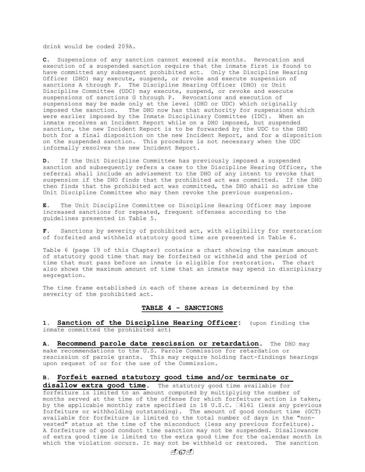drink would be coded 209A.

**C**. Suspensions of any sanction cannot exceed six months. Revocation and execution of a suspended sanction require that the inmate first is found to have committed any subsequent prohibited act. Only the Discipline Hearing Officer (DHO) may execute, suspend, or revoke and execute suspension of sanctions A through F. The Discipline Hearing Officer (DHO) or Unit Discipline Committee (UDC) may execute, suspend, or revoke and execute suspensions of sanctions G through P. Revocations and execution of suspensions may be made only at the level (DHO or UDC) which originally imposed the sanction. The DHO now has that authority for suspensions which were earlier imposed by the Inmate Disciplinary Committee (IDC). When an inmate receives an Incident Report while on a DHO imposed, but suspended sanction, the new Incident Report is to be forwarded by the UDC to the DHO both for a final disposition on the new Incident Report, and for a disposition on the suspended sanction. This procedure is not necessary when the UDC informally resolves the new Incident Report.

**D.** If the Unit Discipline Committee has previously imposed a suspended sanction and subsequently refers a case to the Discipline Hearing Officer, the referral shall include an advisement to the DHO of any intent to revoke that suspension if the DHO finds that the prohibited act was committed. If the DHO then finds that the prohibited act was committed, the DHO shall so advise the Unit Discipline Committee who may then revoke the previous suspension.

**E.** The Unit Discipline Committee or Discipline Hearing Officer may impose increased sanctions for repeated, frequent offenses according to the guidelines presented in Table 5.

**F.** Sanctions by severity of prohibited act, with eligibility for restoration of forfeited and withheld statutory good time are presented in Table 6.

Table 6 (page 19 of this Chapter) contains a chart showing the maximum amount of statutory good time that may be forfeited or withheld and the period of time that must pass before an inmate is eligible for restoration. The chart also shows the maximum amount of time that an inmate may spend in disciplinary segregation.

The time frame established in each of these areas is determined by the severity of the prohibited act.

### **TABLE 4 - SANCTIONS**

**1. Sanction of the Discipline Hearing Officer:** (upon finding the inmate committed the prohibited act)

**A. Recommend parole date rescission or retardation.** The DHO may make recommendations to the U.S. Parole Commission for retardation or rescission of parole grants. This may require holding fact-findings hearings upon request of or for the use of the Commission.

## **B. Forfeit earned statutory good time and/or terminate or**

**disallow extra good time.** The statutory good time available for forfeiture is limited to an amount computed by multiplying the number of months served at the time of the offense for which forfeiture action is taken, by the applicable monthly rate specified in 18 U.S.C.  $\Box 4161$  (less any previous forfeiture or withholding outstanding). The amount of good conduct time (GCT) available for forfeiture is limited to the total number of days in the "nonvested" status at the time of the misconduct (less any previous forfeiture). A forfeiture of good conduct time sanction may not be suspended. Disallowance of extra good time is limited to the extra good time for the calendar month in which the violation occurs. It may not be withheld or restored. The sanction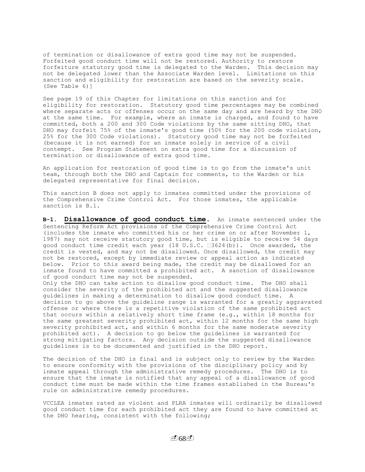of termination or disallowance of extra good time may not be suspended. Forfeited good conduct time will not be restored. Authority to restore forfeiture statutory good time is delegated to the Warden. This decision may not be delegated lower than the Associate Warden level. Limitations on this sanction and eligibility for restoration are based on the severity scale. (See Table 6)]

See page 19 of this Chapter for limitations on this sanction and for eligibility for restoration. Statutory good time percentages may be combined where separate acts or offenses occur on the same day and are heard by the DHO at the same time. For example, where an inmate is charged, and found to have committed, both a 200 and 300 Code violations by the same sitting DHO, that DHO may forfeit 75% of the inmate's good time (50% for the 200 code violation, 25% for the 300 Code violations). Statutory good time may not be forfeited (because it is not earned) for an inmate solely in service of a civil contempt. See Program Statement on extra good time for a discussion of termination or disallowance of extra good time.

An application for restoration of good time is to go from the inmate's unit team, through both the DHO and Captain for comments, to the Warden or his delegated representative for final decision.

This sanction B does not apply to inmates committed under the provisions of the Comprehensive Crime Control Act. For those inmates, the applicable sanction is B.1.

**B-1. Disallowance of good conduct time.** An inmate sentenced under the Sentencing Reform Act provisions of the Comprehensive Crime Control Act (includes the inmate who committed his or her crime on or after November 1, 1987) may not receive statutory good time, but is eligible to receive 54 days good conduct time credit each year (18 U.S.C. 13624(b)). Once awarded, the credit is vested, and may not be disallowed. Once disallowed, the credit may not be restored, except by immediate review or appeal action as indicated below. Prior to this award being made, the credit may be disallowed for an inmate found to have committed a prohibited act. A sanction of disallowance of good conduct time may not be suspended. Only the DHO can take action to disallow good conduct time. The DHO shall consider the severity of the prohibited act and the suggested disallowance guidelines in making a determination to disallow good conduct time. A decision to go above the guideline range is warranted for a greatly aggravated offense or where there is a repetitive violation of the same prohibited act

that occurs within a relatively short time frame (e.g., within 18 months for the same greatest severity prohibited act, within 12 months for the same high severity prohibited act, and within 6 months for the same moderate severity prohibited act). A decision to go below the guidelines is warranted for strong mitigating factors. Any decision outside the suggested disallowance guidelines is to be documented and justified in the DHO report.

The decision of the DHO is final and is subject only to review by the Warden to ensure conformity with the provisions of the disciplinary policy and by inmate appeal through the administrative remedy procedures. The DHO is to ensure that the inmate is notified that any appeal of a disallowance of good conduct time must be made within the time frames established in the Bureau's rule on administrative remedy procedures.

VCCLEA inmates rated as violent and PLRA inmates will ordinarily be disallowed good conduct time for each prohibited act they are found to have committed at the DHO hearing, consistent with the following;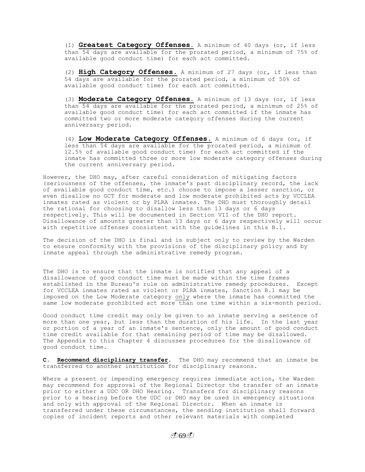(1) **Greatest Category Offenses.** A minimum of 40 days (or, if less than 54 days are available for the prorated period, a minimum of 75% of available good conduct time) for each act committed.

(2) **High Category Offenses**. A minimum of 27 days (or, if less than 54 days are available for the prorated period, a minimum of 50% of available good conduct time) for each act committed.

(3) **Moderate Category Offenses**. A minimum of 13 days (or, if less than 54 days are available for the prorated period, a minimum of 25% of available good conduct time) for each act committed if the inmate has committed two or more moderate category offenses during the current anniversary period.

(4) **Low Moderate Category Offenses**. A minimum of 6 days (or, if less than 54 days are available for the prorated period, a minimum of 12.5% of available good conduct time) for each act committed if the inmate has committed three or more low moderate category offenses during the current anniversary period.

However, the DHO may, after careful consideration of mitigating factors (seriousness of the offenses, the inmate's past disciplinary record, the lack of available good conduct time, etc.) choose to impose a lesser sanction, or even disallow no GCT for moderate and low moderate prohibited acts by VCCLEA inmates rated as violent or by PLRA inmates. The DHO must thoroughly detail the rational for choosing to disallow less than 13 days or 6 days respectively. This will be documented in Section VII of the DHO report. Disallowance of amounts greater than 13 days or 6 days respectively will occur with repetitive offenses consistent with the guidelines in this B.1.

The decision of the DHO is final and is subject only to review by the Warden to ensure conformity with the provisions of the disciplinary policy and by inmate appeal through the administrative remedy program.

The DHO is to ensure that the inmate is notified that any appeal of a disallowance of good conduct time must be made within the time frames established in the Bureau's rule on administrative remedy procedures. Except for VCCLEA inmates rated as violent or PLRA inmates, Sanction B.1 may be imposed on the Low Moderate category only where the inmate has committed the same low moderate prohibited act more than one time within a six-month period.

Good conduct time credit may only be given to an inmate serving a sentence of more than one year, but less than the duration of his life. In the last year or portion of a year of an inmate's sentence, only the amount of good conduct time credit available for that remaining period of time may be disallowed. The Appendix to this Chapter 4 discusses procedures for the disallowance of good conduct time.

**C. Recommend disciplinary transfer.** The DHO may recommend that an inmate be transferred to another institution for disciplinary reasons.

Where a present or impending emergency requires immediate action, the Warden may recommend for approval of the Regional Director the transfer of an inmate prior to either a UDC OR DHO Hearing. Transfers for disciplinary reasons prior to a hearing before the UDC or DHO may be used in emergency situations and only with approval of the Regional Director. When an inmate is transferred under these circumstances, the sending institution shall forward copies of incident reports and other relevant materials with completed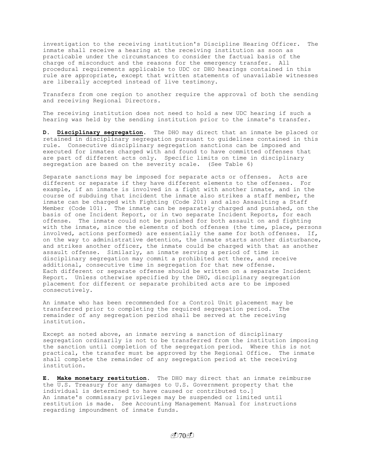investigation to the receiving institution's Discipline Hearing Officer. The inmate shall receive a hearing at the receiving institution as soon as practicable under the circumstances to consider the factual basis of the charge of misconduct and the reasons for the emergency transfer. All procedural requirements applicable to UDC or DHO hearings contained in this rule are appropriate, except that written statements of unavailable witnesses are liberally accepted instead of live testimony.

Transfers from one region to another require the approval of both the sending and receiving Regional Directors.

The receiving institution does not need to hold a new UDC hearing if such a hearing was held by the sending institution prior to the inmate's transfer.

**D. Disciplinary segregation.** The DHO may direct that an inmate be placed or retained in disciplinary segregation pursuant to guidelines contained in this rule. Consecutive disciplinary segregation sanctions can be imposed and executed for inmates charged with and found to have committed offenses that are part of different acts only. Specific limits on time in disciplinary segregation are based on the severity scale. (See Table 6)

Separate sanctions may be imposed for separate acts or offenses. Acts are different or separate if they have different elements to the offenses. For example, if an inmate is involved in a fight with another inmate, and in the course of subduing that incident the inmate also strikes a staff member, the inmate can be charged with Fighting (Code 201) and also Assaulting a Staff Member (Code 101). The inmate can be separately charged and punished, on the basis of one Incident Report, or in two separate Incident Reports, for each offense. The inmate could not be punished for both assault on and fighting with the inmate, since the elements of both offenses (the time, place, persons involved, actions performed) are essentially the same for both offenses. If, on the way to administrative detention, the inmate starts another disturbance, and strikes another officer, the inmate could be charged with that as another assault offense. Similarly, an inmate serving a period of time in disciplinary segregation may commit a prohibited act there, and receive additional, consecutive time in segregation for that new offense. Each different or separate offense should be written on a separate Incident Report. Unless otherwise specified by the DHO, disciplinary segregation placement for different or separate prohibited acts are to be imposed consecutively.

An inmate who has been recommended for a Control Unit placement may be transferred prior to completing the required segregation period. The remainder of any segregation period shall be served at the receiving institution.

Except as noted above, an inmate serving a sanction of disciplinary segregation ordinarily is not to be transferred from the institution imposing the sanction until completion of the segregation period. Where this is not practical, the transfer must be approved by the Regional Office. The inmate shall complete the remainder of any segregation period at the receiving institution.

**E. Make monetary restitution.** The DHO may direct that an inmate reimburse the  $\overline{U.S.}$  Treasury for any damages to  $U.S.$  Government property that the individual is determined to have caused or contributed to.] An inmate's commissary privileges may be suspended or limited until restitution is made. See Accounting Management Manual for instructions regarding impoundment of inmate funds.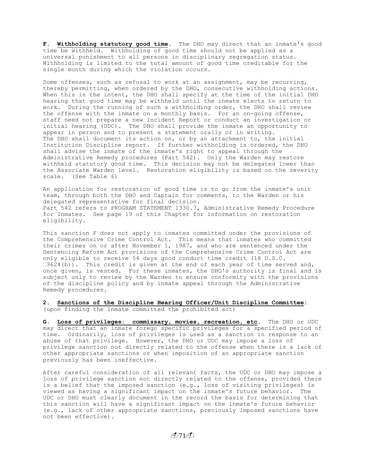**F. Withholding statutory good time.** The DHO may direct that an inmate's good time be withheld. Withholding of good time should not be applied as a universal punishment to all persons in disciplinary segregation status. Withholding is limited to the total amount of good time creditable for the single month during which the violation occurs.

Some offenses, such as refusal to work at an assignment, may be recurring, thereby permitting, when ordered by the DHO, consecutive withholding actions. When this is the intent, the DHO shall specify at the time of the initial DHO hearing that good time may be withheld until the inmate elects to return to work. During the running of such a withholding order, the DHO shall review the offense with the inmate on a monthly basis. For an on-going offense, staff need not prepare a new Incident Report or conduct an investigation or initial hearing (UDC). The DHO shall provide the inmate an opportunity to appear in person and to present a statement orally or in writing. The DHO shall document its action on, or by an attachment to, the initial Institution Discipline report. If further withholding is ordered, the DHO shall advise the inmate of the inmate's right to appeal through the Administrative Remedy procedures (Part 542). Only the Warden may restore withheld statutory good time. This decision may not be delegated lower than the Associate Warden level. Restoration eligibility is based on the severity scale. (See Table 6)

An application for restoration of good time is to go from the inmate's unit team, through both the DHO and Captain for comments, to the Warden or his delegated representative for final decision. Part 542 refers to PROGRAM STATEMENT 1330.7, Administrative Remedy Procedure for Inmates. See page 19 of this Chapter for information on restoration eligibility.

This sanction F does not apply to inmates committed under the provisions of the Comprehensive Crime Control Act. This means that inmates who committed their crimes on or after November 1, 1987, and who are sentenced under the Sentencing Reform Act provisions of the Comprehensive Crime Control Act are only eligible to receive 54 days good conduct time credit (18 U.S.C.  $3624(b)$ ). This credit is given at the end of each year of time served and, once given, is vested. For these inmates, the DHO's authority is final and is subject only to review by the Warden to ensure conformity with the provisions of the discipline policy and by inmate appeal through the Administrative Remedy procedures.

**2. Sanctions of the Discipline Hearing Officer/Unit Discipline Committee:**  (upon finding the inmate committed the prohibited act)

**G. Loss of privileges: commissary, movies, recreation, etc**. The DHO or UDC may direct that an inmate forego specific privileges for a specified period of time. Ordinarily, loss of privileges is used as a sanction in response to an abuse of that privilege. However, the DHO or UDC may impose a loss of privilege sanction not directly related to the offense when there is a lack of other appropriate sanctions or when imposition of an appropriate sanction previously has been ineffective.

After careful consideration of all relevant facts, the UDC or DHO may impose a loss of privilege sanction not directly related to the offense, provided there is a belief that the imposed sanction (e.g., loss of visiting privileges) is viewed as having a significant impact on the inmate's future behavior. The UDC or DHO must clearly document in the record the basis for determining that this sanction will have a significant impact on the inmate's future behavior (e.g., lack of other appropriate sanctions, previously imposed sanctions have not been effective).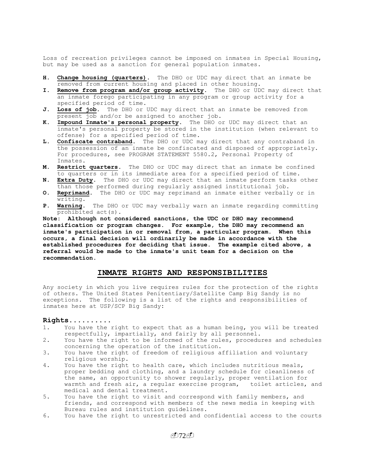Loss of recreation privileges cannot be imposed on inmates in Special Housing, but may be used as a sanction for general population inmates.

- **H. Change housing (quarters).** The DHO or UDC may direct that an inmate be removed from current housing and placed in other housing.
- **I. Remove from program and/or group activity.** The DHO or UDC may direct that an inmate forego participating in any program or group activity for a specified period of time.
- **J. Loss of job.** The DHO or UDC may direct that an inmate be removed from present job and/or be assigned to another job.
- **K. Impound Inmate's personal property.** The DHO or UDC may direct that an inmate's personal property be stored in the institution (when relevant to offense) for a specified period of time.
- **L. Confiscate contraband.** The DHO or UDC may direct that any contraband in the possession of an inmate be confiscated and disposed of appropriately. For procedures, see PROGRAM STATEMENT 5580.2, Personal Property of Inmates.
- **M. Restrict quarters.** The DHO or UDC may direct that an inmate be confined to quarters or in its immediate area for a specified period of time.
- **N. Extra Duty.** The DHO or UDC may direct that an inmate perform tasks other than those performed during regularly assigned institutional job.
- **O. Reprimand.** The DHO or UDC may reprimand an inmate either verbally or in writing.
- **P. Warning.** The DHO or UDC may verbally warn an inmate regarding committing prohibited act(s).

**Note: Although not considered sanctions, the UDC or DHO may recommend classification or program changes. For example, the DHO may recommend an inmate's participation in or removal from, a particular program. When this occurs, a final decision will ordinarily be made in accordance with the established procedures for deciding that issue. The example cited above, a referral would be made to the inmate's unit team for a decision on the recommendation.**

# **INMATE RIGHTS AND RESPONSIBILITIES**

Any society in which you live requires rules for the protection of the rights of others. The United States Penitentiary/Satellite Camp Big Sandy is no exceptions. The following is a list of the rights and responsibilities of inmates here at USP/SCP Big Sandy**:**

## **Rights..........**

- 1. You have the right to expect that as a human being, you will be treated respectfully, impartially, and fairly by all personnel.
- 2. You have the right to be informed of the rules, procedures and schedules concerning the operation of the institution.
- 3. You have the right of freedom of religious affiliation and voluntary religious worship.
- 4. You have the right to health care, which includes nutritious meals, proper bedding and clothing, and a laundry schedule for cleanliness of the same, an opportunity to shower regularly, proper ventilation for warmth and fresh air, a regular exercise program, toilet articles, and medical and dental treatment.
- 5. You have the right to visit and correspond with family members, and friends, and correspond with members of the news media in keeping with Bureau rules and institution guidelines.
- 6. You have the right to unrestricted and confidential access to the courts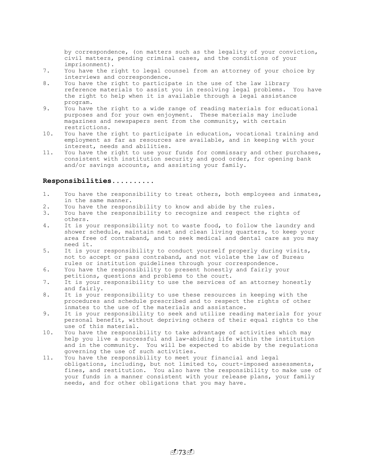by correspondence, (on matters such as the legality of your conviction, civil matters, pending criminal cases, and the conditions of your imprisonment).

- 7. You have the right to legal counsel from an attorney of your choice by interviews and correspondence.
- 8. You have the right to participate in the use of the law library reference materials to assist you in resolving legal problems. You have the right to help when it is available through a legal assistance program.
- 9. You have the right to a wide range of reading materials for educational purposes and for your own enjoyment. These materials may include magazines and newspapers sent from the community, with certain restrictions.
- 10. You have the right to participate in education, vocational training and employment as far as resources are available, and in keeping with your interest, needs and abilities.
- 11. You have the right to use your funds for commissary and other purchases, consistent with institution security and good order, for opening bank and/or savings accounts, and assisting your family.

## **Responsibilities..........**

- 1. You have the responsibility to treat others, both employees and inmates, in the same manner.
- 2. You have the responsibility to know and abide by the rules.
- 3. You have the responsibility to recognize and respect the rights of others.
- 4. It is your responsibility not to waste food, to follow the laundry and shower schedule, maintain neat and clean living quarters, to keep your area free of contraband, and to seek medical and dental care as you may need it.
- 5. It is your responsibility to conduct yourself properly during visits, not to accept or pass contraband, and not violate the law of Bureau rules or institution guidelines through your correspondence.
- 6. You have the responsibility to present honestly and fairly your petitions, questions and problems to the court.
- 7. It is your responsibility to use the services of an attorney honestly and fairly.
- 8. It is your responsibility to use these resources in keeping with the procedures and schedule prescribed and to respect the rights of other inmates to the use of the materials and assistance.
- 9. It is your responsibility to seek and utilize reading materials for your personal benefit, without depriving others of their equal rights to the use of this material.
- 10. You have the responsibility to take advantage of activities which may help you live a successful and law-abiding life within the institution and in the community. You will be expected to abide by the regulations governing the use of such activities.
- 11. You have the responsibility to meet your financial and legal obligations, including, but not limited to, court-imposed assessments, fines, and restitution. You also have the responsibility to make use of your funds in a manner consistent with your release plans, your family needs, and for other obligations that you may have.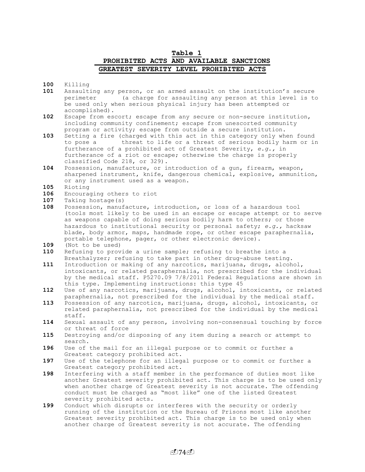## **Table 1 PROHIBITED ACTS AND AVAILABLE SANCTIONS GREATEST SEVERITY LEVEL PROHIBITED ACTS**

**100** Killing

- **101** Assaulting any person, or an armed assault on the institution's secure perimeter (a charge for assaulting any person at this level is to be used only when serious physical injury has been attempted or accomplished).
- **102** Escape from escort; escape from any secure or non-secure institution, including community confinement; escape from unescorted community program or activity; escape from outside a secure institution.
- **103** Setting a fire (charged with this act in this category only when found to pose a threat to life or a threat of serious bodily harm or in furtherance of a prohibited act of Greatest Severity, *e.g.,* in furtherance of a riot or escape; otherwise the charge is properly classified Code 218, or 329).
- **104** Possession, manufacture, or introduction of a gun, firearm, weapon, sharpened instrument, knife, dangerous chemical, explosive, ammunition, or any instrument used as a weapon.

**105** Rioting

- **106** Encouraging others to riot
- **107** Taking hostage(s)
- **108** Possession, manufacture, introduction, or loss of a hazardous tool (tools most likely to be used in an escape or escape attempt or to serve as weapons capable of doing serious bodily harm to others; or those hazardous to institutional security or personal safety; *e.g.,* hacksaw blade, body armor, maps, handmade rope, or other escape paraphernalia, portable telephone, pager, or other electronic device).
- **109** (Not to be used)
- **110** Refusing to provide a urine sample; refusing to breathe into a Breathalyzer; refusing to take part in other drug-abuse testing.
- **111** Introduction or making of any narcotics, marijuana, drugs, alcohol, intoxicants, or related paraphernalia, not prescribed for the individual by the medical staff. P5270.09 7/8/2011 Federal Regulations are shown in this type. Implementing instructions: this type 45
- **112** Use of any narcotics, marijuana, drugs, alcohol, intoxicants, or related paraphernalia, not prescribed for the individual by the medical staff.
- **113** Possession of any narcotics, marijuana, drugs, alcohol, intoxicants, or related paraphernalia, not prescribed for the individual by the medical staff.
- **114** Sexual assault of any person, involving non-consensual touching by force or threat of force
- **115** Destroying and/or disposing of any item during a search or attempt to search.
- **196** Use of the mail for an illegal purpose or to commit or further a Greatest category prohibited act.
- **197** Use of the telephone for an illegal purpose or to commit or further a Greatest category prohibited act.
- **198** Interfering with a staff member in the performance of duties most like another Greatest severity prohibited act. This charge is to be used only when another charge of Greatest severity is not accurate. The offending conduct must be charged as "most like" one of the listed Greatest severity prohibited acts.
- **199** Conduct which disrupts or interferes with the security or orderly running of the institution or the Bureau of Prisons most like another Greatest severity prohibited act. This charge is to be used only when another charge of Greatest severity is not accurate. The offending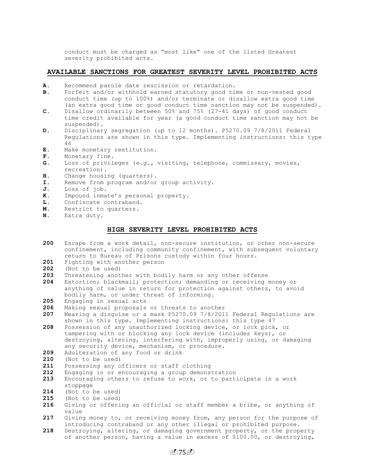conduct must be charged as "most like" one of the listed Greatest severity prohibited acts.

## **AVAILABLE SANCTIONS FOR GREATEST SEVERITY LEVEL PROHIBITED ACTS**

- **A.** Recommend parole date rescission or retardation.
- **B**. Forfeit and/or withhold earned statutory good time or non-vested good conduct time (up to 100%) and/or terminate or disallow extra good time (an extra good time or good conduct time sanction may not be suspended).
- **C**. Disallow ordinarily between 50% and 75% (27-41 days) of good conduct time credit available for year (a good conduct time sanction may not be suspended).
- **D.** Disciplinary segregation (up to 12 months). P5270.09 7/8/2011 Federal Regulations are shown in this type. Implementing instructions: this type 46
- **E**. Make monetary restitution.
- **F**. Monetary fine.
- **G.** Loss of privileges (*e.g.,* visiting, telephone, commissary, movies, recreation).
- **H**. Change housing (quarters).
- **I.** Remove from program and/or group activity.
- **J**. Loss of job.
- **K.** Impound inmate's personal property.
- **L.** Confiscate contraband.
- **M.** Restrict to quarters.
- **N.** Extra duty.

## **HIGH SEVERITY LEVEL PROHIBITED ACTS**

- **200** Escape from a work detail, non-secure institution, or other non-secure confinement, including community confinement, with subsequent voluntary return to Bureau of Prisons custody within four hours.
- **201** Fighting with another person
- **202** (Not to be used)
- **203** Threatening another with bodily harm or any other offense
- **204** Extortion; blackmail; protection; demanding or receiving money or anything of value in return for protection against others, to avoid bodily harm, or under threat of informing.
- **205** Engaging in sexual acts
- **206** Making sexual proposals or threats to another
- **207** Wearing a disguise or a mask P5270.09 7/8/2011 Federal Regulations are shown in this type. Implementing instructions: this type 47
- **208** Possession of any unauthorized locking device, or lock pick, or tampering with or blocking any lock device (includes keys), or destroying, altering, interfering with, improperly using, or damaging any security device, mechanism, or procedure.
- **209** Adulteration of any food or drink
- **210** (Not to be used)
- **211** Possessing any officers or staff clothing
- **212** Engaging in or encouraging a group demonstration
- **213** Encouraging others to refuse to work, or to participate in a work stoppage
- **214** (Not to be used)
- **215** (Not to be used)
- **216** Giving or offering an official or staff member a bribe, or anything of value
- **217** Giving money to, or receiving money from, any person for the purpose of introducing contraband or any other illegal or prohibited purpose.
- **218** Destroying, altering, or damaging government property, or the property of another person, having a value in excess of \$100.00, or destroying,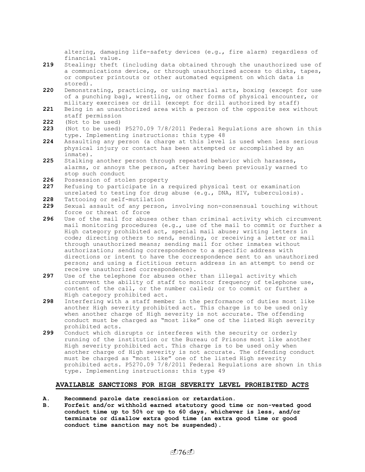altering, damaging life-safety devices (e.g., fire alarm) regardless of financial value.

- **219** Stealing; theft (including data obtained through the unauthorized use of a communications device, or through unauthorized access to disks, tapes, or computer printouts or other automated equipment on which data is stored).
- **220** Demonstrating, practicing, or using martial arts, boxing (except for use of a punching bag), wrestling, or other forms of physical encounter, or military exercises or drill (except for drill authorized by staff)
- **221** Being in an unauthorized area with a person of the opposite sex without staff permission
- **222** (Not to be used)
- **223** (Not to be used) P5270.09 7/8/2011 Federal Regulations are shown in this type. Implementing instructions: this type 48
- **224** Assaulting any person (a charge at this level is used when less serious physical injury or contact has been attempted or accomplished by an inmate).
- **225** Stalking another person through repeated behavior which harasses, alarms, or annoys the person, after having been previously warned to stop such conduct
- **226** Possession of stolen property
- **227** Refusing to participate in a required physical test or examination unrelated to testing for drug abuse (e.g., DNA, HIV, tuberculosis).
- **228** Tattooing or self-mutilation
- **229** Sexual assault of any person, involving non-consensual touching without force or threat of force
- **296** Use of the mail for abuses other than criminal activity which circumvent mail monitoring procedures (e.g., use of the mail to commit or further a High category prohibited act, special mail abuse; writing letters in code; directing others to send, sending, or receiving a letter or mail through unauthorized means; sending mail for other inmates without authorization; sending correspondence to a specific address with directions or intent to have the correspondence sent to an unauthorized person; and using a fictitious return address in an attempt to send or receive unauthorized correspondence).
- **297** Use of the telephone for abuses other than illegal activity which circumvent the ability of staff to monitor frequency of telephone use, content of the call, or the number called; or to commit or further a High category prohibited act.
- **298** Interfering with a staff member in the performance of duties most like another High severity prohibited act. This charge is to be used only when another charge of High severity is not accurate. The offending conduct must be charged as "most like" one of the listed High severity prohibited acts.
- **299** Conduct which disrupts or interferes with the security or orderly running of the institution or the Bureau of Prisons most like another High severity prohibited act. This charge is to be used only when another charge of High severity is not accurate. The offending conduct must be charged as "most like" one of the listed High severity prohibited acts. P5270.09 7/8/2011 Federal Regulations are shown in this type. Implementing instructions: this type 49

## **AVAILABLE SANCTIONS FOR HIGH SEVERITY LEVEL PROHIBITED ACTS**

- **A. Recommend parole date rescission or retardation.**
- **B. Forfeit and/or withhold earned statutory good time or non-vested good conduct time up to 50% or up to 60 days, whichever is less, and/or terminate or disallow extra good time (an extra good time or good conduct time sanction may not be suspended).**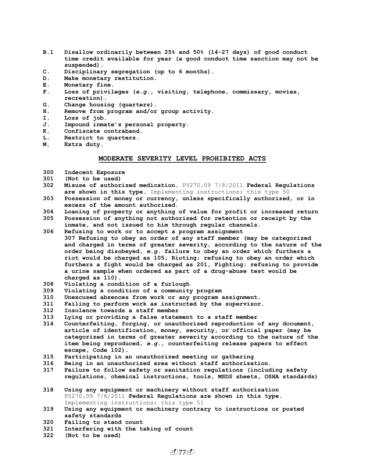- **B.1 Disallow ordinarily between 25% and 50% (14-27 days) of good conduct time credit available for year (a good conduct time sanction may not be suspended).**
- **C. Disciplinary segregation (up to 6 months).**
- **D. Make monetary restitution.**
- **E. Monetary fine.**
- **F. Loss of privileges (***e.g.,* **visiting, telephone, commissary, movies, recreation).**
- **G. Change housing (quarters).**
- **H. Remove from program and/or group activity.**
- **I. Loss of job.**
- **J. Impound inmate's personal property.**
- **K. Confiscate contraband.**
- **L. Restrict to quarters.**
- **M. Extra duty.**

#### **MODERATE SEVERITY LEVEL PROHIBITED ACTS**

- **300 Indecent Exposure**
- **301 (Not to be used)**
- **302 Misuse of authorized medication.** P5270.09 7/8/2011 **Federal Regulations are shown in this type**. Implementing instructions: this type 50
- **303 Possession of money or currency, unless specifically authorized, or in excess of the amount authorized.**
- **304 Loaning of property or anything of value for profit or increased return**
- **305 Possession of anything not authorized for retention or receipt by the inmate, and not issued to him through regular channels.**
- **306 Refusing to work or to accept a program assignment 307 Refusing to obey an order of any staff member (may be categorized and charged in terms of greater severity, according to the nature of the order being disobeyed,** *e.g.* **failure to obey an order which furthers a riot would be charged as 105, Rioting; refusing to obey an order which furthers a fight would be charged as 201, Fighting; refusing to provide a urine sample when ordered as part of a drug-abuse test would be charged as 110).**
- **308 Violating a condition of a furlough**
- **309 Violating a condition of a community program**
- **310 Unexcused absences from work or any program assignment.**
- **311 Failing to perform work as instructed by the supervisor.**
- **312 Insolence towards a staff member**
- **313 Lying or providing a false statement to a staff member**
- **314 Counterfeiting, forging, or unauthorized reproduction of any document, article of identification, money, security, or official paper (may be categorized in terms of greater severity according to the nature of the item being reproduced,** *e.g.,* **counterfeiting release papers to effect escape, Code 102).**
- **315 Participating in an unauthorized meeting or gathering**
- **316 Being in an unauthorized area without staff authorization.**
- **317 Failure to follow safety or sanitation regulations (including safety regulations, chemical instructions, tools, MSDS sheets, OSHA standards)**
- **318 Using any equipment or machinery without staff authorization** P5270.09 7/8/2011 **Federal Regulations are shown in this type**. Implementing instructions: this type 51
- **319 Using any equipment or machinery contrary to instructions or posted safety standards**
- **320 Failing to stand count**
- **321 Interfering with the taking of count**
- **322 (Not to be used)**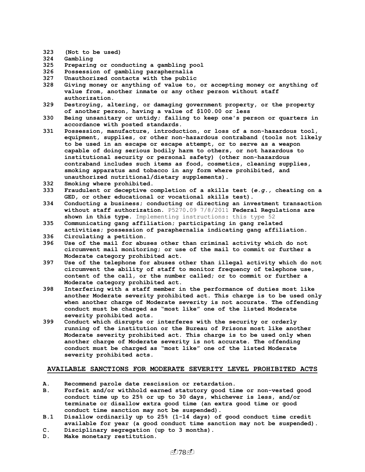- **323 (Not to be used)**
- **324 Gambling**
- **325 Preparing or conducting a gambling pool**
- **326 Possession of gambling paraphernalia**
- **327 Unauthorized contacts with the public**
- **328 Giving money or anything of value to, or accepting money or anything of value from, another inmate or any other person without staff authorization.**
- **329 Destroying, altering, or damaging government property, or the property of another person, having a value of \$100.00 or less**
- **330 Being unsanitary or untidy; failing to keep one's person or quarters in accordance with posted standards.**
- **331 Possession, manufacture, introduction, or loss of a non-hazardous tool, equipment, supplies, or other non-hazardous contraband (tools not likely to be used in an escape or escape attempt, or to serve as a weapon capable of doing serious bodily harm to others, or not hazardous to institutional security or personal safety) (other non-hazardous contraband includes such items as food, cosmetics, cleaning supplies, smoking apparatus and tobacco in any form where prohibited, and unauthorized nutritional/dietary supplements).**
- **332 Smoking where prohibited.**
- **333 Fraudulent or deceptive completion of a skills test (***e.g.,* **cheating on a GED, or other educational or vocational skills test).**
- **334 Conducting a business; conducting or directing an investment transaction without staff authorization.** P5270.09 7/8/2011 **Federal Regulations are shown in this type**. Implementing instructions: this type 52
- **335 Communicating gang affiliation; participating in gang related activities; possession of paraphernalia indicating gang affiliation.**
- **336 Circulating a petition.**
- **396 Use of the mail for abuses other than criminal activity which do not circumvent mail monitoring; or use of the mail to commit or further a Moderate category prohibited act.**
- **397 Use of the telephone for abuses other than illegal activity which do not circumvent the ability of staff to monitor frequency of telephone use, content of the call, or the number called; or to commit or further a Moderate category prohibited act.**
- **398 Interfering with a staff member in the performance of duties most like another Moderate severity prohibited act. This charge is to be used only when another charge of Moderate severity is not accurate. The offending conduct must be charged as "most like" one of the listed Moderate severity prohibited acts.**
- **399 Conduct which disrupts or interferes with the security or orderly running of the institution or the Bureau of Prisons most like another Moderate severity prohibited act. This charge is to be used only when another charge of Moderate severity is not accurate. The offending conduct must be charged as "most like" one of the listed Moderate severity prohibited acts.**

## **AVAILABLE SANCTIONS FOR MODERATE SEVERITY LEVEL PROHIBITED ACTS**

- **A. Recommend parole date rescission or retardation.**
- **B. Forfeit and/or withhold earned statutory good time or non-vested good conduct time up to 25% or up to 30 days, whichever is less, and/or terminate or disallow extra good time (an extra good time or good conduct time sanction may not be suspended).**
- **B.1 Disallow ordinarily up to 25% (1-14 days) of good conduct time credit available for year (a good conduct time sanction may not be suspended).**
- **C. Disciplinary segregation (up to 3 months).**
- **D. Make monetary restitution.**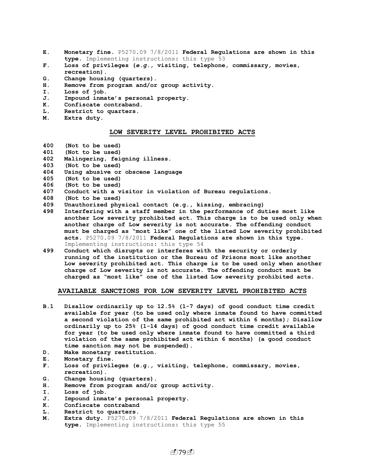- **E. Monetary fine.** P5270.09 7/8/2011 **Federal Regulations are shown in this type**. Implementing instructions: this type 53
- **F. Loss of privileges (***e.g.,* **visiting, telephone, commissary, movies, recreation).**
- **G. Change housing (quarters).**
- **H. Remove from program and/or group activity.**
- **I. Loss of job.**
- **J. Impound inmate's personal property.**
- **K. Confiscate contraband.**
- **L. Restrict to quarters.**
- **M. Extra duty.**

#### **LOW SEVERITY LEVEL PROHIBITED ACTS**

- **400 (Not to be used)**
- **401 (Not to be used)**
- **402 Malingering, feigning illness.**
- **403 (Not to be used)**
- **404 Using abusive or obscene language**
- **405 (Not to be used)**
- **406 (Not to be used)**
- **407 Conduct with a visitor in violation of Bureau regulations.**
- **408 (Not to be used)**
- **409 Unauthorized physical contact (e.g., kissing, embracing)**
- **498 Interfering with a staff member in the performance of duties most like another Low severity prohibited act. This charge is to be used only when another charge of Low severity is not accurate. The offending conduct must be charged as "most like" one of the listed Low severity prohibited acts.** P5270.09 7/8/2011 **Federal Regulations are shown in this type**. Implementing instructions: this type 54
- **499 Conduct which disrupts or interferes with the security or orderly running of the institution or the Bureau of Prisons most like another Low severity prohibited act. This charge is to be used only when another charge of Low severity is not accurate. The offending conduct must be charged as "most like" one of the listed Low severity prohibited acts.**

## **AVAILABLE SANCTIONS FOR LOW SEVERITY LEVEL PROHIBITED ACTS**

- **B.1 Disallow ordinarily up to 12.5% (1-7 days) of good conduct time credit available for year (to be used only where inmate found to have committed a second violation of the same prohibited act within 6 months); Disallow ordinarily up to 25% (1-14 days) of good conduct time credit available for year (to be used only where inmate found to have committed a third violation of the same prohibited act within 6 months) (a good conduct time sanction may not be suspended).**
- **D. Make monetary restitution.**
- **E. Monetary fine.**
- **F. Loss of privileges (e.g., visiting, telephone, commissary, movies, recreation).**
- **G. Change housing (quarters).**
- **H. Remove from program and/or group activity.**
- **I. Loss of job.**
- **J. Impound inmate's personal property.**
- **K. Confiscate contraband**
- **L. Restrict to quarters.**
- **M. Extra duty.** P5270.09 7/8/2011 **Federal Regulations are shown in this type**. Implementing instructions: this type 55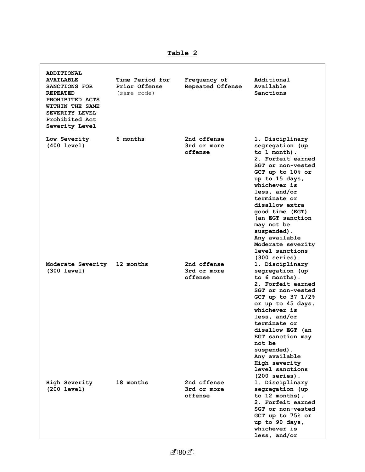**ADDITIONAL AVAILABLE SANCTIONS FOR REPEATED PROHIBITED ACTS WITHIN THE SAME SEVERITY LEVEL Prohibited Act Severity Level Time Period for Prior Offense**  (same code) **Frequency of Repeated Offense Additional Available Sanctions Low Severity (400 level) 6 months 2nd offense 3rd or more offense 1. Disciplinary segregation (up to 1 month). 2. Forfeit earned SGT or non-vested GCT up to 10% or up to 15 days, whichever is less, and/or terminate or disallow extra good time (EGT) (an EGT sanction may not be suspended). Any available Moderate severity level sanctions (300 series). Moderate Severity (300 level)**  2nd offense **3rd or more offense 1. Disciplinary segregation (up to 6 months). 2. Forfeit earned SGT or non-vested GCT up to 37 1/2% or up to 45 days, whichever is less, and/or terminate or disallow EGT (an EGT sanction may not be suspended). Any available High severity level sanctions (200 series). High Severity (200 level) 18 months 2nd offense 3rd or more offense 1. Disciplinary segregation (up to 12 months). 2. Forfeit earned SGT or non-vested GCT up to 75% or up to 90 days, whichever is** 

**Table 2**

**less, and/or**